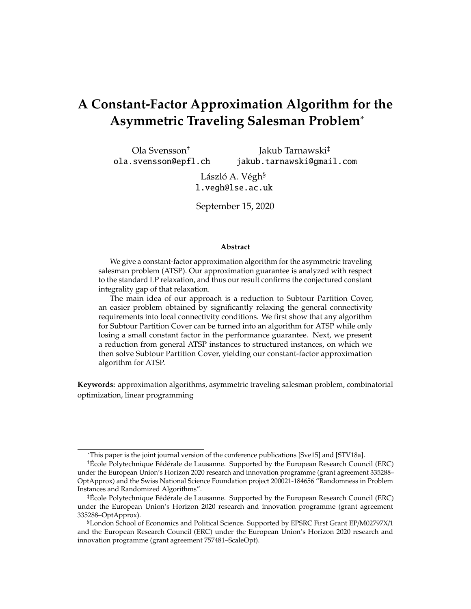## **A Constant-Factor Approximation Algorithm for the Asymmetric Traveling Salesman Problem**<sup>∗</sup>

Ola Svensson† ola.svensson@epfl.ch Jakub Tarnawski‡ jakub.tarnawski@gmail.com

> László A. Végh§ l.vegh@lse.ac.uk

September 15, 2020

#### **Abstract**

We give a constant-factor approximation algorithm for the asymmetric traveling salesman problem (ATSP). Our approximation guarantee is analyzed with respect to the standard LP relaxation, and thus our result confirms the conjectured constant integrality gap of that relaxation.

The main idea of our approach is a reduction to Subtour Partition Cover, an easier problem obtained by significantly relaxing the general connectivity requirements into local connectivity conditions. We first show that any algorithm for Subtour Partition Cover can be turned into an algorithm for ATSP while only losing a small constant factor in the performance guarantee. Next, we present a reduction from general ATSP instances to structured instances, on which we then solve Subtour Partition Cover, yielding our constant-factor approximation algorithm for ATSP.

**Keywords:** approximation algorithms, asymmetric traveling salesman problem, combinatorial optimization, linear programming

<sup>∗</sup>This paper is the joint journal version of the conference publications [Sve15] and [STV18a].

<sup>†</sup>École Polytechnique Fédérale de Lausanne. Supported by the European Research Council (ERC) under the European Union's Horizon 2020 research and innovation programme (grant agreement 335288– OptApprox) and the Swiss National Science Foundation project 200021-184656 "Randomness in Problem Instances and Randomized Algorithms".

<sup>‡</sup>École Polytechnique Fédérale de Lausanne. Supported by the European Research Council (ERC) under the European Union's Horizon 2020 research and innovation programme (grant agreement 335288–OptApprox).

<sup>§</sup>London School of Economics and Political Science. Supported by EPSRC First Grant EP/M02797X/1 and the European Research Council (ERC) under the European Union's Horizon 2020 research and innovation programme (grant agreement 757481–ScaleOpt).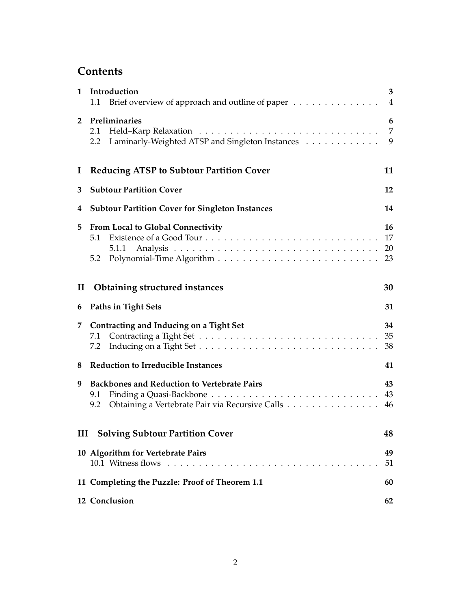## **Contents**

| $\mathbf{1}$ | Introduction<br>3<br>Brief overview of approach and outline of paper<br>$\overline{4}$<br>1.1                       |                      |  |  |  |
|--------------|---------------------------------------------------------------------------------------------------------------------|----------------------|--|--|--|
| $\mathbf{2}$ | Preliminaries<br>2.1<br>Laminarly-Weighted ATSP and Singleton Instances<br>2.2                                      | 6<br>7<br>9          |  |  |  |
| $\mathbf I$  | <b>Reducing ATSP to Subtour Partition Cover</b>                                                                     | 11                   |  |  |  |
| 3            | <b>Subtour Partition Cover</b><br>12                                                                                |                      |  |  |  |
| 4            | <b>Subtour Partition Cover for Singleton Instances</b>                                                              | 14                   |  |  |  |
| 5            | <b>From Local to Global Connectivity</b><br>5.1<br>5.1.1<br>5.2                                                     | 16<br>17<br>20<br>23 |  |  |  |
| $\mathbf{I}$ | <b>Obtaining structured instances</b>                                                                               | 30                   |  |  |  |
| 6            | Paths in Tight Sets                                                                                                 | 31                   |  |  |  |
| 7            | Contracting and Inducing on a Tight Set<br>7.1<br>7.2                                                               | 34<br>35<br>38       |  |  |  |
| 8            | <b>Reduction to Irreducible Instances</b>                                                                           | 41                   |  |  |  |
| 9            | <b>Backbones and Reduction to Vertebrate Pairs</b><br>9.1<br>Obtaining a Vertebrate Pair via Recursive Calls<br>9.2 | 43<br>43<br>46       |  |  |  |
| III          | <b>Solving Subtour Partition Cover</b>                                                                              | 48                   |  |  |  |
|              | 10 Algorithm for Vertebrate Pairs<br>10.1 Witness flows                                                             | 49<br>51             |  |  |  |
|              | 11 Completing the Puzzle: Proof of Theorem 1.1                                                                      | 60                   |  |  |  |
|              | 12 Conclusion                                                                                                       | 62                   |  |  |  |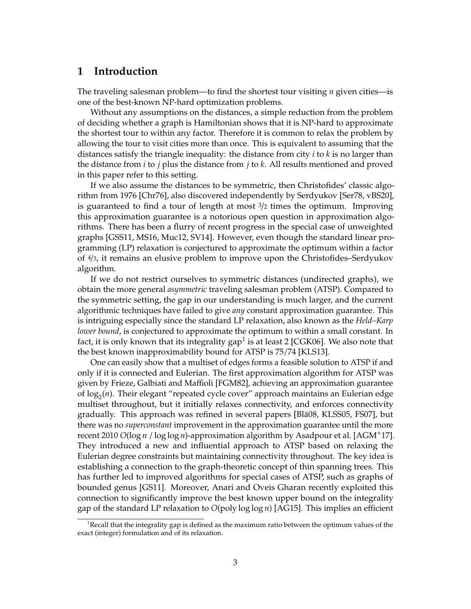### **1 Introduction**

The traveling salesman problem—to find the shortest tour visiting *n* given cities—is one of the best-known NP-hard optimization problems.

Without any assumptions on the distances, a simple reduction from the problem of deciding whether a graph is Hamiltonian shows that it is NP-hard to approximate the shortest tour to within any factor. Therefore it is common to relax the problem by allowing the tour to visit cities more than once. This is equivalent to assuming that the distances satisfy the triangle inequality: the distance from city *i* to *k* is no larger than the distance from *i* to *j* plus the distance from *j* to *k*. All results mentioned and proved in this paper refer to this setting.

If we also assume the distances to be symmetric, then Christofides' classic algorithm from 1976 [Chr76], also discovered independently by Serdyukov [Ser78, vBS20], is guaranteed to find a tour of length at most  $\frac{3}{2}$  times the optimum. Improving this approximation guarantee is a notorious open question in approximation algorithms. There has been a flurry of recent progress in the special case of unweighted graphs [GSS11, MS16, Muc12, SV14]. However, even though the standard linear programming (LP) relaxation is conjectured to approximate the optimum within a factor of 4/3, it remains an elusive problem to improve upon the Christofides–Serdyukov algorithm.

If we do not restrict ourselves to symmetric distances (undirected graphs), we obtain the more general *asymmetric* traveling salesman problem (ATSP). Compared to the symmetric setting, the gap in our understanding is much larger, and the current algorithmic techniques have failed to give *any* constant approximation guarantee. This is intriguing especially since the standard LP relaxation, also known as the *Held–Karp lower bound*, is conjectured to approximate the optimum to within a small constant. In fact, it is only known that its integrality gap $^1$  is at least 2 [CGK06]. We also note that the best known inapproximability bound for ATSP is 75/74 [KLS13].

One can easily show that a multiset of edges forms a feasible solution to ATSP if and only if it is connected and Eulerian. The first approximation algorithm for ATSP was given by Frieze, Galbiati and Maffioli [FGM82], achieving an approximation guarantee of log<sub>2</sub>(n). Their elegant "repeated cycle cover" approach maintains an Eulerian edge multiset throughout, but it initially relaxes connectivity, and enforces connectivity gradually. This approach was refined in several papers [Blä08, KLSS05, FS07], but there was no *superconstant* improvement in the approximation guarantee until the more recent 2010 *O*(log *n* / log log *n*)-approximation algorithm by Asadpour et al. [AGM+17]. They introduced a new and influential approach to ATSP based on relaxing the Eulerian degree constraints but maintaining connectivity throughout. The key idea is establishing a connection to the graph-theoretic concept of thin spanning trees. This has further led to improved algorithms for special cases of ATSP, such as graphs of bounded genus [GS11]. Moreover, Anari and Oveis Gharan recently exploited this connection to significantly improve the best known upper bound on the integrality gap of the standard LP relaxation to *O*(poly log log *n*) [AG15]. This implies an efficient

<sup>&</sup>lt;sup>1</sup>Recall that the integrality gap is defined as the maximum ratio between the optimum values of the exact (integer) formulation and of its relaxation.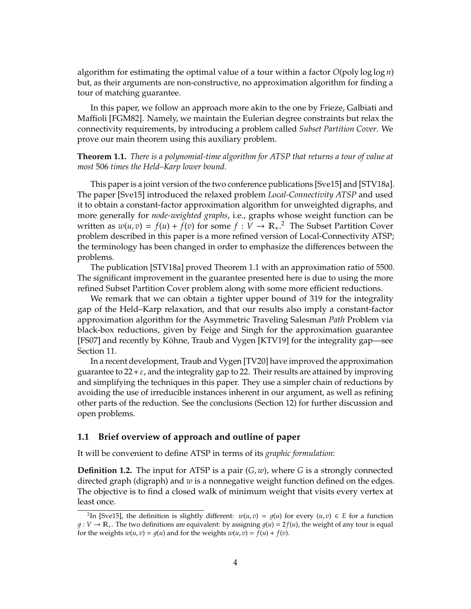algorithm for estimating the optimal value of a tour within a factor *O*(poly log log *n*) but, as their arguments are non-constructive, no approximation algorithm for finding a tour of matching guarantee.

In this paper, we follow an approach more akin to the one by Frieze, Galbiati and Maffioli [FGM82]. Namely, we maintain the Eulerian degree constraints but relax the connectivity requirements, by introducing a problem called *Subset Partition Cover*. We prove our main theorem using this auxiliary problem.

**Theorem 1.1.** *There is a polynomial-time algorithm for ATSP that returns a tour of value at most* 506 *times the Held–Karp lower bound.*

This paper is a joint version of the two conference publications [Sve15] and [STV18a]. The paper [Sve15] introduced the relaxed problem *Local-Connectivity ATSP* and used it to obtain a constant-factor approximation algorithm for unweighted digraphs, and more generally for *node-weighted graphs*, i.e., graphs whose weight function can be written as  $w(u, v) = f(u) + \tilde{f}(v)$  for some  $f : V \to \mathbb{R}_+$ .<sup>2</sup> The Subset Partition Cover problem described in this paper is a more refined version of Local-Connectivity ATSP; the terminology has been changed in order to emphasize the differences between the problems.

The publication [STV18a] proved Theorem 1.1 with an approximation ratio of 5500. The significant improvement in the guarantee presented here is due to using the more refined Subset Partition Cover problem along with some more efficient reductions.

We remark that we can obtain a tighter upper bound of 319 for the integrality gap of the Held–Karp relaxation, and that our results also imply a constant-factor approximation algorithm for the Asymmetric Traveling Salesman *Path* Problem via black-box reductions, given by Feige and Singh for the approximation guarantee [FS07] and recently by Köhne, Traub and Vygen [KTV19] for the integrality gap—see Section 11.

In a recent development, Traub and Vygen [TV20] have improved the approximation guarantee to  $22 + \varepsilon$ , and the integrality gap to 22. Their results are attained by improving and simplifying the techniques in this paper. They use a simpler chain of reductions by avoiding the use of irreducible instances inherent in our argument, as well as refining other parts of the reduction. See the conclusions (Section 12) for further discussion and open problems.

#### **1.1 Brief overview of approach and outline of paper**

It will be convenient to define ATSP in terms of its *graphic formulation*:

**Definition 1.2.** The input for ATSP is a pair (*G*, *w*), where *G* is a strongly connected directed graph (digraph) and *w* is a nonnegative weight function defined on the edges. The objective is to find a closed walk of minimum weight that visits every vertex at least once.

<sup>&</sup>lt;sup>2</sup>In [Sve15], the definition is slightly different:  $w(u, v) = g(u)$  for every  $(u, v) \in E$  for a function  $g: V \to \mathbb{R}_+$ . The two definitions are equivalent: by assigning  $g(u) = 2f(u)$ , the weight of any tour is equal for the weights  $w(u, v) = q(u)$  and for the weights  $w(u, v) = f(u) + f(v)$ .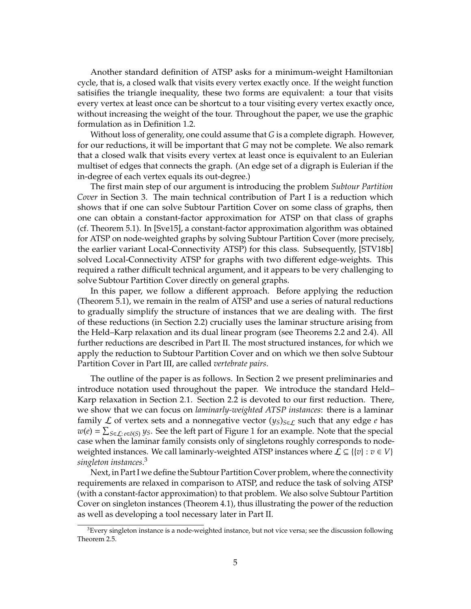Another standard definition of ATSP asks for a minimum-weight Hamiltonian cycle, that is, a closed walk that visits every vertex exactly once. If the weight function satisifies the triangle inequality, these two forms are equivalent: a tour that visits every vertex at least once can be shortcut to a tour visiting every vertex exactly once, without increasing the weight of the tour. Throughout the paper, we use the graphic formulation as in Definition 1.2.

Without loss of generality, one could assume that *G* is a complete digraph. However, for our reductions, it will be important that *G* may not be complete. We also remark that a closed walk that visits every vertex at least once is equivalent to an Eulerian multiset of edges that connects the graph. (An edge set of a digraph is Eulerian if the in-degree of each vertex equals its out-degree.)

The first main step of our argument is introducing the problem *Subtour Partition Cover* in Section 3. The main technical contribution of Part I is a reduction which shows that if one can solve Subtour Partition Cover on some class of graphs, then one can obtain a constant-factor approximation for ATSP on that class of graphs (cf. Theorem 5.1). In [Sve15], a constant-factor approximation algorithm was obtained for ATSP on node-weighted graphs by solving Subtour Partition Cover (more precisely, the earlier variant Local-Connectivity ATSP) for this class. Subsequently, [STV18b] solved Local-Connectivity ATSP for graphs with two different edge-weights. This required a rather difficult technical argument, and it appears to be very challenging to solve Subtour Partition Cover directly on general graphs.

In this paper, we follow a different approach. Before applying the reduction (Theorem 5.1), we remain in the realm of ATSP and use a series of natural reductions to gradually simplify the structure of instances that we are dealing with. The first of these reductions (in Section 2.2) crucially uses the laminar structure arising from the Held–Karp relaxation and its dual linear program (see Theorems 2.2 and 2.4). All further reductions are described in Part II. The most structured instances, for which we apply the reduction to Subtour Partition Cover and on which we then solve Subtour Partition Cover in Part III, are called *vertebrate pairs*.

The outline of the paper is as follows. In Section 2 we present preliminaries and introduce notation used throughout the paper. We introduce the standard Held– Karp relaxation in Section 2.1. Section 2.2 is devoted to our first reduction. There, we show that we can focus on *laminarly-weighted ATSP instances*: there is a laminar family L of vertex sets and a nonnegative vector  $(y_S)_{S \in L}$  such that any edge *e* has  $w(e) = \sum_{S \in L: e \in \delta(S)} y_S$ . See the left part of Figure 1 for an example. Note that the special case when the laminar family consists only of singletons roughly corresponds to nodeweighted instances. We call laminarly-weighted ATSP instances where  $\mathcal{L} \subseteq \{ \{v\} : v \in V \}$ *singleton instances*. 3

Next, in Part I we define the Subtour Partition Cover problem, where the connectivity requirements are relaxed in comparison to ATSP, and reduce the task of solving ATSP (with a constant-factor approximation) to that problem. We also solve Subtour Partition Cover on singleton instances (Theorem 4.1), thus illustrating the power of the reduction as well as developing a tool necessary later in Part II.

<sup>&</sup>lt;sup>3</sup>Every singleton instance is a node-weighted instance, but not vice versa; see the discussion following Theorem 2.5.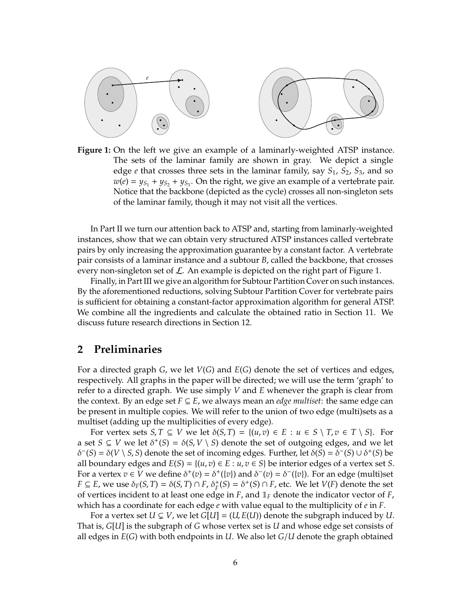

**Figure 1:** On the left we give an example of a laminarly-weighted ATSP instance. The sets of the laminar family are shown in gray. We depict a single edge *e* that crosses three sets in the laminar family, say *S*1, *S*2, *S*3, and so  $w(e) = y_{S_1} + y_{S_2} + y_{S_3}$ . On the right, we give an example of a vertebrate pair. Notice that the backbone (depicted as the cycle) crosses all non-singleton sets of the laminar family, though it may not visit all the vertices.

In Part II we turn our attention back to ATSP and, starting from laminarly-weighted instances, show that we can obtain very structured ATSP instances called vertebrate pairs by only increasing the approximation guarantee by a constant factor. A vertebrate pair consists of a laminar instance and a subtour *B*, called the backbone, that crosses every non-singleton set of  $\mathcal L$ . An example is depicted on the right part of Figure 1.

Finally, in Part III we give an algorithm for Subtour Partition Cover on such instances. By the aforementioned reductions, solving Subtour Partition Cover for vertebrate pairs is sufficient for obtaining a constant-factor approximation algorithm for general ATSP. We combine all the ingredients and calculate the obtained ratio in Section 11. We discuss future research directions in Section 12.

### **2 Preliminaries**

For a directed graph *G*, we let *V*(*G*) and *E*(*G*) denote the set of vertices and edges, respectively. All graphs in the paper will be directed; we will use the term 'graph' to refer to a directed graph. We use simply *V* and *E* whenever the graph is clear from the context. By an edge set  $F \subseteq E$ , we always mean an *edge multiset*: the same edge can be present in multiple copies. We will refer to the union of two edge (multi)sets as a multiset (adding up the multiplicities of every edge).

For vertex sets  $S, T \subseteq V$  we let  $\delta(S, T) = \{(u, v) \in E : u \in S \setminus T, v \in T \setminus S\}$ . For a set  $S \subseteq V$  we let  $\delta^+(S) = \delta(S, V \setminus S)$  denote the set of outgoing edges, and we let  $δ$ <sup>−</sup>(*S*) =  $δ$ (*V* \ *S*, *S*) denote the set of incoming edges. Further, let  $δ(S) = δ$ <sup>−</sup>(*S*) ∪  $δ$ <sup>+</sup>(*S*) be all boundary edges and  $E(S) = \{(u, v) \in E : u, v \in S\}$  be interior edges of a vertex set *S*. For a vertex  $v \in V$  we define  $\delta^+(v) = \delta^+(v)$  and  $\delta^-(v) = \delta^-(v)$ . For an edge (multi)set *F*  $\subseteq$  *E*, we use  $\delta_F(S, T) = \delta(S, T) \cap F$ ,  $\delta_F^+(S) = \delta^+(S) \cap F$ , etc. We let *V*(*F*) denote the set of vertices incident to at least one edge in  $F$ , and  $\mathbb{I}_F$  denote the indicator vector of  $F$ , which has a coordinate for each edge *e* with value equal to the multiplicity of *e* in *F*.

For a vertex set  $U \subsetneq V$ , we let  $G[U] = (U, E(U))$  denote the subgraph induced by U. That is, *G*[*U*] is the subgraph of *G* whose vertex set is *U* and whose edge set consists of all edges in *E*(*G*) with both endpoints in *U*. We also let *G*/*U* denote the graph obtained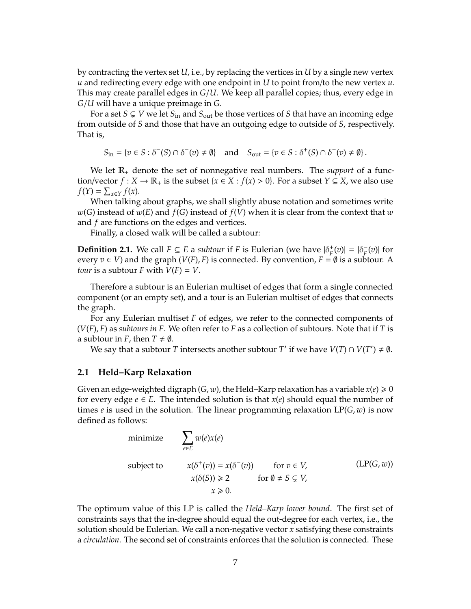by contracting the vertex set *U*, i.e., by replacing the vertices in *U* by a single new vertex *u* and redirecting every edge with one endpoint in *U* to point from/to the new vertex *u*. This may create parallel edges in *G*/*U*. We keep all parallel copies; thus, every edge in *G*/*U* will have a unique preimage in *G*.

For a set  $S \subsetneq V$  we let  $S_{\text{in}}$  and  $S_{\text{out}}$  be those vertices of *S* that have an incoming edge from outside of *S* and those that have an outgoing edge to outside of *S*, respectively. That is,

 $S_{\text{in}} = \{ v \in S : \delta^-(S) \cap \delta^-(v) \neq \emptyset \}$  and  $S_{\text{out}} = \{ v \in S : \delta^+(S) \cap \delta^+(v) \neq \emptyset \}.$ 

We let R<sup>+</sup> denote the set of nonnegative real numbers. The *support* of a function/vector *f* : *X* →  $\mathbb{R}_+$  is the subset {*x* ∈ *X* : *f*(*x*) > 0}. For a subset *Y* ⊆ *X*, we also use  $f(Y) = \sum_{x \in Y} f(x)$ .

When talking about graphs, we shall slightly abuse notation and sometimes write *w*(*G*) instead of *w*(*E*) and *f*(*G*) instead of *f*(*V*) when it is clear from the context that *w* and *f* are functions on the edges and vertices.

Finally, a closed walk will be called a subtour:

**Definition 2.1.** We call  $F \subseteq E$  a *subtour* if *F* is Eulerian (we have  $|\delta_F^+(v)| = |\delta_F^-(v)|$  $\overline{F}(v)$  for every  $v \in V$ ) and the graph ( $V(F)$ , F) is connected. By convention,  $F = \emptyset$  is a subtour. A *tour* is a subtour *F* with  $V(F) = V$ .

Therefore a subtour is an Eulerian multiset of edges that form a single connected component (or an empty set), and a tour is an Eulerian multiset of edges that connects the graph.

For any Eulerian multiset *F* of edges, we refer to the connected components of (*V*(*F*), *F*) as *subtours in F*. We often refer to *F* as a collection of subtours. Note that if *T* is a subtour in *F*, then  $T \neq \emptyset$ .

We say that a subtour *T* intersects another subtour *T'* if we have  $V(T) \cap V(T') \neq \emptyset$ .

#### **2.1 Held–Karp Relaxation**

Given an edge-weighted digraph  $(G, w)$ , the Held–Karp relaxation has a variable  $x(e) \ge 0$ for every edge  $e \in E$ . The intended solution is that  $x(e)$  should equal the number of times *e* is used in the solution. The linear programming relaxation  $LP(G, w)$  is now defined as follows:

minimize  
\n
$$
\sum_{e \in E} w(e)x(e)
$$
\nsubject to  
\n
$$
x(\delta^+(v)) = x(\delta^-(v)) \quad \text{for } v \in V,
$$
\n
$$
x(\delta(S)) \ge 2 \quad \text{for } \emptyset \ne S \subsetneq V,
$$
\n
$$
x \ge 0.
$$
\n(LP(G, w))

The optimum value of this LP is called the *Held–Karp lower bound*. The first set of constraints says that the in-degree should equal the out-degree for each vertex, i.e., the solution should be Eulerian. We call a non-negative vector *x* satisfying these constraints a *circulation*. The second set of constraints enforces that the solution is connected. These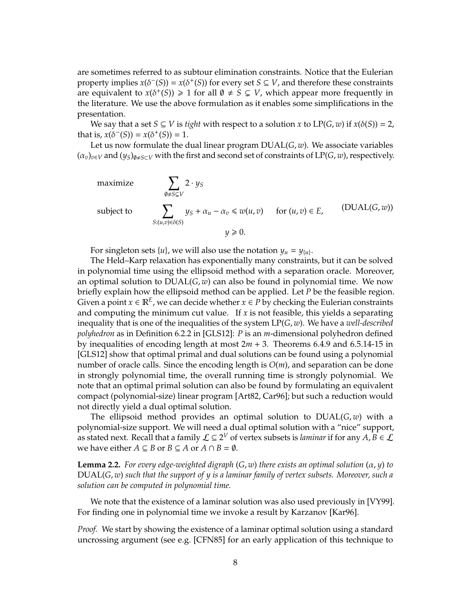are sometimes referred to as subtour elimination constraints. Notice that the Eulerian property implies  $x(\delta^-(S)) = x(\delta^+(S))$  for every set  $S \subseteq V$ , and therefore these constraints are equivalent to  $x(\delta^+(S)) \geq 1$  for all  $\emptyset \neq S \subsetneq V$ , which appear more frequently in the literature. We use the above formulation as it enables some simplifications in the presentation.

We say that a set  $S \subseteq V$  is *tight* with respect to a solution *x* to  $LP(G, w)$  if  $x(\delta(S)) = 2$ , that is,  $x(\delta^-(S)) = x(\delta^+(S)) = 1$ .

Let us now formulate the dual linear program DUAL(*G*, *w*). We associate variables  $(\alpha_v)_{v \in V}$  and  $(y_S)_{\emptyset \neq S \subset V}$  with the first and second set of constraints of LP(*G*, *w*), respectively.

maximize  
\nsubject to  
\n
$$
\sum_{\emptyset \neq S \subseteq V} 2 \cdot y_S
$$
\n
$$
\sum_{S:(u,v)\in \delta(S)} y_S + \alpha_u - \alpha_v \le w(u,v) \quad \text{for } (u,v) \in E,
$$
\n(DUAL(*G*, w))  
\n
$$
y \ge 0.
$$
\n(DVALU $(G, w)$ 

For singleton sets  $\{u\}$ , we will also use the notation  $y_u = y_{\{u\}}$ .

The Held–Karp relaxation has exponentially many constraints, but it can be solved in polynomial time using the ellipsoid method with a separation oracle. Moreover, an optimal solution to DUAL(*G*, *w*) can also be found in polynomial time. We now briefly explain how the ellipsoid method can be applied. Let *P* be the feasible region. Given a point  $x \in \mathbb{R}^E$ , we can decide whether  $x \in P$  by checking the Eulerian constraints and computing the minimum cut value. If *x* is not feasible, this yields a separating inequality that is one of the inequalities of the system LP(*G*, *w*). We have a *well-described polyhedron* as in Definition 6.2.2 in [GLS12]: *P* is an *m*-dimensional polyhedron defined by inequalities of encoding length at most 2*m* + 3. Theorems 6.4.9 and 6.5.14-15 in [GLS12] show that optimal primal and dual solutions can be found using a polynomial number of oracle calls. Since the encoding length is *O*(*m*), and separation can be done in strongly polynomial time, the overall running time is strongly polynomial. We note that an optimal primal solution can also be found by formulating an equivalent compact (polynomial-size) linear program [Art82, Car96]; but such a reduction would not directly yield a dual optimal solution.

The ellipsoid method provides an optimal solution to DUAL(*G*, *w*) with a polynomial-size support. We will need a dual optimal solution with a "nice" support, as stated next. Recall that a family  $\mathcal{L} \subseteq 2^V$  of vertex subsets is *laminar* if for any  $A, B \in \mathcal{L}$ we have either *A*  $\subseteq$  *B* or *B*  $\subseteq$  *A* or *A*  $\cap$  *B* =  $\emptyset$ .

**Lemma 2.2.** *For every edge-weighted digraph* (*G*, *w*) *there exists an optimal solution* (α, *y*) *to* DUAL(*G*, *w*) *such that the support of y is a laminar family of vertex subsets. Moreover, such a solution can be computed in polynomial time.*

We note that the existence of a laminar solution was also used previously in [VY99]. For finding one in polynomial time we invoke a result by Karzanov [Kar96].

*Proof.* We start by showing the existence of a laminar optimal solution using a standard uncrossing argument (see e.g. [CFN85] for an early application of this technique to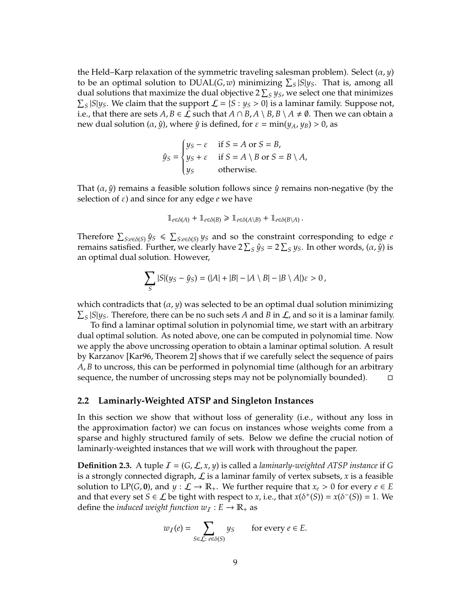the Held–Karp relaxation of the symmetric traveling salesman problem). Select  $(\alpha, \gamma)$ to be an optimal solution to  $DUAL(G, w)$  minimizing  $\sum_{S} |S| y_S$ . That is, among all dual solutions that maximize the dual objective 2  $\sum_{S} y_S$ , we select one that minimizes  $\sum_{S} |S| y_S$ . We claim that the support  $\mathcal{L} = \{S : y_S > 0\}$  is a laminar family. Suppose not, i.e., that there are sets *A*, *B* ∈  $\mathcal L$  such that *A* ∩ *B*, *A* \ *B*, *B* \ *A*  $\neq$   $\emptyset$ . Then we can obtain a new dual solution  $(\alpha, \hat{y})$ , where  $\hat{y}$  is defined, for  $\varepsilon = \min(y_A, y_B) > 0$ , as

$$
\hat{y}_S = \begin{cases} y_S - \varepsilon & \text{if } S = A \text{ or } S = B, \\ y_S + \varepsilon & \text{if } S = A \setminus B \text{ or } S = B \setminus A, \\ y_S & \text{otherwise.} \end{cases}
$$

That  $(\alpha, \hat{y})$  remains a feasible solution follows since  $\hat{y}$  remains non-negative (by the selection of ε) and since for any edge *e* we have

$$
\mathbb{1}_{e \in \delta(A)} + \mathbb{1}_{e \in \delta(B)} \ge \mathbb{1}_{e \in \delta(A \setminus B)} + \mathbb{1}_{e \in \delta(B \setminus A)}.
$$

Therefore  $\sum_{S: e \in \delta(S)} \hat{y}_S \le \sum_{S: e \in \delta(S)} y_S$  and so the constraint corresponding to edge *e* remains satisfied. Further, we clearly have  $2\sum_{S}\hat{y}_{S}=2\sum_{S}y_{S}$ . In other words,  $(\alpha,\hat{y})$  is an optimal dual solution. However,

$$
\sum_{S} |S|(y_S - \hat{y}_S) = (|A| + |B| - |A \setminus B| - |B \setminus A|)\varepsilon > 0,
$$

which contradicts that  $(\alpha, y)$  was selected to be an optimal dual solution minimizing  $\sum_{S} |S|y_S$ . Therefore, there can be no such sets *A* and *B* in *L*, and so it is a laminar family.

To find a laminar optimal solution in polynomial time, we start with an arbitrary dual optimal solution. As noted above, one can be computed in polynomial time. Now we apply the above uncrossing operation to obtain a laminar optimal solution. A result by Karzanov [Kar96, Theorem 2] shows that if we carefully select the sequence of pairs *A*, *B* to uncross, this can be performed in polynomial time (although for an arbitrary sequence, the number of uncrossing steps may not be polynomially bounded).

#### **2.2 Laminarly-Weighted ATSP and Singleton Instances**

In this section we show that without loss of generality (i.e., without any loss in the approximation factor) we can focus on instances whose weights come from a sparse and highly structured family of sets. Below we define the crucial notion of laminarly-weighted instances that we will work with throughout the paper.

**Definition 2.3.** A tuple  $I = (G, \mathcal{L}, x, y)$  is called a *laminarly-weighted ATSP instance* if G is a strongly connected digraph,  $\mathcal L$  is a laminar family of vertex subsets, x is a feasible solution to LP(*G*, **0**), and  $y : \mathcal{L} \to \mathbb{R}_+$ . We further require that  $x_e > 0$  for every  $e \in E$ and that every set *S*  $\in$  *L* be tight with respect to *x*, i.e., that *x*( $\delta^{+}(S)$ ) = *x*( $\delta^{-}(S)$ ) = 1. We define the *induced weight function*  $w_I : E \to \mathbb{R}_+$  as

$$
w_I(e) = \sum_{S \in \mathcal{L}: \ e \in \delta(S)} y_S \quad \text{for every } e \in E.
$$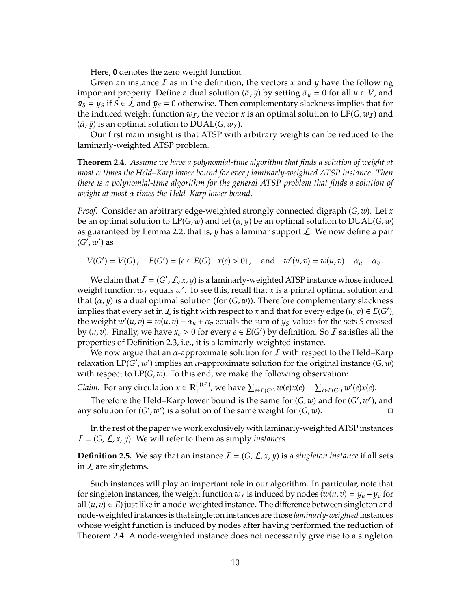Here, **0** denotes the zero weight function.

Given an instance I as in the definition, the vectors *x* and *y* have the following important property. Define a dual solution  $(\bar{\alpha}, \bar{y})$  by setting  $\bar{\alpha}_u = 0$  for all  $u \in V$ , and  $\bar{y}_S = y_S$  if  $S \in \mathcal{L}$  and  $\bar{y}_S = 0$  otherwise. Then complementary slackness implies that for the induced weight function  $w_I$ , the vector *x* is an optimal solution to LP(*G*,  $w_I$ ) and  $(\bar{\alpha}, \bar{\gamma})$  is an optimal solution to DUAL(*G*,  $w<sub>T</sub>$ ).

Our first main insight is that ATSP with arbitrary weights can be reduced to the laminarly-weighted ATSP problem.

**Theorem 2.4.** *Assume we have a polynomial-time algorithm that finds a solution of weight at most* α *times the Held–Karp lower bound for every laminarly-weighted ATSP instance. Then there is a polynomial-time algorithm for the general ATSP problem that finds a solution of weight at most* α *times the Held–Karp lower bound.*

*Proof.* Consider an arbitrary edge-weighted strongly connected digraph (*G*, *w*). Let *x* be an optimal solution to  $LP(G, w)$  and let  $(\alpha, y)$  be an optimal solution to  $DUAL(G, w)$ as guaranteed by Lemma 2.2, that is, *y* has a laminar support L. We now define a pair  $(G', w')$  as

 $V(G') = V(G)$ ,  $E(G') = \{e \in E(G) : x(e) > 0\}$ , and  $w'(u, v) = w(u, v) - \alpha_u + \alpha_v$ .

We claim that  $I = (G', \mathcal{L}, x, y)$  is a laminarly-weighted ATSP instance whose induced weight function  $w_I$  equals  $w'$ . To see this, recall that *x* is a primal optimal solution and that (α, *y*) is a dual optimal solution (for (*G*, *w*)). Therefore complementary slackness implies that every set in  $\mathcal L$  is tight with respect to *x* and that for every edge  $(u, v) \in E(G')$ , the weight  $w'(u, v) = w(u, v) - \alpha_u + \alpha_v$  equals the sum of *y<sub>S</sub>*-values for the sets *S* crossed by  $(u, v)$ . Finally, we have  $x_e > 0$  for every  $e \in E(G')$  by definition. So *I* satisfies all the properties of Definition 2.3, i.e., it is a laminarly-weighted instance.

We now argue that an  $\alpha$ -approximate solution for  $\bm{\mathcal{I}}$  with respect to the Held–Karp relaxation LP( $G'$ ,  $w'$ ) implies an  $\alpha$ -approximate solution for the original instance ( $G$ ,  $w$ ) with respect to LP(*G*, *w*). To this end, we make the following observation:

*Claim.* For any circulation  $x \in \mathbb{R}^{E(G')}$ *E*(*G*<sup>′</sup>), we have  $\sum_{e \in E(G')} w(e)x(e) = \sum_{e \in E(G')} w'(e)x(e)$ .

Therefore the Held–Karp lower bound is the same for  $(G, w)$  and for  $(G', w')$ , and any solution for  $(G', w')$  is a solution of the same weight for  $(G, w)$ .

In the rest of the paper we work exclusively with laminarly-weighted ATSP instances  $I = (G, \mathcal{L}, x, y)$ . We will refer to them as simply *instances*.

**Definition 2.5.** We say that an instance  $\mathcal{I} = (G, \mathcal{L}, x, y)$  is a *singleton instance* if all sets in  $\mathcal L$  are singletons.

Such instances will play an important role in our algorithm. In particular, note that for singleton instances, the weight function  $w_I$  is induced by nodes  $(w(u, v) = y_u + y_v$  for all  $(u, v)$  ∈ *E*) just like in a node-weighted instance. The difference between singleton and node-weighted instances is that singleton instances are those *laminarly-weighted* instances whose weight function is induced by nodes after having performed the reduction of Theorem 2.4. A node-weighted instance does not necessarily give rise to a singleton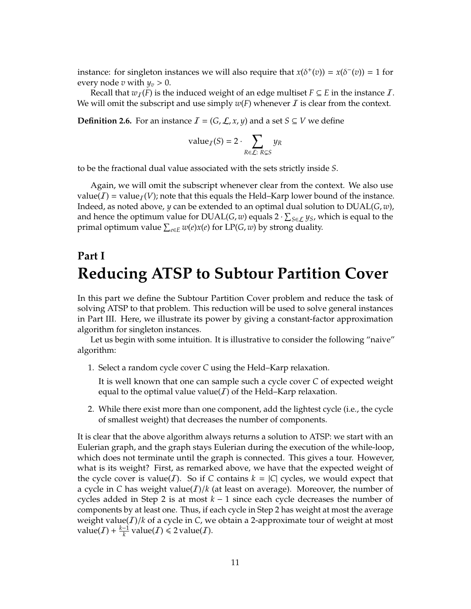instance: for singleton instances we will also require that  $x(\delta^+(v)) = x(\delta^-(v)) = 1$  for every node *v* with  $y_v > 0$ .

Recall that  $w_I(F)$  is the induced weight of an edge multiset  $F \subseteq E$  in the instance  $I$ . We will omit the subscript and use simply  $w(F)$  whenever  $\overline{I}$  is clear from the context.

**Definition 2.6.** For an instance  $I = (G, \mathcal{L}, x, y)$  and a set  $S \subseteq V$  we define

value<sub>I</sub>
$$
(S) = 2 \cdot \sum_{R \in \mathcal{L}: R \subsetneq S} y_R
$$

to be the fractional dual value associated with the sets strictly inside *S*.

Again, we will omit the subscript whenever clear from the context. We also use value(*I*) = value<sub>*I*</sub>(*V*); note that this equals the Held–Karp lower bound of the instance. Indeed, as noted above, *y* can be extended to an optimal dual solution to DUAL(*G*, *w*), and hence the optimum value for  $\text{DLAL}(G, w)$  equals  $2 \cdot \sum_{S \in \mathcal{L}} y_S$ , which is equal to the primal optimum value P *<sup>e</sup>*∈*<sup>E</sup> w*(*e*)*x*(*e*) for LP(*G*, *w*) by strong duality.

# **Part I Reducing ATSP to Subtour Partition Cover**

In this part we define the Subtour Partition Cover problem and reduce the task of solving ATSP to that problem. This reduction will be used to solve general instances in Part III. Here, we illustrate its power by giving a constant-factor approximation algorithm for singleton instances.

Let us begin with some intuition. It is illustrative to consider the following "naive" algorithm:

1. Select a random cycle cover *C* using the Held–Karp relaxation.

It is well known that one can sample such a cycle cover *C* of expected weight equal to the optimal value value(*I*) of the Held–Karp relaxation.

2. While there exist more than one component, add the lightest cycle (i.e., the cycle of smallest weight) that decreases the number of components.

It is clear that the above algorithm always returns a solution to ATSP: we start with an Eulerian graph, and the graph stays Eulerian during the execution of the while-loop, which does not terminate until the graph is connected. This gives a tour. However, what is its weight? First, as remarked above, we have that the expected weight of the cycle cover is value(*I*). So if *C* contains  $k = |C|$  cycles, we would expect that a cycle in *C* has weight value( $I$ )/ $k$  (at least on average). Moreover, the number of cycles added in Step 2 is at most *k* − 1 since each cycle decreases the number of components by at least one. Thus, if each cycle in Step 2 has weight at most the average weight value( $I$ )/ $k$  of a cycle in  $C$ , we obtain a 2-approximate tour of weight at most value(*I*) +  $\frac{k-1}{k}$  $\frac{-1}{k}$  value(*I*)  $\leq 2$  value(*I*).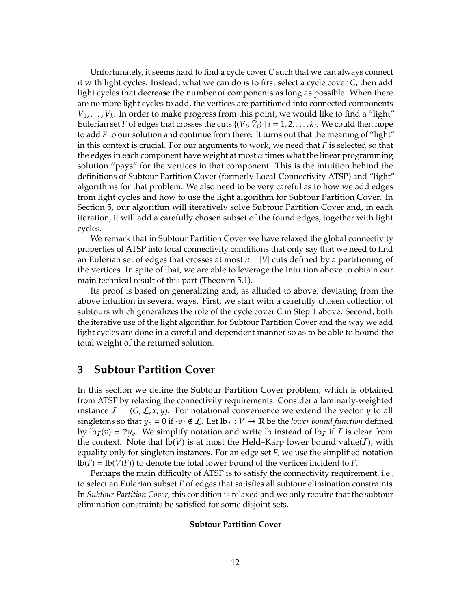Unfortunately, it seems hard to find a cycle cover *C* such that we can always connect it with light cycles. Instead, what we can do is to first select a cycle cover *C*, then add light cycles that decrease the number of components as long as possible. When there are no more light cycles to add, the vertices are partitioned into connected components  $V_1, \ldots, V_k$ . In order to make progress from this point, we would like to find a "light" Eulerian set *F* of edges that crosses the cuts  $\{(V_i, \bar{V}_i) \mid i = 1, 2, ..., k\}$ . We could then hope to add *F* to our solution and continue from there. It turns out that the meaning of "light" in this context is crucial. For our arguments to work, we need that *F* is selected so that the edges in each component have weight at most  $\alpha$  times what the linear programming solution "pays" for the vertices in that component. This is the intuition behind the definitions of Subtour Partition Cover (formerly Local-Connectivity ATSP) and "light" algorithms for that problem. We also need to be very careful as to how we add edges from light cycles and how to use the light algorithm for Subtour Partition Cover. In Section 5, our algorithm will iteratively solve Subtour Partition Cover and, in each iteration, it will add a carefully chosen subset of the found edges, together with light cycles.

We remark that in Subtour Partition Cover we have relaxed the global connectivity properties of ATSP into local connectivity conditions that only say that we need to find an Eulerian set of edges that crosses at most  $n = |V|$  cuts defined by a partitioning of the vertices. In spite of that, we are able to leverage the intuition above to obtain our main technical result of this part (Theorem 5.1).

Its proof is based on generalizing and, as alluded to above, deviating from the above intuition in several ways. First, we start with a carefully chosen collection of subtours which generalizes the role of the cycle cover *C* in Step 1 above. Second, both the iterative use of the light algorithm for Subtour Partition Cover and the way we add light cycles are done in a careful and dependent manner so as to be able to bound the total weight of the returned solution.

## **3 Subtour Partition Cover**

In this section we define the Subtour Partition Cover problem, which is obtained from ATSP by relaxing the connectivity requirements. Consider a laminarly-weighted instance  $\mathcal{I} = (G, \mathcal{L}, x, y)$ . For notational convenience we extend the vector *y* to all singletons so that  $y_v = 0$  if  $\{v\} \notin \mathcal{L}$ . Let  $lb_t : V \to \mathbb{R}$  be the *lower bound function* defined by  $\text{lb}_I(v) = 2y_v$ . We simplify notation and write lb instead of  $\text{lb}_I$  if I is clear from the context. Note that  $\text{lb}(V)$  is at most the Held–Karp lower bound value(*I*), with equality only for singleton instances. For an edge set *F*, we use the simplified notation  $\text{lb}(F) = \text{lb}(V(F))$  to denote the total lower bound of the vertices incident to *F*.

Perhaps the main difficulty of ATSP is to satisfy the connectivity requirement, i.e., to select an Eulerian subset *F* of edges that satisfies all subtour elimination constraints. In *Subtour Partition Cover*, this condition is relaxed and we only require that the subtour elimination constraints be satisfied for some disjoint sets.

**Subtour Partition Cover**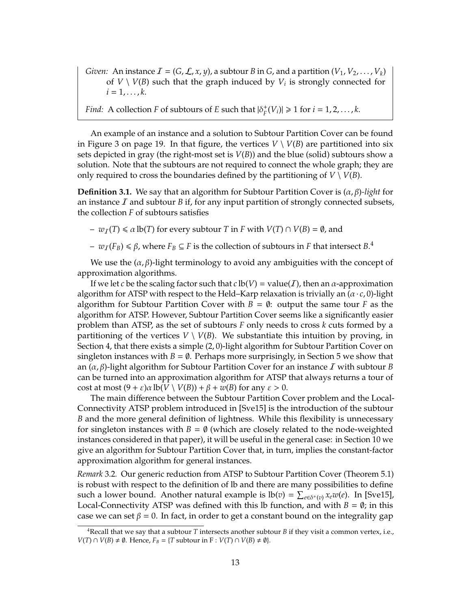- *Given:* An instance  $I = (G, \mathcal{L}, x, y)$ , a subtour *B* in *G*, and a partition  $(V_1, V_2, \ldots, V_k)$ of  $V \setminus V(B)$  such that the graph induced by  $V_i$  is strongly connected for  $i = 1, \ldots, k$ .
- *Find:* A collection *F* of subtours of *E* such that  $|\delta_F^+(V_i)| \ge 1$  for  $i = 1, 2, ..., k$ .

An example of an instance and a solution to Subtour Partition Cover can be found in Figure 3 on page 19. In that figure, the vertices  $V \setminus V(B)$  are partitioned into six sets depicted in gray (the right-most set is *V*(*B*)) and the blue (solid) subtours show a solution. Note that the subtours are not required to connect the whole graph; they are only required to cross the boundaries defined by the partitioning of  $V \setminus V(B)$ .

**Definition 3.1.** We say that an algorithm for Subtour Partition Cover is (α, β)*-light* for an instance  $I$  and subtour  $B$  if, for any input partition of strongly connected subsets, the collection *F* of subtours satisfies

 $- w_I(T) \le \alpha \text{ lb}(T)$  for every subtour *T* in *F* with  $V(T) \cap V(B) = \emptyset$ , and

 $- w_I(F_B)$  ≤ β, where  $F_B ⊆ F$  is the collection of subtours in *F* that intersect *B*.<sup>4</sup>

We use the  $(\alpha, \beta)$ -light terminology to avoid any ambiguities with the concept of approximation algorithms.

If we let *c* be the scaling factor such that  $c$  lb( $V$ ) = value( $I$ ), then an  $\alpha$ -approximation algorithm for ATSP with respect to the Held–Karp relaxation is trivially an  $(\alpha \cdot c, 0)$ -light algorithm for Subtour Partition Cover with  $B = \emptyset$ : output the same tour *F* as the algorithm for ATSP. However, Subtour Partition Cover seems like a significantly easier problem than ATSP, as the set of subtours *F* only needs to cross *k* cuts formed by a partitioning of the vertices  $V \setminus V(B)$ . We substantiate this intuition by proving, in Section 4, that there exists a simple (2, 0)-light algorithm for Subtour Partition Cover on singleton instances with  $B = \emptyset$ . Perhaps more surprisingly, in Section 5 we show that an  $(\alpha, \beta)$ -light algorithm for Subtour Partition Cover for an instance I with subtour *B* can be turned into an approximation algorithm for ATSP that always returns a tour of cost at most  $(9 + \varepsilon)\alpha \ln(V \setminus V(B)) + \beta + w(B)$  for any  $\varepsilon > 0$ .

The main difference between the Subtour Partition Cover problem and the Local-Connectivity ATSP problem introduced in [Sve15] is the introduction of the subtour *B* and the more general definition of lightness. While this flexibility is unnecessary for singleton instances with  $B = \emptyset$  (which are closely related to the node-weighted instances considered in that paper), it will be useful in the general case: in Section 10 we give an algorithm for Subtour Partition Cover that, in turn, implies the constant-factor approximation algorithm for general instances.

*Remark* 3.2*.* Our generic reduction from ATSP to Subtour Partition Cover (Theorem 5.1) is robust with respect to the definition of lb and there are many possibilities to define such a lower bound. Another natural example is  $lb(v) = \sum_{e \in \delta^+(v)} x_e w(e)$ . In [Sve15], Local-Connectivity ATSP was defined with this lb function, and with  $B = \emptyset$ ; in this case we can set  $\beta = 0$ . In fact, in order to get a constant bound on the integrality gap

<sup>4</sup>Recall that we say that a subtour *T* intersects another subtour *B* if they visit a common vertex, i.e., *V*(*T*) ∩ *V*(*B*)  $\neq$  Ø. Hence, *F*<sub>*B*</sub> = {*T* subtour in F : *V*(*T*) ∩ *V*(*B*)  $\neq$  Ø}.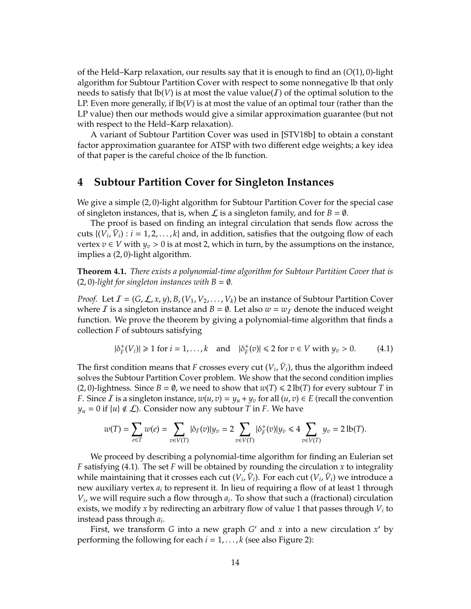of the Held–Karp relaxation, our results say that it is enough to find an (*O*(1), 0)-light algorithm for Subtour Partition Cover with respect to some nonnegative lb that only needs to satisfy that  $lb(V)$  is at most the value value( $I$ ) of the optimal solution to the LP. Even more generally, if lb(*V*) is at most the value of an optimal tour (rather than the LP value) then our methods would give a similar approximation guarantee (but not with respect to the Held–Karp relaxation).

A variant of Subtour Partition Cover was used in [STV18b] to obtain a constant factor approximation guarantee for ATSP with two different edge weights; a key idea of that paper is the careful choice of the lb function.

### **4 Subtour Partition Cover for Singleton Instances**

We give a simple (2,0)-light algorithm for Subtour Partition Cover for the special case of singleton instances, that is, when  $\mathcal L$  is a singleton family, and for  $B = \emptyset$ .

The proof is based on finding an integral circulation that sends flow across the cuts  $\{(\overline{V}_i, \overline{V}_i): i = 1, 2, ..., k\}$  and, in addition, satisfies that the outgoing flow of each vertex *v* ∈ *V* with  $y_v$  > 0 is at most 2, which in turn, by the assumptions on the instance, implies a (2, 0)-light algorithm.

**Theorem 4.1.** *There exists a polynomial-time algorithm for Subtour Partition Cover that is*  $(2, 0)$ -light for singleton instances with  $B = \emptyset$ .

*Proof.* Let  $\mathcal{I} = (G, \mathcal{L}, x, y)$ ,  $B$ ,  $(V_1, V_2, \ldots, V_k)$  be an instance of Subtour Partition Cover where *I* is a singleton instance and  $B = \emptyset$ . Let also  $w = w<sub>T</sub>$  denote the induced weight function. We prove the theorem by giving a polynomial-time algorithm that finds a collection *F* of subtours satisfying

$$
|\delta_F^+(V_i)| \ge 1 \text{ for } i = 1, \dots, k \quad \text{and} \quad |\delta_F^+(v)| \le 2 \text{ for } v \in V \text{ with } y_v > 0. \tag{4.1}
$$

The first condition means that *F* crosses every cut  $(V_i, \bar{V}_i)$ , thus the algorithm indeed solves the Subtour Partition Cover problem. We show that the second condition implies (2, 0)-lightness. Since *B* =  $\emptyset$ , we need to show that  $w(T) \le 2 \text{ lb}(T)$  for every subtour *T* in *F*. Since *I* is a singleton instance,  $w(u, v) = y_u + y_v$  for all  $(u, v) \in E$  (recall the convention  $y_u = 0$  if  $\{u\} \notin \mathcal{L}$ ). Consider now any subtour *T* in *F*. We have

$$
w(T)=\sum_{e\in T}w(e)=\sum_{v\in V(T)}|\delta_F(v)|y_v=2\sum_{v\in V(T)}|\delta^+_F(v)|y_v\leq 4\sum_{v\in V(T)}y_v=2\operatorname{lb}(T).
$$

We proceed by describing a polynomial-time algorithm for finding an Eulerian set *F* satisfying (4.1). The set *F* will be obtained by rounding the circulation *x* to integrality while maintaining that it crosses each cut  $(V_i, \bar{V}_i)$ . For each cut  $(V_i, \bar{V}_i)$  we introduce a new auxiliary vertex  $a_i$  to represent it. In lieu of requiring a flow of at least 1 through *Vi* , we will require such a flow through *a<sup>i</sup>* . To show that such a (fractional) circulation exists, we modify *x* by redirecting an arbitrary flow of value 1 that passes through *V<sup>i</sup>* to instead pass through *a<sup>i</sup>* .

First, we transform *G* into a new graph *G*' and *x* into a new circulation  $x'$  by performing the following for each  $i = 1, \ldots, k$  (see also Figure 2):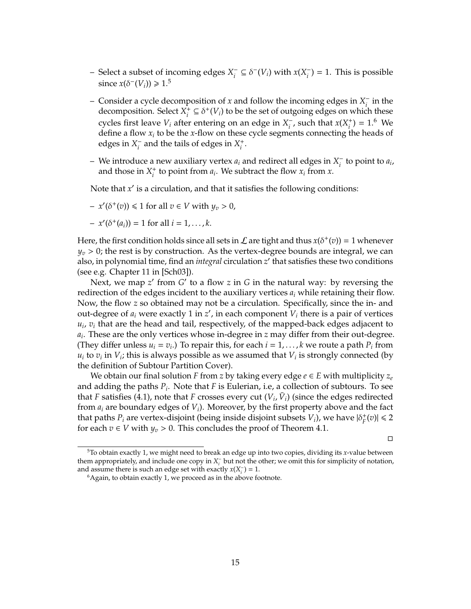- Select a subset of incoming edges *X* −  $\chi_i^- \subseteq \delta^-(V_i)$  with  $x(X_i^-)$  $i<sub>i</sub>$ <sup>-</sup> $)$  = 1. This is possible since  $x(\delta^{-}(V_i)) \geq 1.5$
- Consider a cycle decomposition of *x* and follow the incoming edges in *X* −  $\frac{1}{i}$  in the decomposition. Select *X* +  $\hat{C}_i^+ \subseteq \delta^+(V_i)$  to be the set of outgoing edges on which these cycles first leave  $V_i$  after entering on an edge in  $X_i^ \frac{1}{i}$ , such that  $x(X_i)$  $i_j^+$ ) = 1.<sup>6</sup> We define a flow *x<sup>i</sup>* to be the *x*-flow on these cycle segments connecting the heads of edges in *X* −  $\frac{1}{i}$  and the tails of edges in  $X_i^+$ *i* .
- We introduce a new auxiliary vertex *a<sup>i</sup>* and redirect all edges in *X* −  $\int_{i}^{-}$  to point to  $a_i$ , and those in  $X_i^+$  $\mathbf{x}_i^*$  to point from  $\mathbf{a}_i$ . We subtract the flow  $\mathbf{x}_i$  from  $\mathbf{x}_i$ .

Note that *x'* is a circulation, and that it satisfies the following conditions:

 $- x'(\delta^+(v)) \le 1$  for all  $v \in V$  with  $y_v > 0$ ,

$$
- x'(\delta^+(a_i)) = 1 \text{ for all } i = 1, \ldots, k.
$$

Here, the first condition holds since all sets in  $\mathcal L$  are tight and thus  $x(\delta^+(v)) = 1$  whenever  $y_v > 0$ ; the rest is by construction. As the vertex-degree bounds are integral, we can also, in polynomial time, find an *integral* circulation z' that satisfies these two conditions (see e.g. Chapter 11 in [Sch03]).

Next, we map *z'* from *G'* to a flow *z* in *G* in the natural way: by reversing the redirection of the edges incident to the auxiliary vertices *a<sup>i</sup>* while retaining their flow. Now, the flow *z* so obtained may not be a circulation. Specifically, since the in- and out-degree of  $a_i$  were exactly 1 in  $z'$ , in each component  $V_i$  there is a pair of vertices  $u_i$ ,  $v_i$  that are the head and tail, respectively, of the mapped-back edges adjacent to *ai* . These are the only vertices whose in-degree in *z* may differ from their out-degree. (They differ unless  $u_i = v_i$ .) To repair this, for each  $i = 1, ..., k$  we route a path  $P_i$  from  $u_i$  to  $v_i$  in  $V_i$ ; this is always possible as we assumed that  $V_i$  is strongly connected (by the definition of Subtour Partition Cover).

We obtain our final solution *F* from *z* by taking every edge  $e \in E$  with multiplicity  $z_e$ and adding the paths *P<sup>i</sup>* . Note that *F* is Eulerian, i.e, a collection of subtours. To see that *F* satisfies (4.1), note that *F* crosses every cut  $(V_i, \bar{V}_i)$  (since the edges redirected from *a<sup>i</sup>* are boundary edges of *Vi*). Moreover, by the first property above and the fact that paths  $P_i$  are vertex-disjoint (being inside disjoint subsets  $V_i$ ), we have  $|\delta_F^+(v)| \le 2$ for each  $v \in V$  with  $y_v > 0$ . This concludes the proof of Theorem 4.1.

 $\Box$ 

<sup>5</sup>To obtain exactly 1, we might need to break an edge up into two copies, dividing its *x*-value between them appropriately, and include one copy in  $X_i^-$  but not the other; we omit this for simplicity of notation, and assume there is such an edge set with exactly  $x(X_i^-) = 1$ .

 $6A$ gain, to obtain exactly 1, we proceed as in the above footnote.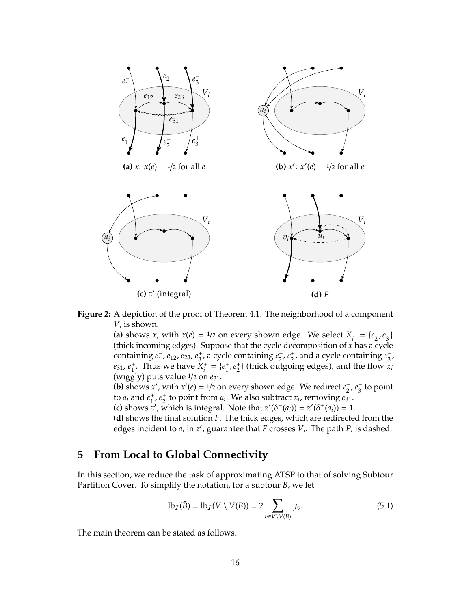

**Figure 2:** A depiction of the proof of Theorem 4.1. The neighborhood of a component  $V_i$  is shown.

(a) shows *x*, with  $x(e) = \frac{1}{2}$  on every shown edge. We select  $X_i^$  $i_{i}^{-} = \{e_{2}^{-}\}$  $\frac{1}{2}$ ,  $e_3^ \frac{1}{3}$ (thick incoming edges). Suppose that the cycle decomposition of *x* has a cycle containing *e* −  $\frac{1}{1}$ ,  $e_{12}$ ,  $e_{23}$ ,  $e_{3}^{+}$  $\frac{1}{3}$ , a cycle containing  $e_2^ \frac{1}{2}$ ,  $e_2$ <sup>+</sup>  $_2^+$ , and a cycle containing  $e_3^-$ 3 , *e*31, *e* +  $\frac{1}{1}$ . Thus we have  $X_i^+$  $i^+$  =  $\{e_1^+$  $^+_1, e^+_2$  $\frac{1}{2}$ } (thick outgoing edges), and the flow  $\frac{1}{x_i}$ (wiggly) puts value <sup>1</sup>/<sup>2</sup> on *e*31.

**(b)** shows *x'*, with *x'*(*e*) = 1/2 on every shown edge. We redirect *e*<sub>2</sub>  $\frac{1}{2}$ ,  $e_3^ _3^-$  to point to  $a_i$  and  $e_1^+$  $^{+}_{1}$ ,  $e_{2}^{+}$ <sup>+</sup><sub>2</sub> to point from  $a_i$ . We also subtract  $x_i$ , removing  $e_{31}$ .

**(c)** shows  $z'$ , which is integral. Note that  $z'(\delta^-(a_i)) = z'(\delta^+(a_i)) = 1$ .

**(d)** shows the final solution *F*. The thick edges, which are redirected from the edges incident to  $a_i$  in  $z'$ , guarantee that *F* crosses  $V_i$ . The path  $P_i$  is dashed.

## **5 From Local to Global Connectivity**

In this section, we reduce the task of approximating ATSP to that of solving Subtour Partition Cover. To simplify the notation, for a subtour *B*, we let

$$
\mathrm{lb}_T(\bar{B}) = \mathrm{lb}_T(V \setminus V(B)) = 2 \sum_{v \in V \setminus V(B)} y_v. \tag{5.1}
$$

The main theorem can be stated as follows.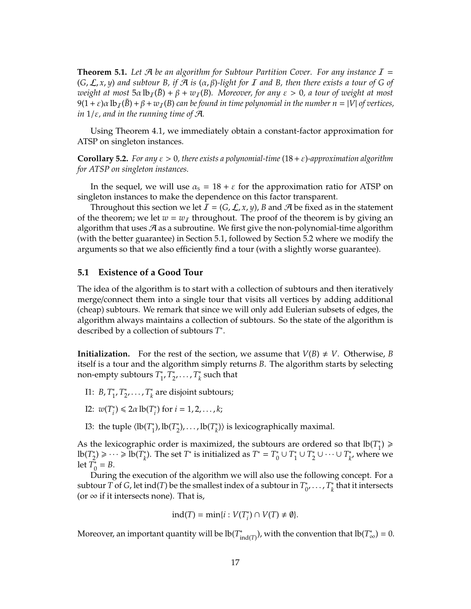**Theorem 5.1.** Let  $\mathcal A$  be an algorithm for Subtour Partition Cover. For any instance  $I =$  $(G, \mathcal{L}, x, y)$  *and subtour B, if*  $\mathcal{A}$  *is*  $(\alpha, \beta)$ *-light for I and B, then there exists a tour of G of weight at most*  $5\alpha \text{ lb}_I(\bar{B}) + \beta + w_I(B)$ *. Moreover, for any*  $\varepsilon > 0$ *, a tour of weight at most*  $9(1 + \varepsilon)\alpha \, \text{lb}_I(B) + \beta + w_I(B)$  can be found in time polynomial in the number  $n = |V|$  of vertices, *in* 1/ε*, and in the running time of* A*.*

Using Theorem 4.1, we immediately obtain a constant-factor approximation for ATSP on singleton instances.

**Corollary 5.2.** *For any* ε > 0*, there exists a polynomial-time* (18+ε)*-approximation algorithm for ATSP on singleton instances.*

In the sequel, we will use  $\alpha_s = 18 + \varepsilon$  for the approximation ratio for ATSP on singleton instances to make the dependence on this factor transparent.

Throughout this section we let  $\mathcal{I} = (G, \mathcal{L}, x, y)$ , *B* and  $\mathcal{A}$  be fixed as in the statement of the theorem; we let  $w = w_I$  throughout. The proof of the theorem is by giving an algorithm that uses  $\mathcal A$  as a subroutine. We first give the non-polynomial-time algorithm (with the better guarantee) in Section 5.1, followed by Section 5.2 where we modify the arguments so that we also efficiently find a tour (with a slightly worse guarantee).

#### **5.1 Existence of a Good Tour**

The idea of the algorithm is to start with a collection of subtours and then iteratively merge/connect them into a single tour that visits all vertices by adding additional (cheap) subtours. We remark that since we will only add Eulerian subsets of edges, the algorithm always maintains a collection of subtours. So the state of the algorithm is described by a collection of subtours *T* ∗ .

**Initialization.** For the rest of the section, we assume that  $V(B) \neq V$ . Otherwise, *B* itself is a tour and the algorithm simply returns *B*. The algorithm starts by selecting non-empty subtours *T* ∗ 1 , *T* ∗ ,<br><sub>2</sub>, . . . , T<sub>\*</sub> *k* such that

- I1: *B*, *T* ∗ 1 , *T* ∗ <sup>\*</sup><sub>2</sub>, . . . ,  $T_{k}^{*}$ *k* are disjoint subtours;
- I2:  $w(T_i^*$ <sup>\*</sup><sub>*i*</sub></sub> $\leq 2a \text{ lb}(T_i^*)$  $i$ <sup>\*</sup>) for  $i = 1, 2, ..., k$ ;
- I3: the tuple  $\langle$ lb( $T_1^*$ <sup>\*</sup><sub>1</sub>), lb( $T_2^*$ <sup>\*</sup><sub>2</sub>), ..., lb( $T_k^*$ <sup>\*</sup><sub>k</sub>) is lexicographically maximal.

As the lexicographic order is maximized, the subtours are ordered so that  $lb(T_1^*$  $_{1}^{*}$ )  $\geqslant$  $lb(T_2^*)$  $\binom{2}{2}$  ≥ ··· ≥ lb( $T_k^*$  $\binom{4}{k}$ . The set  $T^*$  is initialized as  $T^* = T_0^*$  $\binom{*}{0}$  ∪  $T_1^*$ 1 ∪ *T* ∗ <sup>\*</sup><sub>2</sub> ∪ · · · ∪  $T_k^*$  $\kappa$ <sup>\*</sup>, where we let *T* ∗  $_{0}^{*} = B.$ 

During the execution of the algorithm we will also use the following concept. For a subtour *T* of *G*, let ind(*T*) be the smallest index of a subtour in  $T_0^*$  $_{0}^{*},\ldots,T_{k}^{*}$  $\frac{k}{k}$  that it intersects (or  $\infty$  if it intersects none). That is,

$$
ind(T) = min\{i : V(T_i^*) \cap V(T) \neq \emptyset\}.
$$

Moreover, an important quantity will be lb(*T* ∗  $\lim_{x \to \text{ind}(T)}$ ), with the convention that  $\text{lb}(T^*_{\infty}) = 0$ .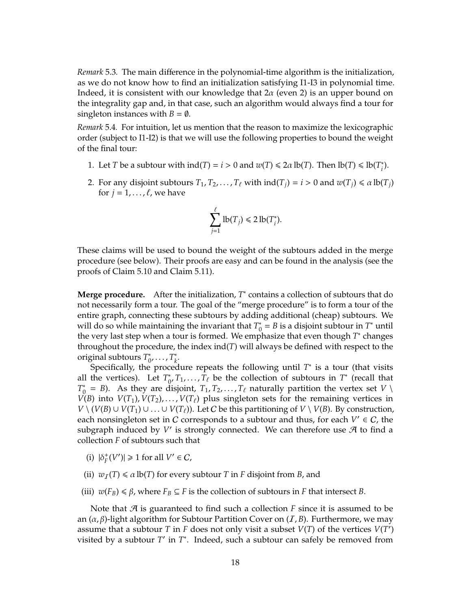*Remark* 5.3*.* The main difference in the polynomial-time algorithm is the initialization, as we do not know how to find an initialization satisfying I1-I3 in polynomial time. Indeed, it is consistent with our knowledge that  $2\alpha$  (even 2) is an upper bound on the integrality gap and, in that case, such an algorithm would always find a tour for singleton instances with  $B = \emptyset$ .

*Remark* 5.4*.* For intuition, let us mention that the reason to maximize the lexicographic order (subject to I1-I2) is that we will use the following properties to bound the weight of the final tour:

- 1. Let *T* be a subtour with  $\text{ind}(T) = i > 0$  and  $w(T) \le 2\alpha \text{ lb}(T)$ . Then  $\text{lb}(T) \le \text{lb}(T)$ ; *i* ).
- 2. For any disjoint subtours  $T_1, T_2, \ldots, T_\ell$  with  $\text{ind}(T_i) = i > 0$  and  $w(T_i) \le \alpha \text{ lb}(T_i)$ for  $j = 1, \ldots, \ell$ , we have

$$
\sum_{j=1}^{\ell} \text{lb}(T_j) \leq 2 \text{ lb}(T_i^*).
$$

These claims will be used to bound the weight of the subtours added in the merge procedure (see below). Their proofs are easy and can be found in the analysis (see the proofs of Claim 5.10 and Claim 5.11).

Merge procedure. After the initialization,  $T^*$  contains a collection of subtours that do not necessarily form a tour. The goal of the "merge procedure" is to form a tour of the entire graph, connecting these subtours by adding additional (cheap) subtours. We will do so while maintaining the invariant that  $T_0^*$  $\sum_{0}^{*}$  = *B* is a disjoint subtour in *T*<sup>\*</sup> until the very last step when a tour is formed. We emphasize that even though *T* ∗ changes throughout the procedure, the index ind(*T*) will always be defined with respect to the original subtours *T* ∗ \*<sub>0</sub>, . . . , *T*<sub>\*</sub> *k* .

Specifically, the procedure repeats the following until *T* ∗ is a tour (that visits all the vertices). Let  $T_0^*$  $\frac{1}{0}$ , *T*<sub>1</sub>, ..., *T*<sub> $\ell$ </sub> be the collection of subtours in *T*<sup>\*</sup> (recall that *T* ∗  $\mathcal{O}_0^* = B$ ). As they are disjoint,  $T_1, T_2, \ldots, T_\ell$  naturally partition the vertex set *V*  $\setminus$ *V*(*B*) into *V*(*T*<sub>1</sub>), *V*(*T*<sub>2</sub>), . . . , *V*(*T*<sub> $\ell$ </sub>) plus singleton sets for the remaining vertices in *V* \ (*V*(*B*) ∪ *V*(*T*<sub>1</sub>) ∪ . . . ∪ *V*(*T*<sub>*t*</sub>)). Let *C* be this partitioning of *V* \ *V*(*B*). By construction, each nonsingleton set in C corresponds to a subtour and thus, for each  $V' \in C$ , the subgraph induced by  $V'$  is strongly connected. We can therefore use  $\mathcal A$  to find a collection *F* of subtours such that

- (i)  $|\delta_F^+(V')| \ge 1$  for all  $V' \in C$ ,
- (ii)  $w_T(T) \le \alpha \, \text{lb}(T)$  for every subtour *T* in *F* disjoint from *B*, and
- (iii)  $w(F_B) \le \beta$ , where  $F_B \subseteq F$  is the collection of subtours in *F* that intersect *B*.

Note that  $\mathcal A$  is guaranteed to find such a collection  $F$  since it is assumed to be an  $(\alpha, \beta)$ -light algorithm for Subtour Partition Cover on  $(\mathcal{I}, \mathcal{B})$ . Furthermore, we may assume that a subtour *T* in *F* does not only visit a subset  $V(T)$  of the vertices  $V(T')$ visited by a subtour  $T'$  in  $T^*$ . Indeed, such a subtour can safely be removed from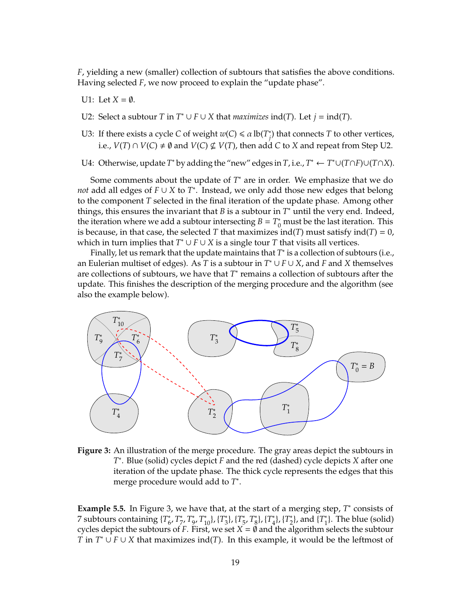*F*, yielding a new (smaller) collection of subtours that satisfies the above conditions. Having selected *F*, we now proceed to explain the "update phase".

- U1: Let  $X = \emptyset$ .
- U2: Select a subtour *T* in  $T^* \cup F \cup X$  that *maximizes* ind(*T*). Let  $j = \text{ind}(T)$ .
- U3: If there exists a cycle *C* of weight  $w(C) \le \alpha \ln(T^*$ *j* ) that connects *T* to other vertices, i.e., *V*(*T*) ∩ *V*(*C*)  $\neq$  Ø and *V*(*C*)  $\nsubseteq$  *V*(*T*), then add *C* to *X* and repeat from Step U2.
- U4: Otherwise, update  $T^*$  by adding the "new" edges in  $T$ , i.e.,  $T^* \leftarrow T^* \cup (T \cap F) \cup (T \cap X)$ .

Some comments about the update of *T* <sup>∗</sup> are in order. We emphasize that we do *not* add all edges of *F* ∪ *X* to *T* ∗ . Instead, we only add those new edges that belong to the component *T* selected in the final iteration of the update phase. Among other things, this ensures the invariant that *B* is a subtour in *T* <sup>∗</sup> until the very end. Indeed, the iteration where we add a subtour intersecting  $B = T_0^*$  must be the last iteration. This is because, in that case, the selected *T* that maximizes ind(*T*) must satisfy ind(*T*) = 0, which in turn implies that  $T^* \cup F \cup X$  is a single tour *T* that visits all vertices.

Finally, let us remark that the update maintains that *T*<sup>\*</sup> is a collection of subtours (i.e., an Eulerian multiset of edges). As *T* is a subtour in *T* <sup>∗</sup> ∪ *F* ∪ *X*, and *F* and *X* themselves are collections of subtours, we have that  $T^*$  remains a collection of subtours after the update. This finishes the description of the merging procedure and the algorithm (see also the example below).



**Figure 3:** An illustration of the merge procedure. The gray areas depict the subtours in *T* ∗ . Blue (solid) cycles depict *F* and the red (dashed) cycle depicts *X* after one iteration of the update phase. The thick cycle represents the edges that this merge procedure would add to *T* ∗ .

Example 5.5. In Figure 3, we have that, at the start of a merging step, T<sup>\*</sup> consists of 7 subtours containing {*T* ∗ 6 , *T* ∗ 7 , *T* ∗ 9 , *T* ∗ <sup>10</sup>}, {*<sup>T</sup>* ∗ \*<sub>3</sub>}, {*T*<sub>5</sub> 5 , *T* ∗  $\{T_4^*\}, \{T_4^*\}$  $\{T_2^*\}$ ,  $\{T_2^*\}$  $_{2}^{*}$ , and  $\{T_{1}^{*}\}$  $_{1}^{*}$ . The blue (solid) cycles depict the subtours of *F*. First, we set  $X = \emptyset$  and the algorithm selects the subtour *T* in  $T^* \cup F \cup X$  that maximizes ind(*T*). In this example, it would be the leftmost of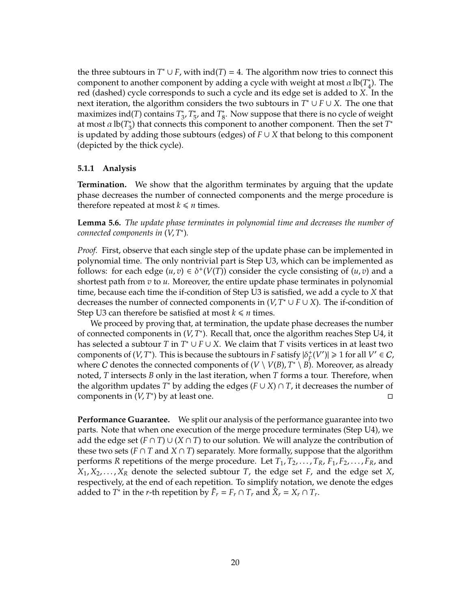the three subtours in  $T^* \cup F$ , with  $ind(T) = 4$ . The algorithm now tries to connect this component to another component by adding a cycle with weight at most  $\alpha$  lb( $T_A^*$  $_{4}^{\circ}$ ). The red (dashed) cycle corresponds to such a cycle and its edge set is added to *X*. In the next iteration, the algorithm considers the two subtours in *T* <sup>∗</sup> ∪ *F* ∪ *X*. The one that maximizes ind(*T*) contains *T* ∗ 3 , *T* ∗ 5 , and *T* ∗ \*. Now suppose that there is no cycle of weight at most  $\alpha$  lb( $T_3^*$ 3 ) that connects this component to another component. Then the set *T* ∗ is updated by adding those subtours (edges) of  $F \cup X$  that belong to this component (depicted by the thick cycle).

#### **5.1.1 Analysis**

**Termination.** We show that the algorithm terminates by arguing that the update phase decreases the number of connected components and the merge procedure is therefore repeated at most  $k \leq n$  times.

**Lemma 5.6.** *The update phase terminates in polynomial time and decreases the number of connected components in* (*V*, *T* ∗ )*.*

*Proof.* First, observe that each single step of the update phase can be implemented in polynomial time. The only nontrivial part is Step U3, which can be implemented as follows: for each edge  $(u, v) \in \delta^+(V(T))$  consider the cycle consisting of  $(u, v)$  and a shortest path from *v* to *u*. Moreover, the entire update phase terminates in polynomial time, because each time the if-condition of Step U3 is satisfied, we add a cycle to *X* that decreases the number of connected components in  $(V, T^* \cup F \cup X)$ . The if-condition of Step U3 can therefore be satisfied at most  $k \le n$  times.

We proceed by proving that, at termination, the update phase decreases the number of connected components in (*V*, *T*<sup>\*</sup>). Recall that, once the algorithm reaches Step U4, it has selected a subtour *T* in *T* <sup>∗</sup> ∪ *F* ∪ *X*. We claim that *T* visits vertices in at least two components of  $(V, T^*)$ . This is because the subtours in *F* satisfy  $|\delta^+_F(V')| \geq 1$  for all  $V' \in C$ , where C denotes the connected components of  $(V \setminus V(B), T^* \setminus B)$ . Moreover, as already noted, *T* intersects *B* only in the last iteration, when *T* forms a tour. Therefore, when the algorithm updates *T* <sup>∗</sup> by adding the edges (*F* ∪ *X*) ∩ *T*, it decreases the number of components in  $(V, T^*)$  by at least one.

**Performance Guarantee.** We split our analysis of the performance guarantee into two parts. Note that when one execution of the merge procedure terminates (Step U4), we add the edge set  $(F \cap T) \cup (X \cap T)$  to our solution. We will analyze the contribution of these two sets ( $F \cap T$  and  $X \cap T$ ) separately. More formally, suppose that the algorithm performs *R* repetitions of the merge procedure. Let  $T_1, T_2, \ldots, T_R, F_1, F_2, \ldots, F_R$ , and  $X_1, X_2, \ldots, X_R$  denote the selected subtour *T*, the edge set *F*, and the edge set *X*, respectively, at the end of each repetition. To simplify notation, we denote the edges added to  $T^*$  in the *r*-th repetition by  $\tilde{F}_r = F_r \cap T_r$  and  $\tilde{X}_r = X_r \cap T_r$ .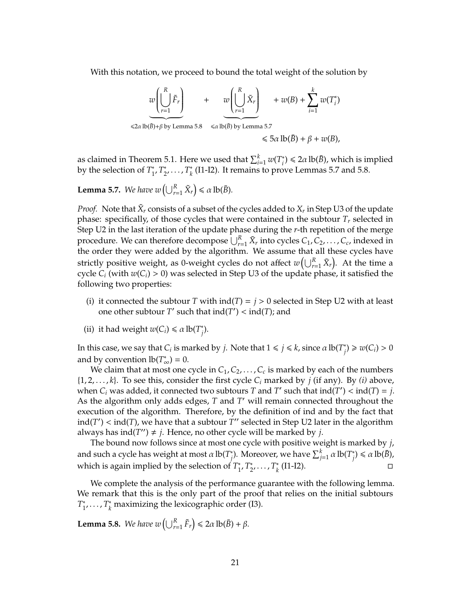With this notation, we proceed to bound the total weight of the solution by

$$
w\left(\bigcup_{r=1}^{R} \tilde{F}_{r}\right) + w(B) + \sum_{i=1}^{k} w(T_{i}^{*})
$$
  
\n
$$
\leq \alpha \ln(B) + \beta \text{ by Lemma 5.8} \leq \alpha \ln(B) \text{ by Lemma 5.7}
$$
  
\n
$$
\leq \frac{5\alpha \ln(B)}{5\alpha \ln(B)} + \beta + w(B),
$$

as claimed in Theorem 5.1. Here we used that  $\sum_{i=1}^k w(T^*_i)$  $\binom{a}{i} \leq 2\alpha \operatorname{lb}(\bar{B})$ , which is implied by the selection of *T* ∗ 1 , *T* ∗  $x_2, \ldots, T_k^*$ *k* (I1-I2). It remains to prove Lemmas 5.7 and 5.8.

**Lemma 5.7.** *We have w*  $\left(\bigcup_{r=1}^R \tilde{X}_r\right) \le \alpha \operatorname{lb}(\bar{B})$ *.* 

*Proof.* Note that  $\tilde{X}_r$  consists of a subset of the cycles added to  $X_r$  in Step U3 of the update phase: specifically, of those cycles that were contained in the subtour  $T_r$  selected in Step U2 in the last iteration of the update phase during the *r*-th repetition of the merge procedure. We can therefore decompose  $\bigcup_{r=1}^R \tilde{X}_r$  into cycles  $C_1, C_2, \ldots, C_c$ , indexed in the order they were added by the algorithm. We assume that all these cycles have strictly positive weight, as 0-weight cycles do not affect  $w\left(\bigcup_{r=1}^R \tilde{X}_r\right)$ . At the time a cycle  $C_i$  (with  $w(C_i) > 0$ ) was selected in Step U3 of the update phase, it satisfied the following two properties:

- (i) it connected the subtour *T* with  $\text{ind}(T) = j > 0$  selected in Step U2 with at least one other subtour *T'* such that  $ind(T') < ind(T)$ ; and
- (ii) it had weight  $w(C_i) \le \alpha \, \text{lb}(T_i)$ *j* ).

In this case, we say that  $C_i$  is marked by *j*. Note that  $1 \leq j \leq k$ , since  $\alpha \text{ lb}(T^*_i)$  $y_j^*$   $\geq w(C_i) > 0$ and by convention  $\text{lb}(T^*_{\infty})=0$ .

We claim that at most one cycle in  $C_1, C_2, \ldots, C_c$  is marked by each of the numbers  $\{1, 2, \ldots, k\}$ . To see this, consider the first cycle  $C_i$  marked by *j* (if any). By *(i)* above, when  $C_i$  was added, it connected two subtours *T* and *T'* such that  $\text{ind}(T') < \text{ind}(T) = j$ . As the algorithm only adds edges, *T* and *T'* will remain connected throughout the execution of the algorithm. Therefore, by the definition of ind and by the fact that  $ind(T') < ind(T)$ , we have that a subtour  $T''$  selected in Step U2 later in the algorithm always has  $ind(T'') \neq j$ . Hence, no other cycle will be marked by *j*.

The bound now follows since at most one cycle with positive weight is marked by *j*, and such a cycle has weight at most α lb(*T* ∗  $\mathcal{E}_{j}^k$ ). Moreover, we have  $\sum_{j=1}^k \alpha \, \text{lb}(T^*_{j})$  $j^*$ )  $\leq \alpha \text{ lb}(\bar{B})$ , which is again implied by the selection of  $T_1^*$ 1 , *T* ∗ \*<sub>2</sub>, . . . , *T*<sub>\*</sub>  $\frac{1}{k}$  (I1-I2).

We complete the analysis of the performance guarantee with the following lemma. We remark that this is the only part of the proof that relies on the initial subtours *T* ∗ <sup>\*</sup><sub>1</sub>, ..., *T*<sup>\*</sup><sub>*k*</sub> maximizing the lexicographic order (I3).

**Lemma 5.8.** *We have w*  $\left(\bigcup_{r=1}^{R} \tilde{F}_r\right) \leq 2\alpha \, \text{lb}(\bar{B}) + \beta$ *.*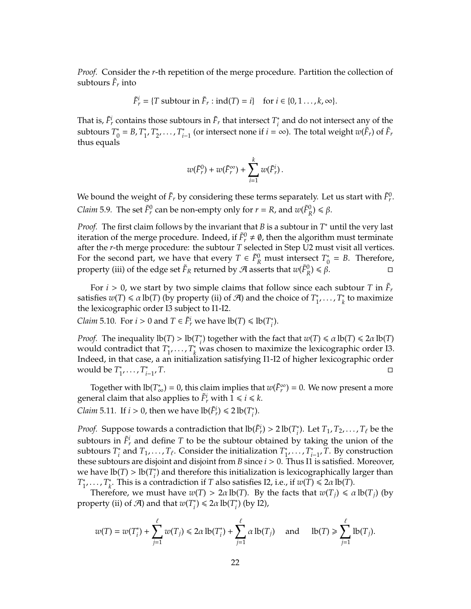*Proof.* Consider the *r*-th repetition of the merge procedure. Partition the collection of subtours  $\tilde{F}_r$  into

$$
\tilde{F}_r^i = \{T \text{ subtour in } \tilde{F}_r : \text{ind}(T) = i\} \quad \text{for } i \in \{0, 1, \ldots, k, \infty\}.
$$

That is,  $\tilde{F}_r^i$  contains those subtours in  $\tilde{F}_r$  that intersect  $T_i^*$  $\sum_{i=1}^{n}$  and do not intersect any of the subtours *T* ∗  $_{0}^{*} = B, T_{1}^{*}$ 1 , *T* ∗ \*<sub>2</sub>, . . . , *T*<sub>i</sub>  $i$ <sup> $\dagger$ </sup> (or intersect none if *i* = ∞). The total weight *w*( $\tilde{F}_r$ ) of  $\tilde{F}_r$ thus equals

$$
w(\tilde{F}_r^0)+w(\tilde{F}_r^{\infty})+\sum_{i=1}^k w(\tilde{F}_r^i).
$$

We bound the weight of  $\tilde{F}_r$  by considering these terms separately. Let us start with  $\tilde{F}^0_r$ . *Claim* 5.9. The set  $\tilde{F}^0_r$  can be non-empty only for  $r = R$ , and  $w(\tilde{F}^0_R) \le \beta$ .

*Proof.* The first claim follows by the invariant that *B* is a subtour in *T*<sup>∗</sup> until the very last iteration of the merge procedure. Indeed, if  $\tilde{F}^0_r \neq \emptyset$ , then the algorithm must terminate after the *r*-th merge procedure: the subtour *T* selected in Step U2 must visit all vertices. For the second part, we have that every  $T \in \tilde{F}_R^0$  must intersect  $T_0^*$  $_{0}^{\ast}$  = *B*. Therefore, property (iii) of the edge set  $\tilde{F}_R$  returned by  $\mathcal A$  asserts that  $w(\tilde{F}_R^0) \leq \beta$ .

For  $i > 0$ , we start by two simple claims that follow since each subtour *T* in  $\tilde{F}_r$ satisfies  $w(T) \le \alpha \, \text{lb}(T)$  (by property (ii) of  $\mathcal{A}$ ) and the choice of  $T_1^*$ <sup>\*</sup><sub>1</sub>, ...,  $T_k^*$ *k* to maximize the lexicographic order I3 subject to I1-I2.

*Claim* 5.10. For *i* > 0 and  $T \in \tilde{F}_r^i$  we have  $\text{lb}(T) \leq \text{lb}(T_i^*)$ *i* ).

*Proof.* The inequality  $\text{lb}(T) > \text{lb}(T)$ ; <sup>\*</sup><sub>*i*</sub></sub>) together with the fact that  $w(T) \le \alpha \text{ lb}(T) \le 2\alpha \text{ lb}(T)$ would contradict that *T* ∗  $T_1^*$ ,  $T_k^*$  was chosen to maximize the lexicographic order I3. Indeed, in that case, a an initialization satisfying I1-I2 of higher lexicographic order would be *T* ∗  $T_i^*$ , . . . ,  $T_i^*$ *i*−1 , *T*.

Together with  $\text{lb}(T^*_{\infty}) = 0$ , this claim implies that  $w(\tilde{F}_r^{\infty}) = 0$ . We now present a more general claim that also applies to  $\tilde{F}^i_r$  with  $1 \leq i \leq k$ .

*Claim* 5.11*.* If *i* > 0, then we have  $\text{lb}(\tilde{F}_r^i) \le 2 \text{ lb}(T_i^*$ *i* ).

*Proof.* Suppose towards a contradiction that  $\text{lb}(\tilde{F}_r^i) > 2 \text{ lb}(T_i^*$  $T_i^*$ ). Let  $T_1, T_2, \ldots, T_\ell$  be the subtours in  $\tilde{F}^i_r$  and define  $T$  to be the subtour obtained by taking the union of the subtours *T* ∗ <sup>\*</sup><sub>*i*</sub> and *T*<sub>1</sub>, . . . , *T*<sub> $\ell$ </sub>. Consider the initialization *T*<sup>\*</sup><sub>1</sub> ∗<br><u>1</u>′ · · · *, T*<sup>\*</sup> *i*−1 , *T*. By construction these subtours are disjoint and disjoint from *B* since *i* > 0. Thus I1 is satisfied. Moreover, we have  $\text{lb}(T) > \text{lb}(T_i^*$ <sup>\*</sup>/<sup>\*</sup>/ and therefore this initialization is lexicographically larger than *T* ∗ <sup>\*</sup><sub>1</sub>,  $\ldots$ ,  $T_k^*$ <sup>*k*</sup>. This is a contradiction if *T* also satisfies I2, i.e., if  $w(T) \le 2\alpha \text{ lb}(T)$ .

Therefore, we must have  $w(T) > 2\alpha \text{ lb}(T)$ . By the facts that  $w(T_i) \le \alpha \text{ lb}(T_i)$  (by property (ii) of  $\mathcal{A}$ ) and that  $w(T_i^*$  $\binom{n}{i}$   $\leq 2\alpha \ln(T_i)$ *i* ) (by I2),

$$
w(T) = w(T_i^*) + \sum_{j=1}^\ell w(T_j) \leq 2\alpha \operatorname{lb}(T_i^*) + \sum_{j=1}^\ell \alpha \operatorname{lb}(T_j) \quad \text{ and } \quad \operatorname{lb}(T) \geq \sum_{j=1}^\ell \operatorname{lb}(T_j).
$$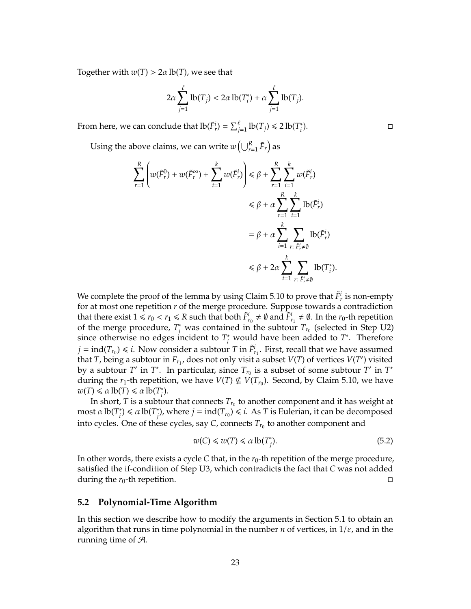Together with  $w(T) > 2\alpha \, \text{lb}(T)$ , we see that

$$
2\alpha \sum_{j=1}^{\ell} \text{lb}(T_j) < 2\alpha \text{ lb}(T_i^*) + \alpha \sum_{j=1}^{\ell} \text{ lb}(T_j).
$$

From here, we can conclude that  $\text{lb}(\tilde{F}_r^i) = \sum_{j=1}^{\ell} \text{lb}(T_j) \leq 2 \text{ lb}(T_i^*$ *i*  $\Box$ 

Using the above claims, we can write  $w\left(\bigcup_{r=1}^R \tilde{F}_r\right)$  as

$$
\sum_{r=1}^{R} \left( w(\tilde{F}_r^0) + w(\tilde{F}_r^{\infty}) + \sum_{i=1}^{k} w(\tilde{F}_r^i) \right) \leq \beta + \sum_{r=1}^{R} \sum_{i=1}^{k} w(\tilde{F}_r^i)
$$
  

$$
\leq \beta + \alpha \sum_{r=1}^{R} \sum_{i=1}^{k} \text{lb}(\tilde{F}_r^i)
$$
  

$$
= \beta + \alpha \sum_{i=1}^{k} \sum_{r: \tilde{F}_r^i \neq \emptyset} \text{lb}(\tilde{F}_r^i)
$$
  

$$
\leq \beta + 2\alpha \sum_{i=1}^{k} \sum_{r: \tilde{F}_r^i \neq \emptyset} \text{lb}(T_i^*).
$$

We complete the proof of the lemma by using Claim 5.10 to prove that  $\tilde{F}_r^i$  is non-empty for at most one repetition *r* of the merge procedure. Suppose towards a contradiction that there exist  $1 \le r_0 < r_1 \le R$  such that both  $\tilde{F}^i_{r_0} \ne \emptyset$  and  $\tilde{F}^i_{r_1} \ne \emptyset$ . In the  $r_0$ -th repetition of the merge procedure,  $T_i^*$  was contained in the subtour  $T_{r_0}$  (selected in Step U2) since otherwise no edges incident to  $T_i^*$  would have been added to  $T^*$ . Therefore  $j = \text{ind}(T_{r_0}) \leq i$ . Now consider a subtour *T* in  $\tilde{F}^i_{r_1}$ . First, recall that we have assumed that *T*, being a subtour in  $F_{r_1}$ , does not only visit a subset  $V(T)$  of vertices  $V(T')$  visited by a subtour  $T'$  in  $T^*$ . In particular, since  $T_{r_0}$  is a subset of some subtour  $T'$  in  $T^*$ during the  $r_1$ -th repetition, we have  $V(T) \nsubseteq V(T_{r_0})$ . Second, by Claim 5.10, we have  $w(T) \le \alpha \text{ lb}(T) \le \alpha \text{ lb}(T)$ *i* ).

In short*, T* is a subtour that connects  $T_{r_0}$  to another component and it has weight at most α lb(*T* ∗  $\alpha$ <sup>\*</sup>)  $\leq \alpha$  lb(*T*<sup>\*</sup><sub>*j*</sub>  $\chi^*$ ), where  $j = \text{ind}(T_{r_0}) \leq i$ . As *T* is Eulerian, it can be decomposed into cycles. One of these cycles, say  $C$ , connects  $T_{r_0}$  to another component and

$$
w(C) \leq w(T) \leq \alpha \operatorname{lb}(T_j^*). \tag{5.2}
$$

In other words, there exists a cycle *C* that, in the  $r_0$ -th repetition of the merge procedure, satisfied the if-condition of Step U3, which contradicts the fact that *C* was not added during the  $r_0$ -th repetition.

#### **5.2 Polynomial-Time Algorithm**

In this section we describe how to modify the arguments in Section 5.1 to obtain an algorithm that runs in time polynomial in the number *n* of vertices, in  $1/\varepsilon$ , and in the running time of  $\mathcal{A}$ .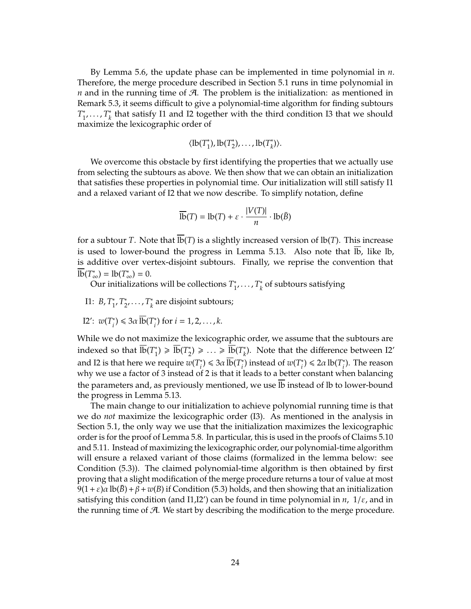By Lemma 5.6, the update phase can be implemented in time polynomial in *n*. Therefore, the merge procedure described in Section 5.1 runs in time polynomial in *n* and in the running time of  $\mathcal{A}$ . The problem is the initialization: as mentioned in Remark 5.3, it seems difficult to give a polynomial-time algorithm for finding subtours *T* ∗ <sup>\*</sup><sub>1</sub>, ...,  $T_k^*$ *k* that satisfy I1 and I2 together with the third condition I3 that we should maximize the lexicographic order of

$$
\langle \operatorname{lb}(T_1^*), \operatorname{lb}(T_2^*), \ldots, \operatorname{lb}(T_k^*) \rangle.
$$

We overcome this obstacle by first identifying the properties that we actually use from selecting the subtours as above. We then show that we can obtain an initialization that satisfies these properties in polynomial time. Our initialization will still satisfy I1 and a relaxed variant of I2 that we now describe. To simplify notation, define

$$
\overline{\text{lb}}(T) = \text{lb}(T) + \varepsilon \cdot \frac{|V(T)|}{n} \cdot \text{lb}(\bar{B})
$$

for a subtour *T*. Note that  $\overline{lb}(T)$  is a slightly increased version of  $lb(T)$ . This increase is used to lower-bound the progress in Lemma 5.13. Also note that  $\overline{lb}$ , like lb, is additive over vertex-disjoint subtours. Finally, we reprise the convention that  $\overline{\text{lb}}(T^*_{\infty}) = \text{lb}(T^*_{\infty}) = 0.$ 

Our initializations will be collections *T* ∗  $T_k^*$ , . . . ,  $T_k^*$ *k* of subtours satisfying

I1: *B*, *T* ∗ 1 , *T* ∗  $x_2^*, \ldots, T_k^*$ *k* are disjoint subtours;

I2': 
$$
w(T_i^*) \leq 3\alpha \overline{\text{lb}}(T_i^*)
$$
 for  $i = 1, 2, ..., k$ .

While we do not maximize the lexicographic order, we assume that the subtours are indexed so that  $\overline{\text{lb}}(T_1^*$ <sup>\*</sup><sub>1</sub></sub>  $\geq \frac{1}{16}$ (T<sup>\*</sup><sub>2</sub> <sup>\*</sup><sub>2</sub></sub>) ≥ ... ≥  $\overline{\text{lb}}(T^*_k)$ *k* ). Note that the difference between I2' and I2 is that here we require  $w(T^*_i)$ <sup>\*</sup>)  $\leq 3\alpha \overline{\text{lb}}(T_i^*)$ <sup>\*</sup>) instead of  $w(T_i^*$ <sup>\*</sup><sub>*i*</sub></sub> $\leq 2a \text{ lb}(T_i^*)$ *i* ). The reason why we use a factor of 3 instead of 2 is that it leads to a better constant when balancing the parameters and, as previously mentioned, we use  $\overline{1b}$  instead of lb to lower-bound the progress in Lemma 5.13.

The main change to our initialization to achieve polynomial running time is that we do *not* maximize the lexicographic order (I3). As mentioned in the analysis in Section 5.1, the only way we use that the initialization maximizes the lexicographic order is for the proof of Lemma 5.8. In particular, this is used in the proofs of Claims 5.10 and 5.11. Instead of maximizing the lexicographic order, our polynomial-time algorithm will ensure a relaxed variant of those claims (formalized in the lemma below: see Condition (5.3)). The claimed polynomial-time algorithm is then obtained by first proving that a slight modification of the merge procedure returns a tour of value at most  $9(1+\varepsilon)\alpha \, \text{lb}(B) + \beta + w(B)$  if Condition (5.3) holds, and then showing that an initialization satisfying this condition (and I1,I2') can be found in time polynomial in *n*,  $1/\varepsilon$ , and in the running time of  $A$ . We start by describing the modification to the merge procedure.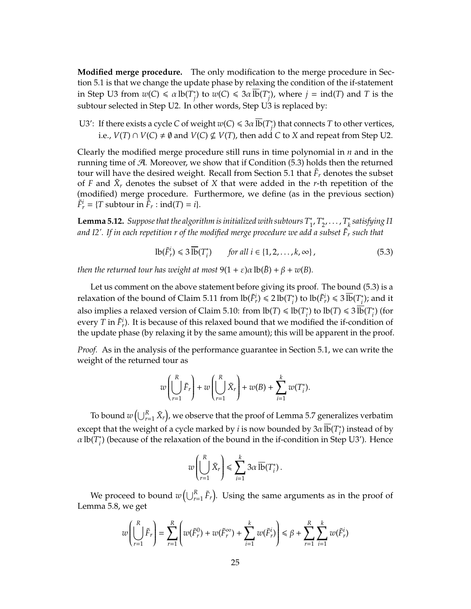**Modified merge procedure.** The only modification to the merge procedure in Section 5.1 is that we change the update phase by relaxing the condition of the if-statement in Step U3 from  $w(C) \le \alpha \ln(T^*_{\alpha})$ *j*) to  $w(C) \leq 3\alpha \, \overline{\text{lb}}(T_f^*)$  $j^*_{j}$ ), where  $j = \text{ind}(T)$  and  $T$  is the subtour selected in Step U2. In other words, Step U3 is replaced by:

U3': If there exists a cycle *C* of weight  $w(C) \leq 3\alpha \overline{1b}(T^*_)$ *j* ) that connects *T* to other vertices, i.e., *V*(*T*) ∩ *V*(*C*)  $\neq$  Ø and *V*(*C*)  $\nsubseteq$  *V*(*T*), then add *C* to *X* and repeat from Step U2.

Clearly the modified merge procedure still runs in time polynomial in *n* and in the running time of A. Moreover, we show that if Condition (5.3) holds then the returned tour will have the desired weight. Recall from Section 5.1 that  $\tilde{F}_r$  denotes the subset of *F* and  $\tilde{X}_r$  denotes the subset of *X* that were added in the *r*-th repetition of the (modified) merge procedure. Furthermore, we define (as in the previous section)  $\tilde{F}^i_r = \{T \text{ subtour in } \tilde{F}_r : \text{ind}(T) = i\}.$ 

**Lemma 5.12.** *Suppose that the algorithm is initialized with subtours T* ∗ 1 , *T* ∗  $T_{2}^{*}, \ldots, T_{k}^{*}$ *k satisfying I1 and I2'. If in each repetition r of the modified merge procedure we add a subset F*˜ *<sup>r</sup> such that*

$$
\mathrm{lb}(\tilde{F}_r^i) \leq 3 \overline{\mathrm{lb}}(T_i^*) \qquad \text{for all } i \in \{1, 2, \dots, k, \infty\},\tag{5.3}
$$

*then the returned tour has weight at most*  $9(1 + \varepsilon)\alpha \text{ lb}(\bar{B}) + \beta + w(B)$ *.* 

Let us comment on the above statement before giving its proof. The bound (5.3) is a relaxation of the bound of Claim 5.11 from  $\text{lb}(\tilde{F}_r^i) \leq 2 \text{ lb}(T_i^* )$ <sup>\*</sup>) to  $\text{lb}(\tilde{F}_r^i) \leq 3 \overline{\text{lb}}(T_i^*$ *i* ); and it also implies a relaxed version of Claim 5.10: from  $\text{lb}(T) \leq \text{lb}(T)$ ; <sup>\*</sup><sub>i</sub></sub>) to  $\text{lb}(T) \leq 3 \cdot \overline{\text{lb}}(T_i^*)$ *i* ) (for every *T* in  $\tilde{F}^i_r$ ). It is because of this relaxed bound that we modified the if-condition of the update phase (by relaxing it by the same amount); this will be apparent in the proof.

*Proof.* As in the analysis of the performance guarantee in Section 5.1, we can write the weight of the returned tour as

$$
w\left(\bigcup_{r=1}^R \tilde{F}_r\right) + w\left(\bigcup_{r=1}^R \tilde{X}_r\right) + w(B) + \sum_{i=1}^k w(T_i^*).
$$

To bound  $w\left(\bigcup_{r=1}^R \tilde{X}_r\right)$ , we observe that the proof of Lemma 5.7 generalizes verbatim except that the weight of a cycle marked by *i* is now bounded by 3 $\alpha \overline{\text{lb}}(T^*_i)$ *i* ) instead of by  $\alpha$  lb( $T_i^*$ *i* ) (because of the relaxation of the bound in the if-condition in Step U3'). Hence

$$
w\left(\bigcup_{r=1}^R \tilde{X}_r\right) \leq \sum_{i=1}^k 3\alpha \, \overline{\text{lb}}(T_i^*)\,.
$$

We proceed to bound  $w\left(\bigcup_{r=1}^R \tilde{F}_r\right)$ . Using the same arguments as in the proof of Lemma 5.8, we get

$$
w\left(\bigcup_{r=1}^R \tilde{F}_r\right) = \sum_{r=1}^R \left(w(\tilde{F}_r^0) + w(\tilde{F}_r^\infty) + \sum_{i=1}^k w(\tilde{F}_r^i)\right) \leq \beta + \sum_{r=1}^R \sum_{i=1}^k w(\tilde{F}_r^i)
$$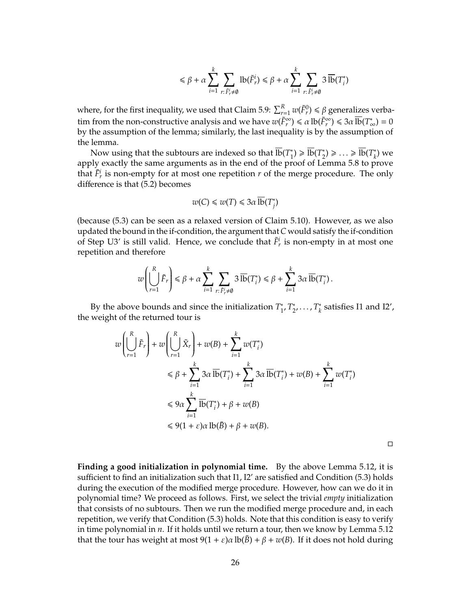$$
\leq \beta + \alpha \sum_{i=1}^k \sum_{r: \, \tilde{F_r} \neq \emptyset} \mathrm{lb}(\tilde{F_r^i}) \leq \beta + \alpha \sum_{i=1}^k \sum_{r: \, \tilde{F_r^i} \neq \emptyset} 3 \, \overline{\mathrm{lb}}(T_i^*)
$$

where, for the first inequality, we used that Claim 5.9:  $\sum_{r=1}^{R} w(\tilde{F}_r^0) \le \beta$  generalizes verbatim from the non-constructive analysis and we have  $w(\tilde{F}_r^{\infty}) \le \alpha \ln(\tilde{F}_r^{\infty}) \le 3\alpha \ln(T^*_{\infty}) = 0$ by the assumption of the lemma; similarly, the last inequality is by the assumption of the lemma.

Now using that the subtours are indexed so that  $\overline{\text{lb}}(T_1^*$ <sup>\*</sup><sub>1</sub></sub> $\geq \frac{1}{16}(T_2^*)$  $\overline{\text{lb}}(T_k^*) \geqslant \ldots \geqslant \overline{\text{lb}}(T_k^*)$ *k* ) we apply exactly the same arguments as in the end of the proof of Lemma 5.8 to prove that  $\tilde{F}^i_r$  is non-empty for at most one repetition *r* of the merge procedure. The only difference is that (5.2) becomes

$$
w(C) \leq w(T) \leq 3\alpha \, \overline{\text{lb}}(T_j^*)
$$

(because (5.3) can be seen as a relaxed version of Claim 5.10). However, as we also updated the bound in the if-condition, the argument that *C* would satisfy the if-condition of Step U3' is still valid. Hence, we conclude that  $\tilde{F}^i_r$  is non-empty in at most one repetition and therefore

$$
w\left(\bigcup_{r=1}^R \tilde{F}_r\right) \leq \beta + \alpha \sum_{i=1}^k \sum_{r: \tilde{F}_r^i \neq \emptyset} 3 \overline{\text{lb}}(T_i^*) \leq \beta + \sum_{i=1}^k 3\alpha \overline{\text{lb}}(T_i^*)\,.
$$

By the above bounds and since the initialization *T* ∗ 1 , *T* ∗ \*<sub>2</sub>, . . . , *T*<sub>\*</sub> *k* satisfies I1 and I2', the weight of the returned tour is

$$
w\left(\bigcup_{r=1}^{R} \tilde{F}_{r}\right) + w\left(\bigcup_{r=1}^{R} \tilde{X}_{r}\right) + w(B) + \sum_{i=1}^{k} w(T_{i}^{*})
$$
  
\n
$$
\leq \beta + \sum_{i=1}^{k} 3\alpha \overline{\text{lb}}(T_{i}^{*}) + \sum_{i=1}^{k} 3\alpha \overline{\text{lb}}(T_{i}^{*}) + w(B) + \sum_{i=1}^{k} w(T_{i}^{*})
$$
  
\n
$$
\leq 9\alpha \sum_{i=1}^{k} \overline{\text{lb}}(T_{i}^{*}) + \beta + w(B)
$$
  
\n
$$
\leq 9(1 + \varepsilon)\alpha \text{ lb}(\bar{B}) + \beta + w(B).
$$

 $\Box$ 

**Finding a good initialization in polynomial time.** By the above Lemma 5.12, it is sufficient to find an initialization such that I1, I2' are satisfied and Condition (5.3) holds during the execution of the modified merge procedure. However, how can we do it in polynomial time? We proceed as follows. First, we select the trivial *empty* initialization that consists of no subtours. Then we run the modified merge procedure and, in each repetition, we verify that Condition (5.3) holds. Note that this condition is easy to verify in time polynomial in *n*. If it holds until we return a tour, then we know by Lemma 5.12 that the tour has weight at most  $9(1 + \varepsilon)\alpha \text{ lb}(B) + \beta + w(B)$ . If it does not hold during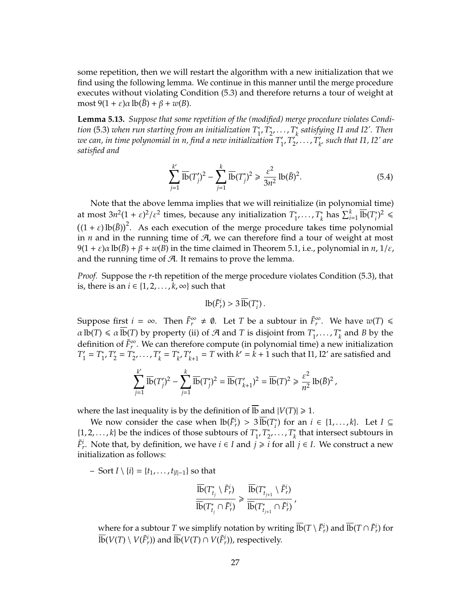some repetition, then we will restart the algorithm with a new initialization that we find using the following lemma. We continue in this manner until the merge procedure executes without violating Condition (5.3) and therefore returns a tour of weight at most  $9(1 + \varepsilon)\alpha \, lb(\overline{B}) + \beta + w(B)$ .

**Lemma 5.13.** *Suppose that some repetition of the (modified) merge procedure violates Condition* (5.3) *when run starting from an initialization T* ∗ 1 , *T* ∗  $T_{2}^{*}, \ldots, T_{k}^{*}$ *k satisfying I1 and I2'. Then we can, in time polynomial in n, find a new initialization T* 0  $T'_1$ ,  $T'_2$  $T_k^{\prime}$ , . . . ,  $T_k^{\prime}$ *k* 0 *such that I1, I2' are satisfied and*

$$
\sum_{j=1}^{k'} \overline{1b}(T'_j)^2 - \sum_{j=1}^{k} \overline{1b}(T_j^*)^2 \ge \frac{\varepsilon^2}{3n^2} \ln(\bar{B})^2.
$$
 (5.4)

Note that the above lemma implies that we will reinitialize (in polynomial time) at most  $3n^2(1+\varepsilon)^2/\varepsilon^2$  times, because any initialization  $T_1^*$  $T_k^*$ , . . . ,  $T_k^*$  $\sum_{i=1}^k \overline{\text{lb}}(T_i^*)$  $i^*$ <sup>2</sup>  $\leq$  $((1 + \varepsilon) \text{ lb}(\bar{B}))^2$ . As each execution of the merge procedure takes time polynomial in  $n$  and in the running time of  $A$ , we can therefore find a tour of weight at most  $9(1 + \varepsilon)\alpha \text{ lb}(\bar{B}) + \beta + w(B)$  in the time claimed in Theorem 5.1, i.e., polynomial in *n*,  $1/\varepsilon$ , and the running time of  $A$ . It remains to prove the lemma.

*Proof.* Suppose the *r*-th repetition of the merge procedure violates Condition (5.3), that is, there is an *i* ∈  $\{1, 2, \ldots, k, \infty\}$  such that

$$
lb(\tilde{F}_r^i) > 3\,\overline{lb}(T_i^*)\,.
$$

Suppose first  $i = \infty$ . Then  $\tilde{F}_r^{\infty} \neq \emptyset$ . Let *T* be a subtour in  $\tilde{F}_r^{\infty}$ . We have  $w(T) \leq$  $\alpha \, \text{lb}(T) \leq \alpha \, \overline{\text{lb}}(T)$  by property (ii) of  $\mathcal A$  and  $T$  is disjoint from  $T_1^*$ <sup>\*</sup><sub>1</sub>, ...,  $T_k^*$  $\frac{k}{k}$  and *B* by the definition of  $\tilde{F}_r^{\infty}$ . We can therefore compute (in polynomial time) a new initialization  $T'_{1}$  $T_1' = T_1^*$  $T'_1$ ,  $T'_2$  $T_2' = T_2^*$  $C_2^*, \ldots, T'_k$  $T_k' = T_k^*$  $\int_k^* T'_k$  $k_{k+1}$  = *T* with  $k' = k + 1$  such that I1, I2' are satisfied and

$$
\sum_{j=1}^{k'} \overline{\text{lb}}(T'_j)^2 - \sum_{j=1}^{k} \overline{\text{lb}}(T^*_j)^2 = \overline{\text{lb}}(T'_{k+1})^2 = \overline{\text{lb}}(T)^2 \ge \frac{\varepsilon^2}{n^2} \text{lb}(\bar{B})^2,
$$

where the last inequality is by the definition of  $\overline{1b}$  and  $|V(T)| \ge 1$ .

We now consider the case when  $\text{lb}(\tilde{F}_r^i) > 3\,\overline{\text{lb}}(T_i^*)$ *i* ) for an *i* ∈ {1, . . . , *k*}. Let *I* ⊆  $\{1, 2, \ldots, k\}$  be the indices of those subtours of  $T_1^*$ 1 , *T* ∗  $T_{2}^{*}, \ldots, T_{k}^{*}$  $\kappa_k^*$  that intersect subtours in *F*<sup> $i$ </sup><sup>*r*</sup>. Note that, by definition, we have *i* ∈ *I* and *j* ≥ *i* for all *j* ∈ *I*. We construct a new initialization as follows:

– Sort *I* \ {*i*} = {*t*<sub>1</sub>, . . . , *t*<sub>|*I*|−1</sub>} so that

$$
\frac{\overline{\text{lb}}(T^*_{t_j} \setminus \tilde{F}^i_r)}{\overline{\text{lb}}(T^*_{t_j} \cap \tilde{F}^i_r)} \geq \frac{\overline{\text{lb}}(T^*_{t_{j+1}} \setminus \tilde{F}^i_r)}{\overline{\text{lb}}(T^*_{t_{j+1}} \cap \tilde{F}^i_r)},
$$

where for a subtour  $T$  we simplify notation by writing  $\overline{\text{lb}}(T\setminus \tilde{F}_r^i)$  and  $\overline{\text{lb}}(T\cap \tilde{F}_r^i)$  for  $\overline{\text{lb}}(V(T)\setminus V(\tilde{F}_{r}^{i}))$  and  $\overline{\text{lb}}(V(T)\cap V(\tilde{F}_{r}^{i})),$  respectively.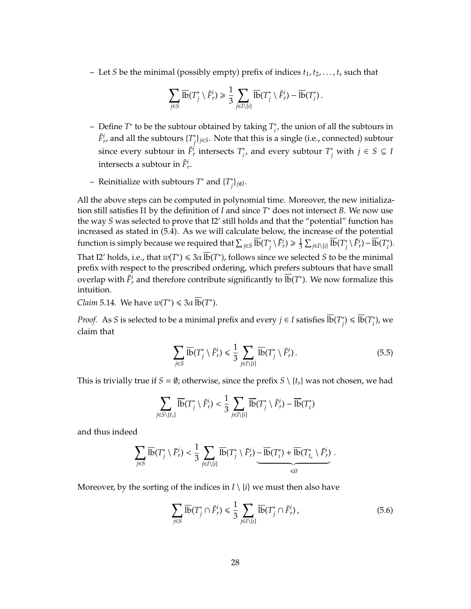$-$  Let *S* be the minimal (possibly empty) prefix of indices  $t_1, t_2, \ldots, t_s$  such that

$$
\sum_{j\in S} \overline{\mathrm{lb}}(T_j^*\setminus \tilde{F}_r^i) \geq \frac{1}{3}\sum_{j\in I\setminus\{i\}} \overline{\mathrm{lb}}(T_j^*\setminus \tilde{F}_r^i) - \overline{\mathrm{lb}}(T_i^*)\,.
$$

- Define *T* ∗ to be the subtour obtained by taking *T* ∗  $i<sub>i</sub>$ , the union of all the subtours in  $\tilde{F}_{r}^{i}$ , and all the subtours  $\{T_{i}^{*}\}$ *j* }*j*∈*S*. Note that this is a single (i.e., connected) subtour since every subtour in  $\tilde{F}_r^i$  intersects  $T_i^*$  $i<sup>i</sup>$ , and every subtour *T*<sup>\*</sup><sub>*j*</sub> with *j* ∈ *S* ⊆ *I* intersects a subtour in  $\tilde{F}_r^i$ .
- Reinitialize with subtours *T* <sup>∗</sup> and {*T* ∗  $\int$ *j* $\neq$ *I*.

All the above steps can be computed in polynomial time. Moreover, the new initialization still satisfies I1 by the definition of *I* and since  $T^*$  does not intersect *B*. We now use the way *S* was selected to prove that I2' still holds and that the "potential" function has increased as stated in (5.4). As we will calculate below, the increase of the potential function is simply because we required that  $\sum_{j\in S} \overline{\text{lb}}(T^*_j)$  $\sum_{j}^{*} \setminus \tilde{F}_{r}^{i}$   $\geqslant \frac{1}{3}$  $\frac{1}{3}\sum_{j\in I\setminus\{i\}}\overline{\text{lb}}(T_j^*)$  $\frac{1}{i}$  *\F<sup>i</sup>*</sup><sub>*r*</sub> $)$  - lb(*T*<sup>\*</sup><sub>*i*</sub> *i* ). That I2' holds, i.e., that  $w(T^*) \leq 3\alpha \, \overline{lb}(T^*)$ , follows since we selected *S* to be the minimal prefix with respect to the prescribed ordering, which prefers subtours that have small overlap with  $\tilde{F}_r^i$  and therefore contribute significantly to  $\overline{\text{lb}}(T^*)$ . We now formalize this intuition.

*Claim* 5.14*.* We have  $w(T^*) \leq 3\alpha \overline{1b}(T^*)$ .

*Proof.* As *S* is selected to be a minimal prefix and every  $j \in I$  satisfies  $\overline{lb}(T^*_j)$  $j$ <sup>\*</sup>) ≤  $\overline{\text{lb}}(T_i^*)$ *i* ), we claim that

$$
\sum_{j \in S} \overline{\text{lb}}(T_j^* \setminus \tilde{F}_r^i) \leq \frac{1}{3} \sum_{j \in I \setminus \{i\}} \overline{\text{lb}}(T_j^* \setminus \tilde{F}_r^i). \tag{5.5}
$$

This is trivially true if  $S = \emptyset$ ; otherwise, since the prefix  $S \setminus \{t_s\}$  was not chosen, we had

$$
\sum_{j \in S \setminus \{t_s\}} \overline{\text{lb}}(T_j^* \setminus \tilde{F}_r^i) < \frac{1}{3} \sum_{j \in I \setminus \{i\}} \overline{\text{lb}}(T_j^* \setminus \tilde{F}_r^i) - \overline{\text{lb}}(T_i^*)
$$

and thus indeed

$$
\sum_{j\in S}\overline{\mathrm{lb}}(T_j^*\setminus\tilde{F}_r^j)<\frac{1}{3}\sum_{j\in I\setminus\{i\}}\overline{\mathrm{lb}}(T_j^*\setminus\tilde{F}_r^i)-\overline{\mathrm{lb}}(T_i^*)+\overline{\mathrm{lb}}(T_{t_s}^*\setminus\tilde{F}_r^i)\overbrace{<0}.
$$

Moreover, by the sorting of the indices in  $I \setminus \{i\}$  we must then also have

$$
\sum_{j \in S} \overline{\text{lb}}(T_j^* \cap \tilde{F}_r^i) \leq \frac{1}{3} \sum_{j \in I \setminus \{i\}} \overline{\text{lb}}(T_j^* \cap \tilde{F}_r^i),\tag{5.6}
$$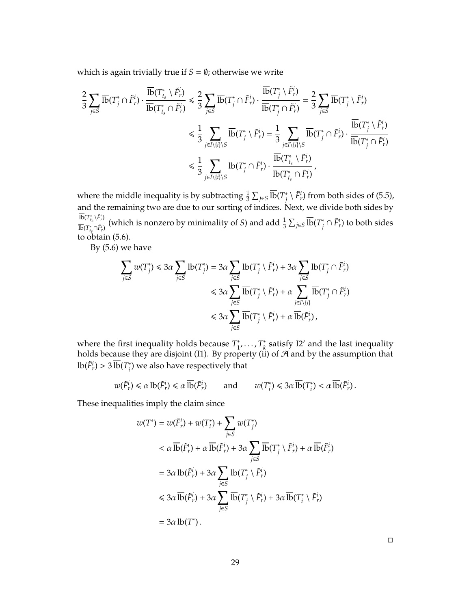which is again trivially true if  $S = \emptyset$ ; otherwise we write

$$
\begin{split} \frac{2}{3}\sum_{j\in S}\overline{\mathrm{lb}}(T_j^*\cap \tilde{F}_r^i)\cdot \frac{\overline{\mathrm{lb}}(T_{t_s}^*\setminus \tilde{F}_r^i)}{\overline{\mathrm{lb}}(T_{t_s}^*\cap \tilde{F}_r^i)} \leq \frac{2}{3}\sum_{j\in S}\overline{\mathrm{lb}}(T_j^*\cap \tilde{F}_r^i)\cdot \frac{\overline{\mathrm{lb}}(T_j^*\setminus \tilde{F}_r^i)}{\overline{\mathrm{lb}}(T_j^*\cap \tilde{F}_r^i)} = \frac{2}{3}\sum_{j\in S}\overline{\mathrm{lb}}(T_j^*\setminus \tilde{F}_r^i)\\ \leq \frac{1}{3}\sum_{j\in I\setminus\{i\}\setminus S}\overline{\mathrm{lb}}(T_j^*\setminus \tilde{F}_r^i) = \frac{1}{3}\sum_{j\in I\setminus\{i\}\setminus S}\overline{\mathrm{lb}}(T_j^*\cap \tilde{F}_r^i)\cdot \frac{\overline{\mathrm{lb}}(T_j^*\cap \tilde{F}_r^i)}{\overline{\mathrm{lb}}(T_{t_s}^*\setminus \tilde{F}_r^i)}\\ \leq \frac{1}{3}\sum_{j\in I\setminus\{i\}\setminus S}\overline{\mathrm{lb}}(T_j^*\cap \tilde{F}_r^i)\cdot \frac{\overline{\mathrm{lb}}(T_{t_s}^*\setminus \tilde{F}_r^i)}{\overline{\mathrm{lb}}(T_{t_s}^*\cap \tilde{F}_r^i)}\,, \end{split}
$$

where the middle inequality is by subtracting  $\frac{1}{3} \sum_{j \in S} \overline{\text{lb}}(T^*_j)$  $\tilde{f}_j^i \setminus \tilde{F}_r^i$ ) from both sides of (5.5), and the remaining two are due to our sorting of indices. Next, we divide both sides by  $\overline{\text{lb}}(T^*_{t_s} \backslash \tilde{F}^i_r)$  $\frac{16(T_{t_s}^* \setminus F_r^i)}{\overline{16}(T_{t_s}^* \cap \overline{F_r^i})}$  (which is nonzero by minimality of *S*) and add  $\frac{1}{3}$   $\sum_{j \in S}$   $\overline{16}(T_j^*)$  $\tilde{f}_j^i \cap \tilde{F}_r^i$ ) to both sides to obtain (5.6).

By (5.6) we have

$$
\sum_{j \in S} w(T_j^*) \leq 3\alpha \sum_{j \in S} \overline{\text{lb}}(T_j^*) = 3\alpha \sum_{j \in S} \overline{\text{lb}}(T_j^* \setminus \tilde{F}_r^i) + 3\alpha \sum_{j \in S} \overline{\text{lb}}(T_j^* \cap \tilde{F}_r^i)
$$
  

$$
\leq 3\alpha \sum_{j \in S} \overline{\text{lb}}(T_j^* \setminus \tilde{F}_r^i) + \alpha \sum_{j \in I \setminus \{i\}} \overline{\text{lb}}(T_j^* \cap \tilde{F}_r^i)
$$
  

$$
\leq 3\alpha \sum_{j \in S} \overline{\text{lb}}(T_j^* \setminus \tilde{F}_r^i) + \alpha \overline{\text{lb}}(\tilde{F}_r^i),
$$

where the first inequality holds because *T* ∗ ∗<br><sub>1</sub>′ . . . , *T*<sub>k</sub> *k* satisfy I2' and the last inequality holds because they are disjoint (I1). By property (ii) of  $A$  and by the assumption that  $\text{lb}(\tilde{F}_r^i) > 3 \overline{\text{lb}}(T_i^*)$  $\binom{*}{i}$  we also have respectively that

$$
w(\tilde{F}_r^i) \le \alpha \operatorname{lb}(\tilde{F}_r^i) \le \alpha \overline{\operatorname{lb}}(\tilde{F}_r^i)
$$
 and  $w(T_i^*) \le 3\alpha \overline{\operatorname{lb}}(T_i^*) < \alpha \overline{\operatorname{lb}}(\tilde{F}_r^i)$ .

These inequalities imply the claim since

$$
w(T^*) = w(\tilde{F}_r^i) + w(T_i^*) + \sum_{j \in S} w(T_j^*)
$$
  

$$
< \alpha \overline{\text{lb}}(\tilde{F}_r^i) + \alpha \overline{\text{lb}}(\tilde{F}_r^i) + 3\alpha \sum_{j \in S} \overline{\text{lb}}(T_j^* \setminus \tilde{F}_r^i) + \alpha \overline{\text{lb}}(\tilde{F}_r^i)
$$
  

$$
= 3\alpha \overline{\text{lb}}(\tilde{F}_r^i) + 3\alpha \sum_{j \in S} \overline{\text{lb}}(T_j^* \setminus \tilde{F}_r^i)
$$
  

$$
\leq 3\alpha \overline{\text{lb}}(\tilde{F}_r^i) + 3\alpha \sum_{j \in S} \overline{\text{lb}}(T_j^* \setminus \tilde{F}_r^i) + 3\alpha \overline{\text{lb}}(T_i^* \setminus \tilde{F}_r^i)
$$
  

$$
= 3\alpha \overline{\text{lb}}(T^*).
$$

 $\Box$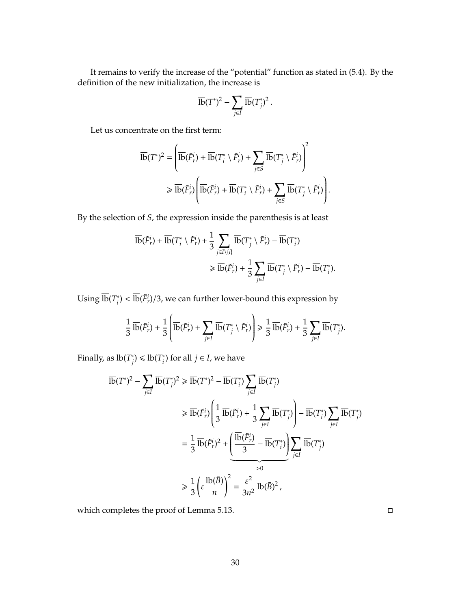It remains to verify the increase of the "potential" function as stated in (5.4). By the definition of the new initialization, the increase is

$$
\overline{\text{lb}}(T^*)^2 - \sum_{j\in I} \overline{\text{lb}}(T_j^*)^2 \,.
$$

Let us concentrate on the first term:

$$
\overline{\text{lb}}(T^*)^2 = \left(\overline{\text{lb}}(\tilde{F}_r^i) + \overline{\text{lb}}(T_i^* \setminus \tilde{F}_r^i) + \sum_{j \in S} \overline{\text{lb}}(T_j^* \setminus \tilde{F}_r^i)\right)^2
$$
  
\$\geq \overline{\text{lb}}(\tilde{F}\_r^i) \left( \overline{\text{lb}}(\tilde{F}\_r^i) + \overline{\text{lb}}(T\_i^\* \setminus \tilde{F}\_r^i) + \sum\_{j \in S} \overline{\text{lb}}(T\_j^\* \setminus \tilde{F}\_r^i) \right).

By the selection of *S*, the expression inside the parenthesis is at least

$$
\overline{\text{lb}}(\tilde{F}^i_r) + \overline{\text{lb}}(T^*_i \setminus \tilde{F}^i_r) + \frac{1}{3} \sum_{j \in I \setminus \{i\}} \overline{\text{lb}}(T^*_j \setminus \tilde{F}^i_r) - \overline{\text{lb}}(T^*_i)
$$
  

$$
\ge \overline{\text{lb}}(\tilde{F}^i_r) + \frac{1}{3} \sum_{j \in I} \overline{\text{lb}}(T^*_j \setminus \tilde{F}^i_r) - \overline{\text{lb}}(T^*_i).
$$

Using  $\overline{\text{lb}}(T_i^*)$  $\sqrt[*]{\mathbf{a}}$ <sup>\*</sup>) <  $\overline{\text{lb}}(\tilde{F}_r^i)/3$ , we can further lower-bound this expression by

$$
\frac{1}{3}\,\overline{\mathrm{lb}}(\tilde{F}_r^i) + \frac{1}{3}\left(\overline{\mathrm{lb}}(\tilde{F}_r^i) + \sum_{j\in I}\,\overline{\mathrm{lb}}(T_j^*\setminus\tilde{F}_r^i)\right) \geq \frac{1}{3}\,\overline{\mathrm{lb}}(\tilde{F}_r^i) + \frac{1}{3}\sum_{j\in I}\,\overline{\mathrm{lb}}(T_j^*).
$$

Finally, as  $\overline{\text{lb}}(T_i^*)$  $j$ <sup>\*</sup>) ≤  $\overline{\text{lb}}(T_i^*)$  $i<sub>j</sub>$  for all  $j \in I$ , we have

$$
\overline{\text{lb}}(T^*)^2 - \sum_{j\in I} \overline{\text{lb}}(T_j^*)^2 \ge \overline{\text{lb}}(T^*)^2 - \overline{\text{lb}}(T_j^*) \sum_{j\in I} \overline{\text{lb}}(T_j^*)
$$
\n
$$
\ge \overline{\text{lb}}(\tilde{F}_r^i) \left( \frac{1}{3} \overline{\text{lb}}(\tilde{F}_r^i) + \frac{1}{3} \sum_{j\in I} \overline{\text{lb}}(T_j^*) \right) - \overline{\text{lb}}(T_j^*) \sum_{j\in I} \overline{\text{lb}}(T_j^*)
$$
\n
$$
= \frac{1}{3} \overline{\text{lb}}(\tilde{F}_r^i)^2 + \underbrace{\left( \frac{\overline{\text{lb}}(\tilde{F}_r^i)}{3} - \overline{\text{lb}}(T_j^*) \right)}_{>0} \sum_{j\in I} \overline{\text{lb}}(T_j^*)
$$
\n
$$
\ge \frac{1}{3} \left( \varepsilon \frac{\text{lb}(\bar{B})}{n} \right)^2 = \frac{\varepsilon^2}{3n^2} \text{lb}(\bar{B})^2,
$$

which completes the proof of Lemma 5.13.

30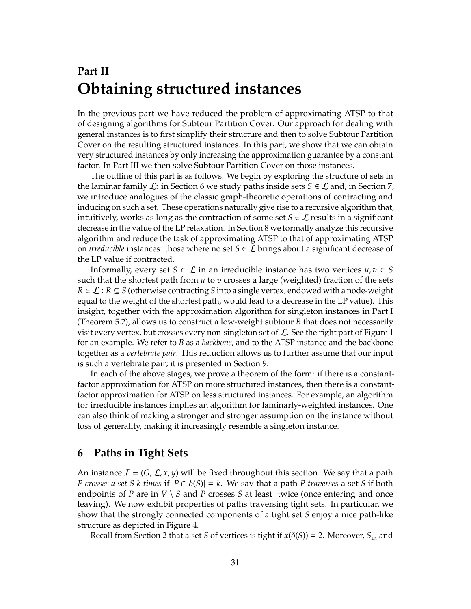## **Part II Obtaining structured instances**

In the previous part we have reduced the problem of approximating ATSP to that of designing algorithms for Subtour Partition Cover. Our approach for dealing with general instances is to first simplify their structure and then to solve Subtour Partition Cover on the resulting structured instances. In this part, we show that we can obtain very structured instances by only increasing the approximation guarantee by a constant factor. In Part III we then solve Subtour Partition Cover on those instances.

The outline of this part is as follows. We begin by exploring the structure of sets in the laminar family  $\mathcal{L}$ : in Section 6 we study paths inside sets  $S \in \mathcal{L}$  and, in Section 7, we introduce analogues of the classic graph-theoretic operations of contracting and inducing on such a set. These operations naturally give rise to a recursive algorithm that, intuitively, works as long as the contraction of some set  $S \in \mathcal{L}$  results in a significant decrease in the value of the LP relaxation. In Section 8 we formally analyze this recursive algorithm and reduce the task of approximating ATSP to that of approximating ATSP on *irreducible* instances: those where no set  $S \in \mathcal{L}$  brings about a significant decrease of the LP value if contracted.

Informally, every set *S*  $\in \mathcal{L}$  in an irreducible instance has two vertices  $u, v \in S$ such that the shortest path from  $u$  to  $v$  crosses a large (weighted) fraction of the sets  $R \in \mathcal{L} : R \subsetneq S$  (otherwise contracting *S* into a single vertex, endowed with a node-weight equal to the weight of the shortest path, would lead to a decrease in the LP value). This insight, together with the approximation algorithm for singleton instances in Part I (Theorem 5.2), allows us to construct a low-weight subtour *B* that does not necessarily visit every vertex, but crosses every non-singleton set of  $\mathcal{L}$ . See the right part of Figure 1 for an example. We refer to *B* as a *backbone*, and to the ATSP instance and the backbone together as a *vertebrate pair*. This reduction allows us to further assume that our input is such a vertebrate pair; it is presented in Section 9.

In each of the above stages, we prove a theorem of the form: if there is a constantfactor approximation for ATSP on more structured instances, then there is a constantfactor approximation for ATSP on less structured instances. For example, an algorithm for irreducible instances implies an algorithm for laminarly-weighted instances. One can also think of making a stronger and stronger assumption on the instance without loss of generality, making it increasingly resemble a singleton instance.

## **6 Paths in Tight Sets**

An instance  $\mathcal{I} = (G, \mathcal{L}, x, y)$  will be fixed throughout this section. We say that a path *P crosses a set S k times* if  $|P \cap \delta(S)| = k$ . We say that a path *P traverses* a set *S* if both endpoints of *P* are in  $V \setminus S$  and *P* crosses *S* at least twice (once entering and once leaving). We now exhibit properties of paths traversing tight sets. In particular, we show that the strongly connected components of a tight set *S* enjoy a nice path-like structure as depicted in Figure 4.

Recall from Section 2 that a set *S* of vertices is tight if  $x(\delta(S)) = 2$ . Moreover,  $S_{\text{in}}$  and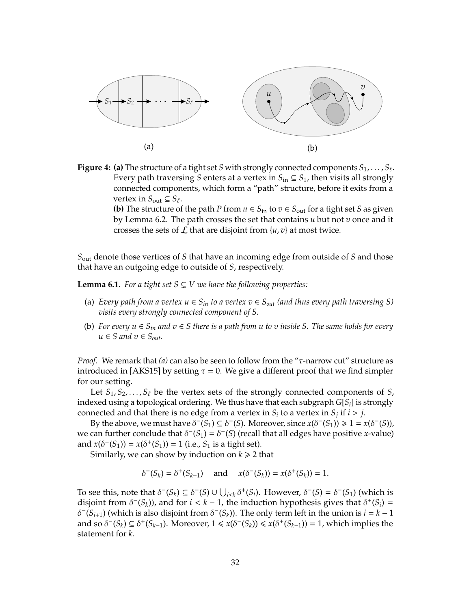

**Figure 4: (a)** The structure of a tight set  $S$  with strongly connected components  $S_1, \ldots, S_\ell.$ Every path traversing *S* enters at a vertex in  $S_{\text{in}} \subseteq S_1$ , then visits all strongly connected components, which form a "path" structure, before it exits from a vertex in  $S_{\text{out}} \subseteq S_{\ell}$ .

> **(b)** The structure of the path *P* from  $u \in S_{\text{in}}$  to  $v \in S_{\text{out}}$  for a tight set *S* as given by Lemma 6.2. The path crosses the set that contains *u* but not *v* once and it crosses the sets of  $\mathcal L$  that are disjoint from  $\{u, v\}$  at most twice.

*S*out denote those vertices of *S* that have an incoming edge from outside of *S* and those that have an outgoing edge to outside of *S*, respectively.

**Lemma 6.1.** *For a tight set*  $S \subsetneq V$  *we have the following properties:* 

- (a) *Every path from a vertex*  $u \in S_{in}$  *to a vertex*  $v \in S_{out}$  *(and thus every path traversing S) visits every strongly connected component of S.*
- (b) *For every u* ∈ *Sin and v* ∈ *S there is a path from u to v inside S. The same holds for every*  $u \in S$  and  $v \in S_{out}$ *.*

*Proof.* We remark that *(a)* can also be seen to follow from the "τ-narrow cut" structure as introduced in [AKS15] by setting  $\tau = 0$ . We give a different proof that we find simpler for our setting.

Let  $S_1, S_2, \ldots, S_\ell$  be the vertex sets of the strongly connected components of *S*, indexed using a topological ordering. We thus have that each subgraph *G*[*Si*] is strongly connected and that there is no edge from a vertex in  $S_i$  to a vertex in  $S_j$  if  $i > j$ .

By the above, we must have  $\delta^-(S_1) \subseteq \delta^-(S)$ . Moreover, since  $x(\delta^-(S_1)) \geq 1 = x(\delta^-(S))$ , we can further conclude that  $\delta^-(S_1) = \delta^-(S)$  (recall that all edges have positive *x*-value) and  $x(\delta^-(S_1)) = x(\delta^+(S_1)) = 1$  (i.e.,  $S_1$  is a tight set).

Similarly, we can show by induction on  $k \geq 2$  that

 $\delta^{-}(S_k) = \delta^{+}(S_{k-1})$  and  $x(\delta^{-}(S_k)) = x(\delta^{+}(S_k)) = 1$ .

To see this, note that  $\delta^-(S_k) \subseteq \delta^-(S) \cup \bigcup_{i \leq k} \delta^+(S_i)$ . However,  $\delta^-(S) = \delta^-(S_1)$  (which is disjoint from  $\delta^-(S_k)$ ), and for  $i < k - 1$ , the induction hypothesis gives that  $\delta^+(S_i)$  = δ <sup>−</sup>(*Si*+1) (which is also disjoint from <sup>δ</sup> <sup>−</sup>(*S<sup>k</sup>* )). The only term left in the union is *i* = *k* − 1 and so  $\delta^-(S_k) \subseteq \delta^+(S_{k-1})$ . Moreover,  $1 \le x(\delta^-(S_k)) \le x(\delta^+(S_{k-1})) = 1$ , which implies the statement for *k*.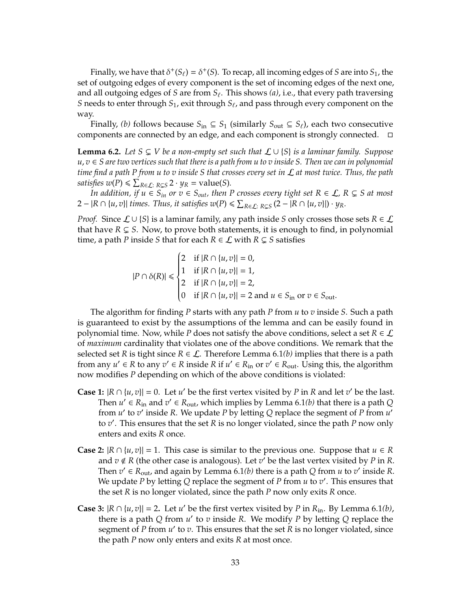Finally, we have that  $\delta^{+}(S_{\ell}) = \delta^{+}(S)$ . To recap, all incoming edges of *S* are into *S*<sub>1</sub>, the set of outgoing edges of every component is the set of incoming edges of the next one, and all outgoing edges of *S* are from  $S_\ell$ . This shows (a), i.e., that every path traversing *S* needs to enter through  $S_1$ , exit through  $S_\ell$ , and pass through every component on the way.

Finally, *(b)* follows because  $S_{\text{in}} \subseteq S_1$  (similarly  $S_{\text{out}} \subseteq S_\ell$ ), each two consecutive components are connected by an edge, and each component is strongly connected.

**Lemma 6.2.** *Let S* ⊆ *V be a non-empty set such that*  $\mathcal{L} \cup \{S\}$  *is a laminar family. Suppose u*, *v* ∈ *S are two vertices such that there is a path from u to v inside S. Then we can in polynomial time find a path P from u to v inside S that crosses every set in* L *at most twice. Thus, the path satisfies*  $w(P) \le \sum_{R \in \mathcal{L}: R \subsetneq S} 2 \cdot y_R = \text{value}(S)$ *.* 

*In addition, if u* ∈  $S_{in}$  *or*  $v \in S_{out}$ *, then P crosses every tight set*  $R \in \mathcal{L}$ *,*  $R \subsetneq S$  *at most*  $2 - |R ∩ {u, v}|$  *times. Thus, it satisfies*  $w(P) ≤ ∑_{R∈L: R⊆S} (2 − |R ∩ {u, v}|) · y_R$ .

*Proof.* Since  $\mathcal{L} \cup \{S\}$  is a laminar family, any path inside *S* only crosses those sets  $R \in \mathcal{L}$ that have  $R \subsetneq S$ . Now, to prove both statements, it is enough to find, in polynomial time, a path *P* inside *S* that for each  $R \in \mathcal{L}$  with  $R \subsetneq S$  satisfies

$$
|P \cap \delta(R)| \le \begin{cases} 2 & \text{if } |R \cap \{u, v\}| = 0, \\ 1 & \text{if } |R \cap \{u, v\}| = 1, \\ 2 & \text{if } |R \cap \{u, v\}| = 2, \\ 0 & \text{if } |R \cap \{u, v\}| = 2 \text{ and } u \in S_{\text{in}} \text{ or } v \in S_{\text{out}}. \end{cases}
$$

The algorithm for finding *P* starts with any path *P* from *u* to *v* inside *S*. Such a path is guaranteed to exist by the assumptions of the lemma and can be easily found in polynomial time. Now, while *P* does not satisfy the above conditions, select a set  $R \in \mathcal{L}$ of *maximum* cardinality that violates one of the above conditions. We remark that the selected set *R* is tight since  $R \in \mathcal{L}$ . Therefore Lemma 6.1*(b)* implies that there is a path from any  $u' \in R$  to any  $v' \in R$  inside  $R$  if  $u' \in R_{\text{in}}$  or  $v' \in R_{\text{out}}$ . Using this, the algorithm now modifies *P* depending on which of the above conditions is violated:

- **Case 1:**  $|R \cap \{u, v\}| = 0$ . Let *u'* be the first vertex visited by *P* in *R* and let *v'* be the last. Then  $u' \in R_{\text{in}}$  and  $v' \in R_{\text{out}}$ , which implies by Lemma 6.1*(b)* that there is a path *Q* from  $u'$  to  $v'$  inside R. We update P by letting Q replace the segment of P from  $u'$ to *v* 0 . This ensures that the set *R* is no longer violated, since the path *P* now only enters and exits *R* once.
- **Case 2:**  $|R \cap \{u, v\}| = 1$ . This case is similar to the previous one. Suppose that  $u \in R$ and  $v \notin R$  (the other case is analogous). Let  $v'$  be the last vertex visited by P in R. Then  $v' \in R_{\text{out}}$ , and again by Lemma 6.1(*b*) there is a path *Q* from *u* to *v*' inside *R*. We update *P* by letting *Q* replace the segment of *P* from *u* to *v'*. This ensures that the set *R* is no longer violated, since the path *P* now only exits *R* once.
- **Case 3:**  $|R \cap \{u, v\}| = 2$ . Let *u'* be the first vertex visited by *P* in  $R_{in}$ . By Lemma 6.1*(b)*, there is a path *Q* from  $u'$  to  $v$  inside  $R$ . We modify  $P$  by letting  $Q$  replace the segment of *P* from  $u'$  to  $v$ . This ensures that the set  $\overline{R}$  is no longer violated, since the path *P* now only enters and exits *R* at most once.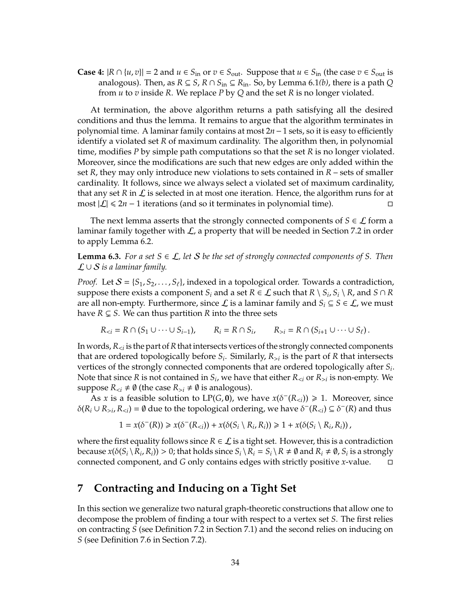**Case 4:**  $|R \cap \{u, v\}| = 2$  and  $u \in S_{\text{in}}$  or  $v \in S_{\text{out}}$ . Suppose that  $u \in S_{\text{in}}$  (the case  $v \in S_{\text{out}}$  is analogous). Then, as  $R \subseteq S$ ,  $R \cap S_{in} \subseteq R_{in}$ . So, by Lemma 6.1(*b*), there is a path Q from *u* to *v* inside *R*. We replace *P* by *Q* and the set *R* is no longer violated.

At termination, the above algorithm returns a path satisfying all the desired conditions and thus the lemma. It remains to argue that the algorithm terminates in polynomial time. A laminar family contains at most 2*n*−1 sets, so it is easy to efficiently identify a violated set *R* of maximum cardinality. The algorithm then, in polynomial time, modifies *P* by simple path computations so that the set *R* is no longer violated. Moreover, since the modifications are such that new edges are only added within the set *R*, they may only introduce new violations to sets contained in *R* – sets of smaller cardinality. It follows, since we always select a violated set of maximum cardinality, that any set R in  $\mathcal L$  is selected in at most one iteration. Hence, the algorithm runs for at most  $|\mathcal{L}|$  ≤ 2*n* − 1 iterations (and so it terminates in polynomial time).

The next lemma asserts that the strongly connected components of  $S \in \mathcal{L}$  form a laminar family together with  $\mathcal{L}$ , a property that will be needed in Section 7.2 in order to apply Lemma 6.2.

**Lemma 6.3.** *For a set*  $S \in \mathcal{L}$ , let S be the set of strongly connected components of S. Then L ∪ S *is a laminar family.*

*Proof.* Let  $S = \{S_1, S_2, \ldots, S_\ell\}$ , indexed in a topological order. Towards a contradiction, suppose there exists a component  $S_i$  and a set  $R \in \mathcal{L}$  such that  $R \setminus S_i$ ,  $S_i \setminus R$ , and  $S \cap R$ are all non-empty. Furthermore, since  $\mathcal L$  is a laminar family and  $S_i \subseteq S \in \mathcal L$ , we must have  $R \subsetneq S$ . We can thus partition  $R$  into the three sets

$$
R_{i} = R \cap (S_{i+1} \cup \cdots \cup S_\ell).
$$

In words, *R*<*<sup>i</sup>* is the part of*R*that intersects vertices of the strongly connected components that are ordered topologically before *S<sup>i</sup>* . Similarly, *R*>*<sup>i</sup>* is the part of *R* that intersects vertices of the strongly connected components that are ordered topologically after *S<sup>i</sup>* . Note that since *R* is not contained in  $S_i$ , we have that either  $R_{< i}$  or  $R_{> i}$  is non-empty. We suppose  $R_{\leq i} \neq \emptyset$  (the case  $R_{\geq i} \neq \emptyset$  is analogous).

As *x* is a feasible solution to LP(*G*, **0**), we have  $x(\delta^{-}(R_{\leq i})) \geq 1$ . Moreover, since  $\delta(R_i \cup R_{>i}, R_{*i*}) = \emptyset$  due to the topological ordering, we have  $\delta^-(R_{*i*}) \subseteq \delta^-(R)$  and thus

$$
1 = x(\delta^-(R)) \ge x(\delta^-(R_{
$$

where the first equality follows since  $R \in \mathcal{L}$  is a tight set. However, this is a contradiction because  $x(\delta(S_i \setminus R_i, R_i)) > 0$ ; that holds since  $S_i \setminus R_i = S_i \setminus R \neq \emptyset$  and  $R_i \neq \emptyset$ ,  $S_i$  is a strongly connected component, and *G* only contains edges with strictly positive *x*-value.

## **7 Contracting and Inducing on a Tight Set**

In this section we generalize two natural graph-theoretic constructions that allow one to decompose the problem of finding a tour with respect to a vertex set *S*. The first relies on contracting *S* (see Definition 7.2 in Section 7.1) and the second relies on inducing on *S* (see Definition 7.6 in Section 7.2).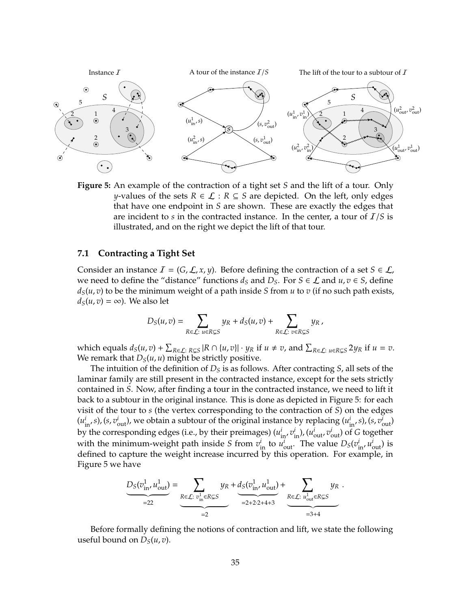

**Figure 5:** An example of the contraction of a tight set *S* and the lift of a tour. Only *y*-values of the sets  $R \in \mathcal{L} : R \subseteq S$  are depicted. On the left, only edges that have one endpoint in *S* are shown. These are exactly the edges that are incident to *s* in the contracted instance. In the center, a tour of I/*S* is illustrated, and on the right we depict the lift of that tour.

#### **7.1 Contracting a Tight Set**

Consider an instance  $I = (G, \mathcal{L}, x, y)$ . Before defining the contraction of a set  $S \in \mathcal{L}$ , we need to define the "distance" functions  $d_S$  and  $D_S$ . For  $S \in \mathcal{L}$  and  $u, v \in S$ , define  $d_S(u, v)$  to be the minimum weight of a path inside *S* from *u* to *v* (if no such path exists,  $d_S(u, v) = \infty$ ). We also let

$$
D_S(u,v) = \sum_{R \in \mathcal{L}: u \in R \subsetneq S} y_R + d_S(u,v) + \sum_{R \in \mathcal{L}: v \in R \subsetneq S} y_R,
$$

which equals  $d_S(u, v) + \sum_{R \in \mathcal{L}: R \subsetneq S} |R \cap \{u, v\}| \cdot y_R$  if  $u \neq v$ , and  $\sum_{R \in \mathcal{L}: u \in R \subsetneq S} 2y_R$  if  $u = v$ . We remark that  $D_S(u, u)$  might be strictly positive.

The intuition of the definition of *D<sup>S</sup>* is as follows. After contracting *S*, all sets of the laminar family are still present in the contracted instance, except for the sets strictly contained in *S*. Now, after finding a tour in the contracted instance, we need to lift it back to a subtour in the original instance. This is done as depicted in Figure 5: for each visit of the tour to *s* (the vertex corresponding to the contraction of *S*) on the edges  $(u_{in}^i, s)$ ,  $(s, v_{out}^i)$ , we obtain a subtour of the original instance by replacing  $(u_{in}^i, s)$ ,  $(s, v_{out}^i)$ by the corresponding edges (i.e., by their preimages)  $(u_{\text{in}}^i, v_{\text{in}}^i)$ ,  $(u_{\text{out}}^i, v_{\text{out}}^i)$  of *G* together with the minimum-weight path inside *S* from  $v^i$ <sub>in</sub> to  $u^i_{\text{out}}$ . The value  $D_s(v^i_{\text{in}}, u^i_{\text{out}})$  is defined to capture the weight increase incurred by this operation. For example, in Figure 5 we have

$$
\underbrace{D_S(v_{\text{in}}^1, u_{\text{out}}^1)}_{=22} = \underbrace{\sum_{R \in \mathcal{L}: \ v_{\text{in}}^1 \in R \subsetneq S} y_R}_{=2} + \underbrace{d_S(v_{\text{in}}^1, u_{\text{out}}^1)}_{=2+2\cdot 2+4+3} + \underbrace{\sum_{R \in \mathcal{L}: \ u_{\text{out}}^1 \in R \subsetneq S} y_R}_{=3+4}.
$$

Before formally defining the notions of contraction and lift, we state the following useful bound on  $D_S(u, v)$ .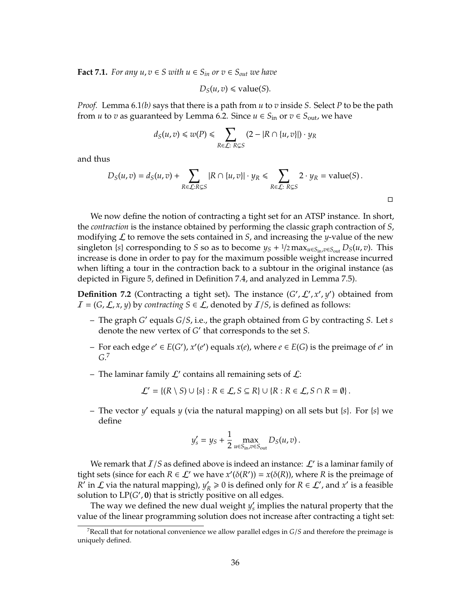**Fact 7.1.** *For any*  $u, v \in S$  *with*  $u \in S$ <sup>*in*</sup> *or*  $v \in S$ <sub>*out*</sub> *we have* 

$$
D_S(u, v) \le \text{value}(S).
$$

*Proof.* Lemma 6.1*(b)* says that there is a path from *u* to *v* inside *S*. Select *P* to be the path from *u* to *v* as guaranteed by Lemma 6.2. Since  $u \in S_{\text{in}}$  or  $v \in S_{\text{out}}$ , we have

$$
d_S(u,v) \leq w(P) \leq \sum_{R \in \mathcal{L}: R \subsetneq S} (2 - |R \cap \{u,v\}|) \cdot y_R
$$

and thus

$$
D_S(u,v) = d_S(u,v) + \sum_{R \in \mathcal{L}: R \subsetneq S} |R \cap \{u,v\}| \cdot y_R \leq \sum_{R \in \mathcal{L}: R \subsetneq S} 2 \cdot y_R = \text{value}(S).
$$

 $\Box$ 

We now define the notion of contracting a tight set for an ATSP instance. In short, the *contraction* is the instance obtained by performing the classic graph contraction of *S*, modifying  $\mathcal L$  to remove the sets contained in *S*, and increasing the *y*-value of the new singleton {*s*} corresponding to *S* so as to become  $y_S + \frac{1}{2} \max_{u \in S_{\text{in}} , v \in S_{\text{out}}} D_S(u, v)$ . This increase is done in order to pay for the maximum possible weight increase incurred when lifting a tour in the contraction back to a subtour in the original instance (as depicted in Figure 5, defined in Definition 7.4, and analyzed in Lemma 7.5).

**Definition 7.2** (Contracting a tight set). The instance  $(G', L', x', y')$  obtained from  $I = (G, \mathcal{L}, x, y)$  by *contracting*  $S \in \mathcal{L}$ , denoted by  $I/S$ , is defined as follows:

- $-$  The graph *G'* equals *G*/*S*, i.e., the graph obtained from *G* by contracting *S*. Let *s* denote the new vertex of *G*<sup>'</sup> that corresponds to the set *S*.
- *−* For each edge  $e'$  ∈  $E(G')$ ,  $x'(e')$  equals  $x(e)$ , where  $e \in E(G)$  is the preimage of  $e'$  in *G*. 7
- The laminar family  $\mathcal{L}'$  contains all remaining sets of  $\mathcal{L}$ :

$$
\mathcal{L}' = \{(R \setminus S) \cup \{s\} : R \in \mathcal{L}, S \subseteq R\} \cup \{R : R \in \mathcal{L}, S \cap R = \emptyset\}.
$$

- The vector *y'* equals *y* (via the natural mapping) on all sets but {*s*}. For {*s*} we define

$$
y'_{s} = y_{S} + \frac{1}{2} \max_{u \in S_{\text{in}} , v \in S_{\text{out}}} D_{S}(u, v).
$$

We remark that  $I/S$  as defined above is indeed an instance:  $\mathcal{L}'$  is a laminar family of tight sets (since for each  $R \in \mathcal{L}'$  we have  $x'(\delta(R')) = x(\delta(R))$ , where  $R$  is the preimage of  $\overline{R'}$  in  $\mathcal L$  via the natural mapping),  $y'_h$  $R \geq 0$  is defined only for  $R \in \mathcal{L}'$ , and  $x'$  is a feasible solution to  $LP(G', 0)$  that is strictly positive on all edges.

The way we defined the new dual weight  $y_s$ *s* implies the natural property that the value of the linear programming solution does not increase after contracting a tight set:

<sup>7</sup>Recall that for notational convenience we allow parallel edges in *G*/*S* and therefore the preimage is uniquely defined.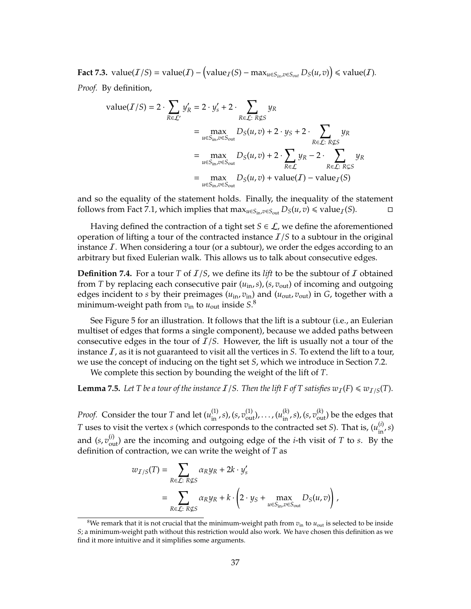**Fact 7.3.** value( $I/S$ ) = value( $I$ ) − (value<sub>*I*</sub>(*S*) − max<sub>*u*∈*S<sub>in</sub>,v*∈*S<sub>out</sub>*  $D_S(u, v)$ ) ≤ value( $I$ ).</sub> *Proof.* By definition,

value(
$$
T/S
$$
) = 2 ·  $\sum_{R \in \mathcal{L'}} y'_R$  = 2 ·  $y'_s$  + 2 ·  $\sum_{R \in \mathcal{L}: R \nsubseteq S} y_R$   
\n=  $\max_{u \in S_{\text{in}}, v \in S_{\text{out}}} D_S(u, v) + 2 \cdot y_S + 2 \cdot \sum_{R \in \mathcal{L}: R \nsubseteq S} y_R$   
\n=  $\max_{u \in S_{\text{in}}, v \in S_{\text{out}}} D_S(u, v) + 2 \cdot \sum_{R \in \mathcal{L}} y_R - 2 \cdot \sum_{R \in \mathcal{L}: R \nsubseteq S} y_R$   
\n=  $\max_{u \in S_{\text{in}}, v \in S_{\text{out}}} D_S(u, v) + \text{value}(I) - \text{value}_I(S)$ 

and so the equality of the statement holds. Finally, the inequality of the statement follows from Fact 7.1, which implies that  $\max_{u \in S_{\text{in}} , v \in S_{\text{out}}} D_S(u, v) \leq \text{value}_I(S)$ . □

Having defined the contraction of a tight set  $S \in \mathcal{L}$ , we define the aforementioned operation of lifting a tour of the contracted instance  $I/S$  to a subtour in the original instance  $\mathcal{I}$ . When considering a tour (or a subtour), we order the edges according to an arbitrary but fixed Eulerian walk. This allows us to talk about consecutive edges.

**Definition 7.4.** For a tour *T* of  $I/S$ , we define its *lift* to be the subtour of *I* obtained from *T* by replacing each consecutive pair (*u*in,*s*),(*s*, *v*out) of incoming and outgoing edges incident to *s* by their preimages ( $u_{\rm in}$ ,  $v_{\rm in}$ ) and ( $u_{\rm out}$ ,  $v_{\rm out}$ ) in *G*, together with a minimum-weight path from  $v_{\text{in}}$  to  $u_{\text{out}}$  inside  $S$ .<sup>8</sup>

See Figure 5 for an illustration. It follows that the lift is a subtour (i.e., an Eulerian multiset of edges that forms a single component), because we added paths between consecutive edges in the tour of I/*S*. However, the lift is usually not a tour of the instance  $I$ , as it is not guaranteed to visit all the vertices in  $S$ . To extend the lift to a tour, we use the concept of inducing on the tight set *S*, which we introduce in Section 7.2.

We complete this section by bounding the weight of the lift of *T*.

**Lemma 7.5.** Let T be a tour of the instance  $I/S$ . Then the lift F of T satisfies  $w_I(F) \le w_{I/S}(T)$ .

*Proof.* Consider the tour *T* and let  $(u_{\text{in}}^{(1)}, s)$ ,  $(s, v_{\text{out}}^{(1)})$ , . . . ,  $(u_{\text{in}}^{(k)}, s)$ ,  $(s, v_{\text{out}}^{(k)})$  be the edges that *T* uses to visit the vertex *s* (which corresponds to the contracted set *S*). That is,  $(u_{in}^{(i)}, s)$ and  $(s, v_{\text{out}}^{(i)})$  are the incoming and outgoing edge of the *i*-th visit of *T* to *s*. By the definition of contraction, we can write the weight of *T* as

$$
\begin{split} w_{I/S}(T) &= \sum_{R \in \mathcal{L}: \ R \not\subseteq S} \alpha_R y_R + 2k \cdot y_s' \\ &= \sum_{R \in \mathcal{L}: \ R \not\subseteq S} \alpha_R y_R + k \cdot \left( 2 \cdot y_S + \max_{u \in S_{\text{in}}, v \in S_{\text{out}}} D_S(u, v) \right), \end{split}
$$

 $8$ We remark that it is not crucial that the minimum-weight path from  $v_{\rm in}$  to  $u_{\rm out}$  is selected to be inside *S*; a minimum-weight path without this restriction would also work. We have chosen this definition as we find it more intuitive and it simplifies some arguments.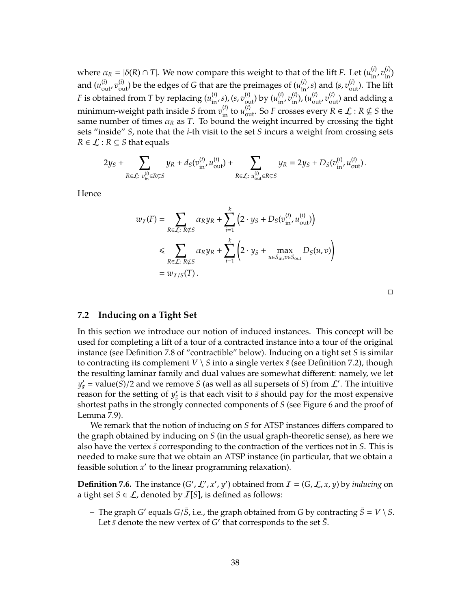where  $\alpha_R = |\delta(R) \cap T|$ . We now compare this weight to that of the lift *F*. Let  $(u_{in}^{(i)}, v_{in}^{(i)})$ and  $(u_{out}^{(i)}, v_{out}^{(i)})$  be the edges of *G* that are the preimages of  $(u_{in}^{(i)}, s)$  and  $(s, v_{out}^{(i)})$ . The lift *F* is obtained from *T* by replacing  $(u_{in}^{(i)}, s)$ ,  $(s, v_{out}^{(i)})$  by  $(u_{in}^{(i)}, v_{in}^{(i)})$ ,  $(u_{out}^{(i)}, v_{out}^{(i)})$  and adding a minimum-weight path inside *S* from  $v_{\text{in}}^{(i)}$  to  $u_{\text{out}}^{(i)}$ . So *F* crosses every  $R \in \mathcal{L} : R \nsubseteq S$  the same number of times  $\alpha_R$  as *T*. To bound the weight incurred by crossing the tight sets "inside" *S*, note that the *i*-th visit to the set *S* incurs a weight from crossing sets  $R \in \mathcal{L} : R \subseteq S$  that equals

$$
2y_S+\sum_{R\in\mathcal{L}:\ v_{\text{in}}^{(i)}\in R\subsetneq S}y_R+d_S(v_{\text{in}}^{(i)},u_{\text{out}}^{(i)})+\sum_{R\in\mathcal{L}:\ u_{\text{out}}^{(i)}\in R\subsetneq S}y_R=2y_S+D_S(v_{\text{in}}^{(i)},u_{\text{out}}^{(i)})\,.
$$

Hence

$$
w_{\mathcal{I}}(F) = \sum_{R \in \mathcal{L}: R \nsubseteq S} \alpha_R y_R + \sum_{i=1}^k \left( 2 \cdot y_S + D_S(v_{\text{in}}^{(i)}, u_{\text{out}}^{(i)}) \right)
$$
  
\$\leqslant \sum\_{R \in \mathcal{L}: R \nsubseteq S} \alpha\_R y\_R + \sum\_{i=1}^k \left( 2 \cdot y\_S + \max\_{u \in S\_{\text{in}}, v \in S\_{\text{out}}} D\_S(u, v) \right)\$  
=  $w_{\mathcal{I}/S}(T)$ .

#### **7.2 Inducing on a Tight Set**

In this section we introduce our notion of induced instances. This concept will be used for completing a lift of a tour of a contracted instance into a tour of the original instance (see Definition 7.8 of "contractible" below). Inducing on a tight set *S* is similar to contracting its complement *V*  $\setminus$  *S* into a single vertex *s* (see Definition 7.2), though the resulting laminar family and dual values are somewhat different: namely, we let  $y'_{\overline{s}}$  = value(*S*)/2 and we remove *S* (as well as all supersets of *S*) from  $\mathcal{L}'$ . The intuitive reason for the setting of  $y'_{\bar{s}}$  $\frac{\prime}{\overline{s}}$  is that each visit to  $\overline{s}$  should pay for the most expensive shortest paths in the strongly connected components of *S* (see Figure 6 and the proof of Lemma 7.9).

We remark that the notion of inducing on *S* for ATSP instances differs compared to the graph obtained by inducing on *S* (in the usual graph-theoretic sense), as here we also have the vertex *s*¯ corresponding to the contraction of the vertices not in *S*. This is needed to make sure that we obtain an ATSP instance (in particular, that we obtain a feasible solution  $x'$  to the linear programming relaxation).

**Definition 7.6.** The instance  $(G', \mathcal{L}', x', y')$  obtained from  $I = (G, \mathcal{L}, x, y)$  by *inducing* on a tight set  $S \in \mathcal{L}$ , denoted by  $\mathcal{I}[S]$ , is defined as follows:

 $\bar{S}$  =  $V \setminus S$ . The graph *G'* equals *G*/*S*, i.e., the graph obtained from *G* by contracting  $\bar{S} = V \setminus S$ . Let  $\overline{s}$  denote the new vertex of  $G'$  that corresponds to the set  $\overline{S}$ .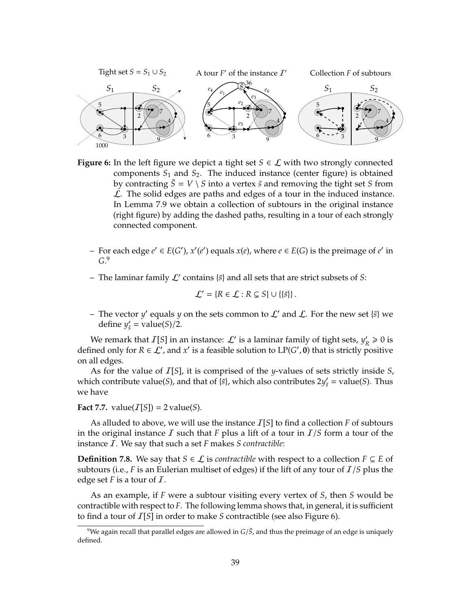

**Figure 6:** In the left figure we depict a tight set  $S \in \mathcal{L}$  with two strongly connected components  $S_1$  and  $S_2$ . The induced instance (center figure) is obtained by contracting  $\bar{S} = V \setminus S$  into a vertex  $\bar{s}$  and removing the tight set *S* from  $\mathcal{L}$ . The solid edges are paths and edges of a tour in the induced instance. In Lemma 7.9 we obtain a collection of subtours in the original instance (right figure) by adding the dashed paths, resulting in a tour of each strongly connected component.

- − For each edge  $e' \in E(G')$ ,  $x'(e')$  equals  $x(e)$ , where  $e \in E(G)$  is the preimage of  $e'$  in *G*. 9
- $-$  The laminar family  $\mathcal{L}'$  contains  $\{\bar{s}\}$  and all sets that are strict subsets of *S*:

$$
\mathcal{L}' = \{ R \in \mathcal{L} : R \subsetneq S \} \cup \{ \{ \bar{s} \} \}.
$$

 $-$  The vector *y'* equals *y* on the sets common to  $\mathcal{L}'$  and  $\mathcal{L}$ . For the new set  $\{\bar{s}\}$  we define  $y'_{\overline{s}} = \text{value}(S)/2$ .

We remark that  $I[S]$  in an instance:  $\mathcal{L}'$  is a laminar family of tight sets,  $y'_{k}$  $'_{R} \geq 0$  is defined only for  $R \in \mathcal{L}'$ , and  $x'$  is a feasible solution to  $LP(G', 0)$  that is strictly positive on all edges.

As for the value of I[*S*], it is comprised of the *y*-values of sets strictly inside *S*, which contribute value(*S*), and that of  $\{\bar{s}\}$ , which also contributes  $2y'_{\bar{s}}$  = value(*S*). Thus we have

**Fact 7.7.** value( $I[S]$ ) = 2 value(*S*).

As alluded to above, we will use the instance  $I[S]$  to find a collection *F* of subtours in the original instance  $\bar{I}$  such that  $\bar{F}$  plus a lift of a tour in  $\bar{I}/S$  form a tour of the instance I. We say that such a set *F* makes *S contractible*:

**Definition 7.8.** We say that *S* ∈  $\mathcal{L}$  is *contractible* with respect to a collection *F* ⊆ *E* of subtours (i.e., *F* is an Eulerian multiset of edges) if the lift of any tour of I/*S* plus the edge set  $F$  is a tour of  $\overline{I}$ .

As an example, if *F* were a subtour visiting every vertex of *S*, then *S* would be contractible with respect to *F*. The following lemma shows that, in general, it is sufficient to find a tour of I[*S*] in order to make *S* contractible (see also Figure 6).

 $9$ We again recall that parallel edges are allowed in  $G/\overline{S}$ , and thus the preimage of an edge is uniquely defined.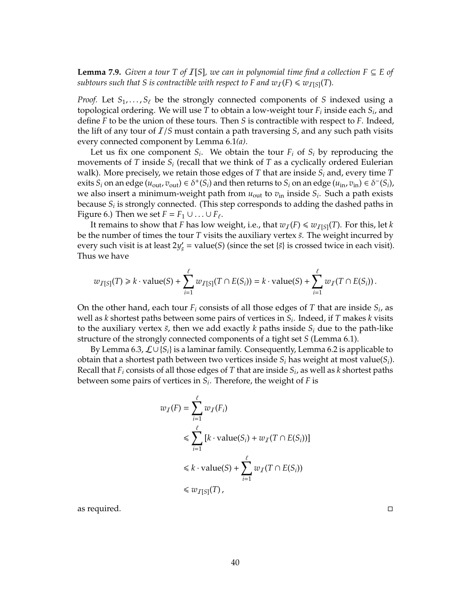**Lemma 7.9.** *Given a tour T of I*[*S*]*, we can in polynomial time find a collection*  $F ⊆ E$  *of subtours such that S is contractible with respect to F and*  $w_I(F) \leq w_{I[S]}(T)$ *.* 

*Proof.* Let  $S_1, \ldots, S_\ell$  be the strongly connected components of *S* indexed using a topological ordering. We will use *T* to obtain a low-weight tour *F<sup>i</sup>* inside each *S<sup>i</sup>* , and define *F* to be the union of these tours. Then *S* is contractible with respect to *F*. Indeed, the lift of any tour of I/*S* must contain a path traversing *S*, and any such path visits every connected component by Lemma 6.1*(a)*.

Let us fix one component  $S_i$ . We obtain the tour  $F_i$  of  $S_i$  by reproducing the movements of *T* inside *S<sup>i</sup>* (recall that we think of *T* as a cyclically ordered Eulerian walk). More precisely, we retain those edges of *T* that are inside *S<sup>i</sup>* and, every time *T* exits  $S_i$  on an edge  $(u_{out}, v_{out}) \in \delta^+(S_i)$  and then returns to  $S_i$  on an edge  $(u_{in}, v_{in}) \in \delta^-(S_i)$ , we also insert a minimum-weight path from *u*out to *v*in inside *S<sup>i</sup>* . Such a path exists because *S<sup>i</sup>* is strongly connected. (This step corresponds to adding the dashed paths in Figure 6.) Then we set  $F = F_1 \cup ... \cup F_\ell$ .

It remains to show that *F* has low weight, i.e., that  $w_I(F) \leq w_{I[S]}(T)$ . For this, let *k* be the number of times the tour *T* visits the auxiliary vertex *s*<sup> $\overline{s}$ </sup>. The weight incurred by every such visit is at least  $2y'_{\bar{s}}$  = value(*S*) (since the set {*s*} is crossed twice in each visit). Thus we have

$$
w_{T[S]}(T) \geq k \cdot \mathrm{value}(S) + \sum_{i=1}^{\ell} w_{T[S]}(T \cap E(S_i)) = k \cdot \mathrm{value}(S) + \sum_{i=1}^{\ell} w_T(T \cap E(S_i)).
$$

On the other hand, each tour *F<sup>i</sup>* consists of all those edges of *T* that are inside *S<sup>i</sup>* , as well as *k* shortest paths between some pairs of vertices in *S<sup>i</sup>* . Indeed, if *T* makes *k* visits to the auxiliary vertex  $\bar{s}$ , then we add exactly  $k$  paths inside  $S_i$  due to the path-like structure of the strongly connected components of a tight set *S* (Lemma 6.1).

By Lemma 6.3, L∪ {*Si*} is a laminar family. Consequently, Lemma 6.2 is applicable to obtain that a shortest path between two vertices inside *S<sup>i</sup>* has weight at most value(*Si*). Recall that *F<sup>i</sup>* consists of all those edges of *T* that are inside *S<sup>i</sup>* , as well as *k* shortest paths between some pairs of vertices in *S<sup>i</sup>* . Therefore, the weight of *F* is

$$
w_{\mathcal{I}}(F) = \sum_{i=1}^{\ell} w_{\mathcal{I}}(F_i)
$$
  
\n
$$
\leq \sum_{i=1}^{\ell} [k \cdot \text{value}(S_i) + w_{\mathcal{I}}(T \cap E(S_i))]
$$
  
\n
$$
\leq k \cdot \text{value}(S) + \sum_{i=1}^{\ell} w_{\mathcal{I}}(T \cap E(S_i))
$$
  
\n
$$
\leq w_{\mathcal{I}[S]}(T),
$$

as required.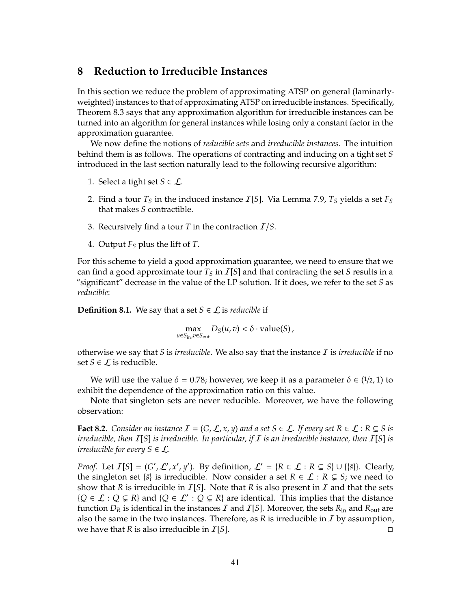## **8 Reduction to Irreducible Instances**

In this section we reduce the problem of approximating ATSP on general (laminarlyweighted) instances to that of approximating ATSP on irreducible instances. Specifically, Theorem 8.3 says that any approximation algorithm for irreducible instances can be turned into an algorithm for general instances while losing only a constant factor in the approximation guarantee.

We now define the notions of *reducible sets* and *irreducible instances*. The intuition behind them is as follows. The operations of contracting and inducing on a tight set *S* introduced in the last section naturally lead to the following recursive algorithm:

- 1. Select a tight set  $S \in \mathcal{L}$ .
- 2. Find a tour  $T<sub>S</sub>$  in the induced instance  $T[S]$ . Via Lemma 7.9,  $T<sub>S</sub>$  yields a set  $F<sub>S</sub>$ that makes *S* contractible.
- 3. Recursively find a tour *T* in the contraction I/*S*.
- 4. Output *F<sup>S</sup>* plus the lift of *T*.

For this scheme to yield a good approximation guarantee, we need to ensure that we can find a good approximate tour  $T<sub>S</sub>$  in  $\overline{I}[S]$  and that contracting the set *S* results in a "significant" decrease in the value of the LP solution. If it does, we refer to the set *S* as *reducible*:

**Definition 8.1.** We say that a set *S*  $\in$  *L* is *reducible* if

$$
\max_{u \in S_{\text{in}}, v \in S_{\text{out}}} D_S(u, v) < \delta \cdot \text{value}(S),
$$

otherwise we say that *S* is *irreducible*. We also say that the instance I is *irreducible* if no set *S* ∈  $\mathcal{L}$  is reducible.

We will use the value  $\delta = 0.78$ ; however, we keep it as a parameter  $\delta \in (1/2, 1)$  to exhibit the dependence of the approximation ratio on this value.

Note that singleton sets are never reducible. Moreover, we have the following observation:

**Fact 8.2.** *Consider an instance*  $\mathcal{I} = (G, \mathcal{L}, x, y)$  *and a set*  $S \in \mathcal{L}$ *. If every set*  $R \in \mathcal{L}$ *:*  $R \subsetneq S$  *is irreducible, then* I[*S*] *is irreducible. In particular, if* I *is an irreducible instance, then* I[*S*] *is irreducible for every*  $S \in \mathcal{L}$ .

*Proof.* Let  $I[S] = (G', \mathcal{L}', x', y')$ . By definition,  $\mathcal{L}' = \{R \in \mathcal{L} : R \subsetneq S\} \cup \{\{\bar{s}\}\}\.$  Clearly, the singleton set  $\{\bar{s}\}$  is irreducible. Now consider a set  $R \in \mathcal{L} : R \subsetneq S$ ; we need to show that *R* is irreducible in  $I[S]$ . Note that *R* is also present in *I* and that the sets { $Q \in L : Q \subsetneq R$ } and { $Q \in L' : Q \subsetneq R$ } are identical. This implies that the distance function  $D_R$  is identical in the instances *I* and *I*[*S*]. Moreover, the sets  $R_{in}$  and  $R_{out}$  are also the same in the two instances. Therefore, as  $R$  is irreducible in  $I$  by assumption, we have that *R* is also irreducible in I[*S*].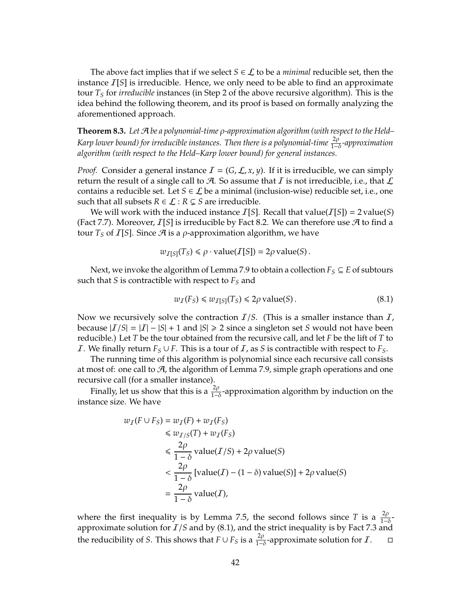The above fact implies that if we select  $S \in \mathcal{L}$  to be a *minimal* reducible set, then the instance I[*S*] is irreducible. Hence, we only need to be able to find an approximate tour *T<sup>S</sup>* for *irreducible* instances (in Step 2 of the above recursive algorithm). This is the idea behind the following theorem, and its proof is based on formally analyzing the aforementioned approach.

**Theorem 8.3.** *Let* A *be a polynomial-time* ρ*-approximation algorithm (with respect to the Held– Karp lower bound) for irreducible instances. Then there is a polynomial-time*  $\frac{2ρ}{1−δ}$ *-approximation algorithm (with respect to the Held–Karp lower bound) for general instances.*

*Proof.* Consider a general instance  $\mathcal{I} = (G, \mathcal{L}, x, y)$ . If it is irreducible, we can simply return the result of a single call to  $\mathcal A$ . So assume that  $I$  is not irreducible, i.e., that  $\mathcal L$ contains a reducible set. Let  $S \in \mathcal{L}$  be a minimal (inclusion-wise) reducible set, i.e., one such that all subsets  $R \in \mathcal{L} : R \subsetneq S$  are irreducible.

We will work with the induced instance  $I[S]$ . Recall that value( $I[S]$ ) = 2 value(S) (Fact 7.7). Moreover,  $I[S]$  is irreducible by Fact 8.2. We can therefore use  $\mathcal A$  to find a tour  $T_S$  of  $\mathcal{I}[S]$ . Since  $\mathcal{A}$  is a  $\rho$ -approximation algorithm, we have

$$
w_{I[S]}(T_S) \le \rho \cdot value(I[S]) = 2\rho value(S).
$$

Next, we invoke the algorithm of Lemma 7.9 to obtain a collection  $F_S \subseteq E$  of subtours such that *S* is contractible with respect to *F<sup>S</sup>* and

$$
w_{\mathcal{I}}(F_S) \leq w_{\mathcal{I}[S]}(T_S) \leq 2\rho \text{ value}(S). \tag{8.1}
$$

Now we recursively solve the contraction  $I/S$ . (This is a smaller instance than  $I$ , because  $|I/S| = |I| - |S| + 1$  and  $|S| \ge 2$  since a singleton set *S* would not have been reducible.) Let *T* be the tour obtained from the recursive call, and let *F* be the lift of *T* to *I*. We finally return  $F_S ∪ F$ . This is a tour of *I*, as *S* is contractible with respect to  $F_S$ .

The running time of this algorithm is polynomial since each recursive call consists at most of: one call to  $A$ , the algorithm of Lemma 7.9, simple graph operations and one recursive call (for a smaller instance).

Finally, let us show that this is a  $\frac{2\rho}{1-\delta}$ -approximation algorithm by induction on the instance size. We have

$$
w_I(F \cup F_S) = w_I(F) + w_I(F_S)
$$
  
\n
$$
\leq w_{I/S}(T) + w_I(F_S)
$$
  
\n
$$
\leq \frac{2\rho}{1-\delta} \text{ value}(I/S) + 2\rho \text{ value}(S)
$$
  
\n
$$
< \frac{2\rho}{1-\delta} [\text{value}(I) - (1-\delta) \text{ value}(S)] + 2\rho \text{ value}(S)
$$
  
\n
$$
= \frac{2\rho}{1-\delta} \text{ value}(I),
$$

where the first inequality is by Lemma 7.5, the second follows since *T* is a  $\frac{2\rho}{1-\delta}$ approximate solution for I/*S* and by (8.1), and the strict inequality is by Fact 7.3 and the reducibility of *S*. This shows that  $F \cup F_S$  is a  $\frac{2\rho}{1-\delta}$ -approximate solution for *I*. □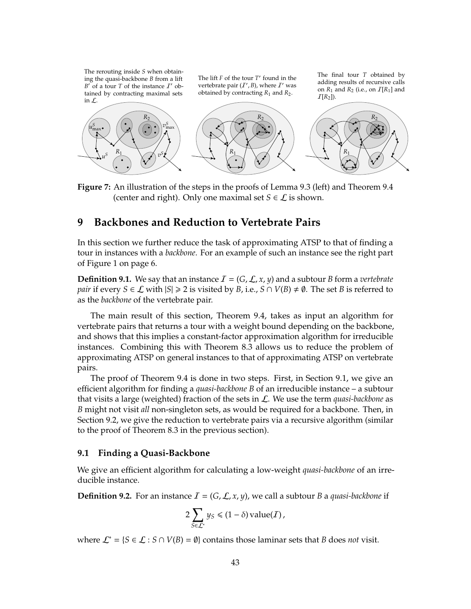The rerouting inside *S* when obtaining the quasi-backbone *B* from a lift  $B'$  of a tour *T* of the instance  $I'$  obtained by contracting maximal sets in L.

The lift  $F$  of the tour  $T'$  found in the vertebrate pair  $(I', B)$ , where  $I'$  was obtained by contracting *R*<sup>1</sup> and *R*2.

The final tour *T* obtained by adding results of recursive calls on  $R_1$  and  $R_2$  (i.e., on  $I[R_1]$  and  $I[R_2]$ ).



**Figure 7:** An illustration of the steps in the proofs of Lemma 9.3 (left) and Theorem 9.4 (center and right). Only one maximal set  $S \in \mathcal{L}$  is shown.

## **9 Backbones and Reduction to Vertebrate Pairs**

In this section we further reduce the task of approximating ATSP to that of finding a tour in instances with a *backbone*. For an example of such an instance see the right part of Figure 1 on page 6.

**Definition 9.1.** We say that an instance  $\mathcal{I} = (G, \mathcal{L}, x, y)$  and a subtour *B* form a *vertebrate pair* if every  $S \in \mathcal{L}$  with  $|S| \ge 2$  is visited by *B*, i.e.,  $S \cap V(B) \ne \emptyset$ . The set *B* is referred to as the *backbone* of the vertebrate pair.

The main result of this section, Theorem 9.4, takes as input an algorithm for vertebrate pairs that returns a tour with a weight bound depending on the backbone, and shows that this implies a constant-factor approximation algorithm for irreducible instances. Combining this with Theorem 8.3 allows us to reduce the problem of approximating ATSP on general instances to that of approximating ATSP on vertebrate pairs.

The proof of Theorem 9.4 is done in two steps. First, in Section 9.1, we give an efficient algorithm for finding a *quasi-backbone B* of an irreducible instance – a subtour that visits a large (weighted) fraction of the sets in L. We use the term *quasi-backbone* as *B* might not visit *all* non-singleton sets, as would be required for a backbone. Then, in Section 9.2, we give the reduction to vertebrate pairs via a recursive algorithm (similar to the proof of Theorem 8.3 in the previous section).

#### **9.1 Finding a Quasi-Backbone**

We give an efficient algorithm for calculating a low-weight *quasi-backbone* of an irreducible instance.

**Definition 9.2.** For an instance  $I = (G, \mathcal{L}, x, y)$ , we call a subtour *B* a *quasi-backbone* if

$$
2\sum_{S\in\mathcal{L}^*} y_S \leq (1-\delta) \operatorname{value}(I),
$$

where  $\mathcal{L}^* = \{S \in \mathcal{L} : S \cap V(B) = \emptyset\}$  contains those laminar sets that *B* does *not* visit.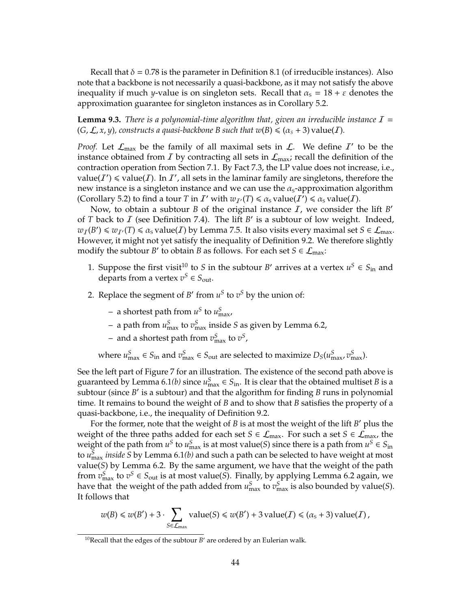Recall that  $\delta = 0.78$  is the parameter in Definition 8.1 (of irreducible instances). Also note that a backbone is not necessarily a quasi-backbone, as it may not satisfy the above inequality if much *y*-value is on singleton sets. Recall that  $\alpha_s = 18 + \varepsilon$  denotes the approximation guarantee for singleton instances as in Corollary 5.2.

**Lemma 9.3.** *There is a polynomial-time algorithm that, given an irreducible instance*  $I =$  $(G, \mathcal{L}, x, y)$ , constructs a quasi-backbone *B* such that  $w(B) \leq (a_s + 3)$  value(*I*).

*Proof.* Let  $\mathcal{L}_{\text{max}}$  be the family of all maximal sets in  $\mathcal{L}$ . We define  $I'$  to be the instance obtained from  $I$  by contracting all sets in  $\mathcal{L}_{\text{max}}$ ; recall the definition of the contraction operation from Section 7.1. By Fact 7.3, the LP value does not increase, i.e., value(*I'*)  $\le$  value(*I*). In *I'*, all sets in the laminar family are singletons, therefore the new instance is a singleton instance and we can use the  $\alpha_{\rm s}$ -approximation algorithm (Corollary 5.2) to find a tour *T* in *I'* with  $w_{I'}(T) \le \alpha_s$  value(*I'*)  $\le \alpha_s$  value(*I*).

Now, to obtain a subtour *B* of the original instance  $\overline{I}$ , we consider the lift *B*<sup>*'*</sup> of *T* back to *I* (see Definition 7.4). The lift *B*' is a subtour of low weight. Indeed,  $w_I(B') \leq w_{I'}(T) \leq \alpha_s$  value(*I*) by Lemma 7.5. It also visits every maximal set  $S \in \mathcal{L}_{\text{max}}$ . However, it might not yet satisfy the inequality of Definition 9.2. We therefore slightly modify the subtour *B*<sup> $\prime$ </sup> to obtain *B* as follows. For each set  $S \in \mathcal{L}_{\text{max}}$ :

- 1. Suppose the first visit<sup>10</sup> to *S* in the subtour *B*' arrives at a vertex  $u^S \in S_{\text{in}}$  and departs from a vertex  $v^S \in S_{\text{out}}$ .
- 2. Replace the segment of *B*<sup> $\prime$ </sup> from  $u^S$  to  $v^S$  by the union of:
	- $-$  a shortest path from  $u^S$  to  $u^S_{\text{max}}$ ,
	- $-$  a path from  $u_{\text{max}}^S$  to  $v_{\text{max}}^S$  inside *S* as given by Lemma 6.2,
	- $-$  and a shortest path from  $v_{\text{max}}^S$  to  $v^S$ ,

where  $u_{\max}^S \in S_{\text{in}}$  and  $v_{\max}^S \in S_{\text{out}}$  are selected to maximize  $D_S(u_{\max}^S, v_{\max}^S)$ .

See the left part of Figure 7 for an illustration. The existence of the second path above is guaranteed by Lemma 6.1*(b)* since  $u_{\text{max}}^S \in S_{\text{in}}$ . It is clear that the obtained multiset *B* is a subtour (since *B'* is a subtour) and that the algorithm for finding *B* runs in polynomial time. It remains to bound the weight of *B* and to show that *B* satisfies the property of a quasi-backbone, i.e., the inequality of Definition 9.2.

For the former, note that the weight of *B* is at most the weight of the lift *B'* plus the weight of the three paths added for each set *S*  $\in$   $\mathcal{L}_{max}$ . For such a set *S*  $\in$   $\mathcal{L}_{max}$ , the weight of the path from  $u^S$  to  $u_{\text{max}}^S$  is at most value(*S*) since there is a path from  $u^S \in S_{\text{in}}$ to  $u_{\max}^S$  *inside S* by Lemma 6.1(*b*) and such a path can be selected to have weight at most value(*S*) by Lemma 6.2. By the same argument, we have that the weight of the path from  $v_{\text{max}}^S$  to  $v^S \in S_{\text{out}}$  is at most value(*S*). Finally, by applying Lemma 6.2 again, we have that the weight of the path added from  $u_{\max}^S$  to  $v_{\max}^S$  is also bounded by value(*S*). It follows that

$$
w(B) \leq w(B') + 3 \cdot \sum_{S \in \mathcal{L}_{\text{max}}} \text{value}(S) \leq w(B') + 3 \text{ value}(I) \leq (\alpha_S + 3) \text{ value}(I),
$$

 $10$ Recall that the edges of the subtour  $B'$  are ordered by an Eulerian walk.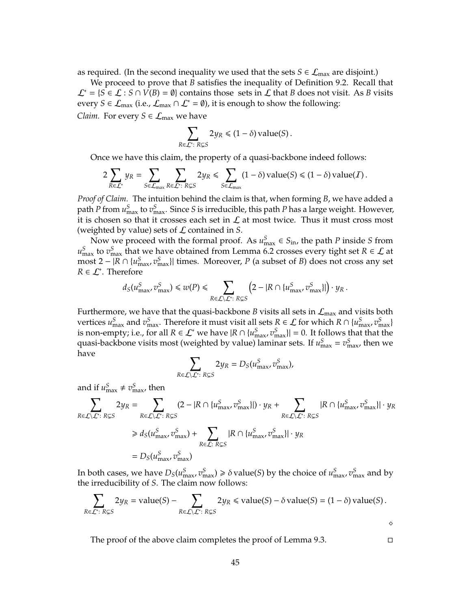as required. (In the second inequality we used that the sets  $S \in \mathcal{L}_{max}$  are disjoint.)

We proceed to prove that *B* satisfies the inequality of Definition 9.2. Recall that  $\mathcal{L}^*$  = {*S* ∈  $\mathcal{L}$  : *S* ∩ *V*(*B*) =  $\emptyset$ } contains those sets in  $\mathcal{L}$  that *B* does not visit. As *B* visits every *S* ∈  $\mathcal{L}_{\text{max}}$  (i.e.,  $\mathcal{L}_{\text{max}} \cap \mathcal{L}^* = \emptyset$ ), it is enough to show the following: *Claim.* For every  $S \in \mathcal{L}_{\text{max}}$  we have

$$
\sum_{R\in\mathcal{L}^*\colon R\subsetneq S} 2y_R \leq (1-\delta) \,\mathrm{value}(S)\,.
$$

Once we have this claim, the property of a quasi-backbone indeed follows:

$$
2\sum_{R\in\mathcal{L}^*}y_R=\sum_{S\in\mathcal{L}_{\max}}\sum_{R\in\mathcal{L}^*: R\subsetneq S}2y_R\leq \sum_{S\in\mathcal{L}_{\max}}(1-\delta)\,\mathrm{value}(S)\leq (1-\delta)\,\mathrm{value}(I)\,.
$$

*Proof of Claim.* The intuition behind the claim is that, when forming *B*, we have added a path *P* from  $u_{\text{max}}^S$  to  $v_{\text{max}}^S$ . Since *S* is irreducible, this path *P* has a large weight. However, it is chosen so that it crosses each set in  $\mathcal L$  at most twice. Thus it must cross most (weighted by value) sets of L contained in *S*.

Now we proceed with the formal proof. As  $u_{\text{max}}^S \in S_{\text{in}}$ , the path *P* inside *S* from  $u_{\text{max}}^S$  to  $v_{\text{max}}^S$  that we have obtained from Lemma 6.2 crosses every tight set *R*  $\in \mathcal{L}$  at most 2 –  $|R \cap \{u_{\max}^S, v_{\max}^S\}|$  times. Moreover, *P* (a subset of *B*) does not cross any set  $R \in \mathcal{L}^*$ . Therefore

$$
d_S(u_{\max}^S, v_{\max}^S) \leq w(P) \leq \sum_{R \in \mathcal{L} \setminus \mathcal{L}^*: R \subsetneq S} \left(2 - |R \cap \{u_{\max}^S, v_{\max}^S\}|\right) \cdot y_R.
$$

Furthermore, we have that the quasi-backbone *B* visits all sets in  $\mathcal{L}_{\text{max}}$  and visits both vertices  $u_{\max}^S$  and  $v_{\max}^S$ . Therefore it must visit all sets  $R \in \mathcal{L}$  for which  $R \cap \{u_{\max}^S, v_{\max}^S\}$ is non-empty; i.e., for all  $R \in \mathcal{L}^*$  we have  $|R \cap \{u_{\max}^S, v_{\max}^S\}| = 0$ . It follows that that the quasi-backbone visits most (weighted by value) laminar sets. If  $u_{\text{max}}^S = v_{\text{max}}^S$ , then we have

$$
\sum_{R\in\mathcal{L}\setminus\mathcal{L}^*: R\subsetneq S} 2y_R = D_S(u_{\text{max}}^S, v_{\text{max}}^S),
$$

and if  $u_{\text{max}}^S \neq v_{\text{max}}^S$ , then

$$
\sum_{R \in \mathcal{L} \setminus \mathcal{L}^*:} \sum_{R \in \mathcal{L} \setminus \mathcal{L}^*:} 2y_R = \sum_{R \in \mathcal{L} \setminus \mathcal{L}^*:} (2 - |R \cap \{u_{\text{max}}^S, v_{\text{max}}^S\}|) \cdot y_R + \sum_{R \in \mathcal{L} \setminus \mathcal{L}^*:} |R \cap \{u_{\text{max}}^S, v_{\text{max}}^S\}| \cdot y_R
$$
\n
$$
\geq d_S(u_{\text{max}}^S, v_{\text{max}}^S) + \sum_{R \in \mathcal{L}:} R \subseteq S} |R \cap \{u_{\text{max}}^S, v_{\text{max}}^S\}| \cdot y_R
$$
\n
$$
= D_S(u_{\text{max}}^S, v_{\text{max}}^S)
$$

In both cases, we have  $D_S(u_{\max}^S, v_{\max}^S) \ge \delta$  value(*S*) by the choice of  $u_{\max}^S, v_{\max}^S$  and by the irreducibility of *S*. The claim now follows:

$$
\sum_{R\in\mathcal{L}^*: R\subsetneq S} 2y_R = \text{value}(S) - \sum_{R\in\mathcal{L}\setminus\mathcal{L}^*: R\subsetneq S} 2y_R \leq \text{value}(S) - \delta \text{ value}(S) = (1 - \delta) \text{value}(S).
$$

45

The proof of the above claim completes the proof of Lemma 9.3.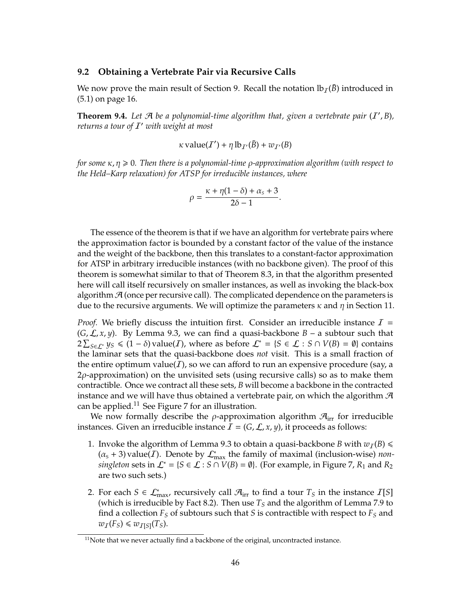#### **9.2 Obtaining a Vertebrate Pair via Recursive Calls**

We now prove the main result of Section 9. Recall the notation  $lb<sub>I</sub>( $\bar{B}$ )$  introduced in (5.1) on page 16.

**Theorem 9.4.** Let  $\mathcal{A}$  be a polynomial-time algorithm that, given a vertebrate pair  $(I', B)$ , *returns a tour of* I <sup>0</sup> *with weight at most*

$$
\kappa \operatorname{value}(T') + \eta \operatorname{lb}_{T'}(\bar{B}) + w_{T'}(B)
$$

*for some* κ, η ≥ 0. Then there is a polynomial-time *ρ*-approximation algorithm (with respect to *the Held–Karp relaxation) for ATSP for irreducible instances, where*

$$
\rho = \frac{\kappa + \eta(1-\delta) + \alpha_s + 3}{2\delta - 1}.
$$

The essence of the theorem is that if we have an algorithm for vertebrate pairs where the approximation factor is bounded by a constant factor of the value of the instance and the weight of the backbone, then this translates to a constant-factor approximation for ATSP in arbitrary irreducible instances (with no backbone given). The proof of this theorem is somewhat similar to that of Theorem 8.3, in that the algorithm presented here will call itself recursively on smaller instances, as well as invoking the black-box algorithm  $\mathcal{A}$  (once per recursive call). The complicated dependence on the parameters is due to the recursive arguments. We will optimize the parameters  $\kappa$  and  $\eta$  in Section 11.

*Proof.* We briefly discuss the intuition first. Consider an irreducible instance  $I =$  $(G, \mathcal{L}, x, y)$ . By Lemma 9.3, we can find a quasi-backbone  $B - a$  subtour such that  $2\sum_{S\in\mathcal{L}^*} y_S \le (1 - \delta)$  value(*I*), where as before  $\mathcal{L}^* = \{S \in \mathcal{L} : S \cap V(B) = \emptyset\}$  contains the laminar sets that the quasi-backbone does *not* visit. This is a small fraction of the entire optimum value(*I*), so we can afford to run an expensive procedure (say, a 2ρ-approximation) on the unvisited sets (using recursive calls) so as to make them contractible. Once we contract all these sets, *B* will become a backbone in the contracted instance and we will have thus obtained a vertebrate pair, on which the algorithm  $\mathcal{A}$ can be applied.<sup>11</sup> See Figure 7 for an illustration.

We now formally describe the  $\rho$ -approximation algorithm  $\mathcal{A}_{irr}$  for irreducible instances. Given an irreducible instance  $\mathcal{I} = (G, \mathcal{L}, x, y)$ , it proceeds as follows:

- 1. Invoke the algorithm of Lemma 9.3 to obtain a quasi-backbone *B* with  $w_I(B) \le$  $(\alpha_{s} + 3)$  value(*I*). Denote by  $\mathcal{L}_{\max}^{*}$  the family of maximal (inclusion-wise) *nonsingleton* sets in  $\mathcal{L}^* = \{S \in \mathcal{L} : S \cap V(B) = \emptyset\}$ . (For example, in Figure 7,  $R_1$  and  $R_2$ ) are two such sets.)
- 2. For each  $S \in \mathcal{L}_{\max}^*$ , recursively call  $\mathcal{A}_{\text{irr}}$  to find a tour  $T_S$  in the instance  $I[S]$ (which is irreducible by Fact 8.2). Then use *T<sup>S</sup>* and the algorithm of Lemma 7.9 to find a collection *F<sup>S</sup>* of subtours such that *S* is contractible with respect to *F<sup>S</sup>* and  $w_I(F_S) \leq w_{I[S]}(T_S).$

 $11$ Note that we never actually find a backbone of the original, uncontracted instance.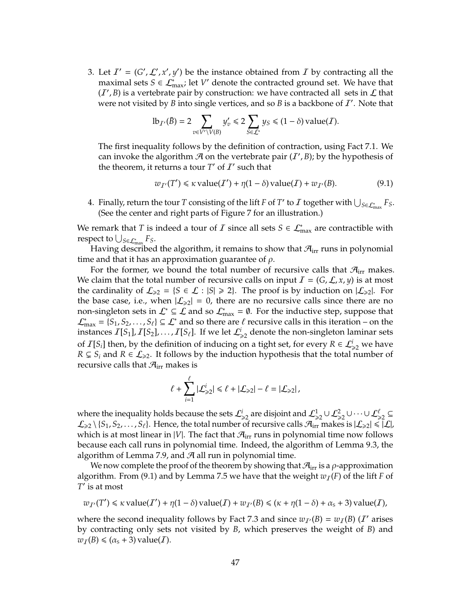3. Let  $I' = (G', L', x', y')$  be the instance obtained from *I* by contracting all the maximal sets  $S \in \mathcal{L}_{\text{max}}^*$ ; let *V'* denote the contracted ground set. We have that  $(I', B)$  is a vertebrate pair by construction: we have contracted all sets in  $\mathcal L$  that were not visited by  $\overline{B}$  into single vertices, and so  $\overline{B}$  is a backbone of  $\overline{I}$ . Note that

$$
\mathrm{lb}_{\mathcal{I}'}(\bar{B}) = 2 \sum_{v \in V' \setminus V(B)} y'_v \le 2 \sum_{S \in \mathcal{L}^*} y_S \le (1 - \delta) \mathrm{value}(\mathcal{I}).
$$

The first inequality follows by the definition of contraction, using Fact 7.1. We can invoke the algorithm  $\mathcal A$  on the vertebrate pair  $(I', B)$ ; by the hypothesis of the theorem, it returns a tour  $T'$  of  $I'$  such that

$$
w_{\mathcal{I}'}(T') \le \kappa \operatorname{value}(T') + \eta(1 - \delta) \operatorname{value}(T) + w_{\mathcal{I}'}(B). \tag{9.1}
$$

4. Finally, return the tour *T* consisting of the lift *F* of *T*' to *I* together with  $\bigcup_{S \in \mathcal{L}_{\max}^*} F_S$ . (See the center and right parts of Figure 7 for an illustration.)

We remark that *T* is indeed a tour of *I* since all sets  $S \in \mathcal{L}_{\max}^*$  are contractible with respect to  $\bigcup_{S \in \mathcal{L}^*_{\text{max}}} F_S$ .

Having described the algorithm, it remains to show that  $\mathcal{A}_{irr}$  runs in polynomial time and that it has an approximation guarantee of  $\rho$ .

For the former, we bound the total number of recursive calls that  $\mathcal{A}_{irr}$  makes. We claim that the total number of recursive calls on input  $I = (G, \mathcal{L}, x, y)$  is at most the cardinality of  $\mathcal{L}_{\geq 2} = \{S \in \mathcal{L} : |S| \geq 2\}$ . The proof is by induction on  $|\mathcal{L}_{\geq 2}|$ . For the base case, i.e., when  $|\mathcal{L}_{\geq 2}| = 0$ , there are no recursive calls since there are no non-singleton sets in  $\mathcal{L}^* \subseteq \mathcal{L}$  and so  $\mathcal{L}^*$  =  $\emptyset$ . For the inductive step, suppose that  $\mathcal{L}^*_{\text{max}} = \{S_1, S_2, \ldots, S_\ell\} \subseteq \mathcal{L}^*$  and so there are  $\ell$  recursive calls in this iteration – on the instances  $I[S_1], I[S_2], \ldots, I[S_\ell]$ . If we let  $\mathcal{L}_{\geq 2}^i$  denote the non-singleton laminar sets of  $I[S_i]$  then, by the definition of inducing on a tight set, for every  $R \in \mathcal{L}_{\geq 2}^i$  we have  $R \subsetneq S_i$  and  $R \in \mathcal{L}_{\geq 2}$ . It follows by the induction hypothesis that the total number of recursive calls that  $\mathcal{A}_{irr}$  makes is

$$
\ell + \sum_{i=1}^{\ell} |\mathcal{L}_{\geq 2}^i| \leq \ell + |\mathcal{L}_{\geq 2}| - \ell = |\mathcal{L}_{\geq 2}|,
$$

where the inequality holds because the sets  $\mathcal{L}^i_{\geq 2}$  are disjoint and  $\mathcal{L}^1_{\geq 2} \cup \mathcal{L}^2_{\geq 2} \cup \cdots \cup \mathcal{L}^{\ell}_{\geq 2} \subseteq$  $\mathcal{L}_{\geq 2} \setminus \{S_1, S_2, \ldots, S_\ell\}.$  Hence, the total number of recursive calls  $\mathcal{A}_{irr}$  makes is  $|\mathcal{L}_{\geq 2}| \leq |\mathcal{L}|$ , which is at most linear in |*V*|. The fact that  $\mathcal{A}_{irr}$  runs in polynomial time now follows because each call runs in polynomial time. Indeed, the algorithm of Lemma 9.3, the algorithm of Lemma 7.9, and  $A$  all run in polynomial time.

We now complete the proof of the theorem by showing that  $\mathcal{A}_{irr}$  is a  $\rho$ -approximation algorithm. From (9.1) and by Lemma 7.5 we have that the weight  $w_I(F)$  of the lift *F* of *T* 0 is at most

$$
w_{\mathcal{I}'}(T') \le \kappa \operatorname{value}(T') + \eta(1-\delta) \operatorname{value}(T) + w_{\mathcal{I}'}(B) \le (\kappa + \eta(1-\delta) + \alpha_{s} + 3) \operatorname{value}(T),
$$

where the second inequality follows by Fact 7.3 and since  $w_{I}(B) = w_I(B)$  (*I'* arises by contracting only sets not visited by *B*, which preserves the weight of *B*) and  $w_I(B) \leq (\alpha_s + 3)$  value(*I*).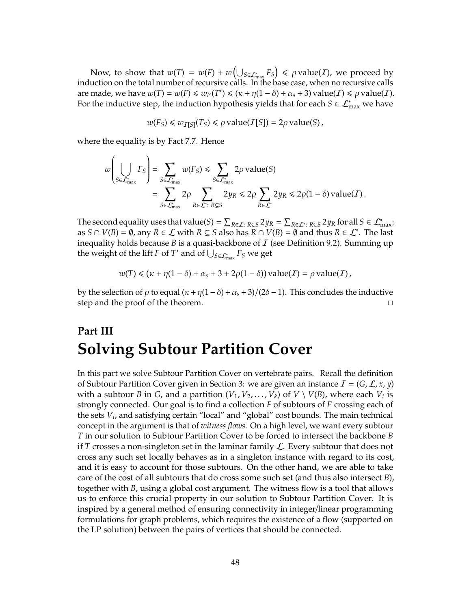Now, to show that  $w(T) = w(F) + w\left(\bigcup_{S \in \mathcal{L}^*_{\text{max}}} F_S\right) \leqslant \rho \text{ value}(I)$ , we proceed by induction on the total number of recursive calls. In the base case, when no recursive calls are made, we have  $w(T) = w(F) \le w_V(T') \le (\kappa + \eta(1 - \delta) + \alpha_s + 3)$  value(*I*)  $\le \rho$  value(*I*). For the inductive step, the induction hypothesis yields that for each  $S \in \mathcal{L}_{\max}^*$  we have

$$
w(F_S) \leq w_{I[S]}(T_S) \leq \rho
$$
 value $(I[S]) = 2\rho$  value $(S)$ ,

where the equality is by Fact 7.7. Hence

$$
w\left(\bigcup_{S\in\mathcal{L}_{\max}^*} F_S\right) = \sum_{S\in\mathcal{L}_{\max}^*} w(F_S) \le \sum_{S\in\mathcal{L}_{\max}^*} 2\rho \text{ value}(S)
$$
  
= 
$$
\sum_{S\in\mathcal{L}_{\max}^*} 2\rho \sum_{R\in\mathcal{L}^*: R \subsetneq S} 2y_R \le 2\rho \sum_{R\in\mathcal{L}^*} 2y_R \le 2\rho(1-\delta) \text{ value}(I).
$$

The second equality uses that value(*S*) =  $\sum_{R\in\mathcal{L}: R\subsetneq S} 2y_R = \sum_{R\in\mathcal{L}^*: R\subsetneq S} 2y_R$  for all  $S\in\mathcal{L}^*_{\text{max}}$ : as  $S \cap V(B) = \emptyset$ , any  $R \in \mathcal{L}$  with  $R \subsetneq S$  also has  $R \cap V(B) = \emptyset$  and thus  $R \in \mathcal{L}^*$ . The last inequality holds because *B* is a quasi-backbone of  $I$  (see Definition 9.2). Summing up the weight of the lift *F* of *T'* and of  $\bigcup_{S \in \mathcal{L}_{\max}^*} F_S$  we get

$$
w(T) \le ( \kappa + \eta(1 - \delta) + \alpha_s + 3 + 2\rho(1 - \delta) ) \text{ value}(I) = \rho \text{ value}(I),
$$

by the selection of  $\rho$  to equal  $(\kappa + \eta(1-\delta) + \alpha_s + 3)/(2\delta - 1)$ . This concludes the inductive step and the proof of the theorem.

# **Part III Solving Subtour Partition Cover**

In this part we solve Subtour Partition Cover on vertebrate pairs. Recall the definition of Subtour Partition Cover given in Section 3: we are given an instance  $I = (G, \mathcal{L}, x, y)$ with a subtour *B* in *G*, and a partition  $(V_1, V_2, \ldots, V_k)$  of  $V \setminus V(B)$ , where each  $V_i$  is strongly connected. Our goal is to find a collection *F* of subtours of *E* crossing each of the sets *V<sup>i</sup>* , and satisfying certain "local" and "global" cost bounds. The main technical concept in the argument is that of *witness flows*. On a high level, we want every subtour *T* in our solution to Subtour Partition Cover to be forced to intersect the backbone *B* if *T* crosses a non-singleton set in the laminar family  $\mathcal{L}$ . Every subtour that does not cross any such set locally behaves as in a singleton instance with regard to its cost, and it is easy to account for those subtours. On the other hand, we are able to take care of the cost of all subtours that do cross some such set (and thus also intersect *B*), together with *B*, using a global cost argument. The witness flow is a tool that allows us to enforce this crucial property in our solution to Subtour Partition Cover. It is inspired by a general method of ensuring connectivity in integer/linear programming formulations for graph problems, which requires the existence of a flow (supported on the LP solution) between the pairs of vertices that should be connected.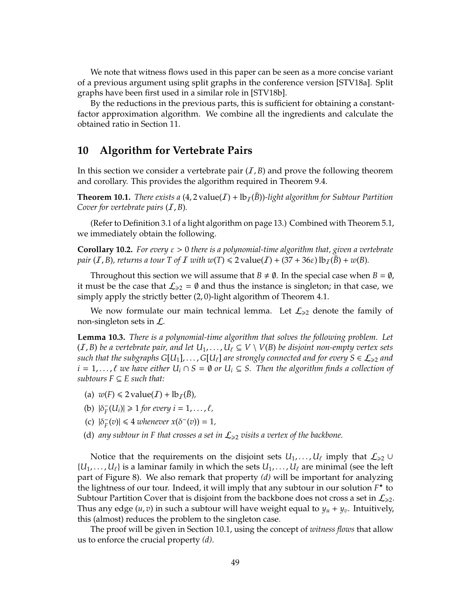We note that witness flows used in this paper can be seen as a more concise variant of a previous argument using split graphs in the conference version [STV18a]. Split graphs have been first used in a similar role in [STV18b].

By the reductions in the previous parts, this is sufficient for obtaining a constantfactor approximation algorithm. We combine all the ingredients and calculate the obtained ratio in Section 11.

## **10 Algorithm for Vertebrate Pairs**

In this section we consider a vertebrate pair  $(I, B)$  and prove the following theorem and corollary. This provides the algorithm required in Theorem 9.4.

**Theorem 10.1.** *There exists a*  $(4, 2 \text{ value}(I) + \mathbb{I}b_I(\overline{B}))$ *-light algorithm for Subtour Partition Cover for vertebrate pairs* (I, *B*)*.*

(Refer to Definition 3.1 of a light algorithm on page 13.) Combined with Theorem 5.1, we immediately obtain the following.

**Corollary 10.2.** *For every* ε > 0 *there is a polynomial-time algorithm that, given a vertebrate pair* (*I*, *B*), *returns a tour T of I with*  $w(T) \le 2$  value(*I*) + (37 + 36 $\varepsilon$ )  $\text{lb}_T(B)$  +  $w(B)$ .

Throughout this section we will assume that  $B \neq \emptyset$ . In the special case when  $B = \emptyset$ , it must be the case that  $\mathcal{L}_{\geq 2} = \emptyset$  and thus the instance is singleton; in that case, we simply apply the strictly better (2, 0)-light algorithm of Theorem 4.1.

We now formulate our main technical lemma. Let  $\mathcal{L}_{\geq 2}$  denote the family of non-singleton sets in L.

**Lemma 10.3.** *There is a polynomial-time algorithm that solves the following problem. Let* (*I*, *B*) *be a vertebrate pair, and let*  $U_1, \ldots, U_\ell \subseteq V \setminus V(B)$  *be disjoint non-empty vertex sets such that the subgraphs*  $G[U_1]$ , ...,  $G[U_\ell]$  *are strongly connected and for every*  $S \in \mathcal{L}_{\geq 2}$  *and i* = 1,...,  $\ell$  *we have either*  $U_i$  ∩ *S* =  $\emptyset$  *or*  $U_i$  ⊆ *S. Then the algorithm finds a collection of subtours*  $F \subseteq E$  *such that:* 

- (a)  $w(F) \leq 2$  value(*I*) + lb<sub>*T*</sub>( $\bar{B}$ ),
- (b)  $|\delta_F^ \mathcal{F}_F^{-1}(U_i) \geq 1$  for every  $i = 1, \ldots, \ell$ ,
- (c)  $|\delta_F^ \vert F(\mathbf{v}) \vert \leq 4$  *whenever*  $x(\delta^-(v)) = 1$ *,*
- (d) any subtour in F that crosses a set in  $\mathcal{L}_{\geq 2}$  visits a vertex of the backbone.

Notice that the requirements on the disjoint sets  $U_1, \ldots, U_\ell$  imply that  $\mathcal{L}_{\geq 2} \cup$  ${U_1, \ldots, U_\ell}$  is a laminar family in which the sets  $U_1, \ldots, U_\ell$  are minimal (see the left part of Figure 8). We also remark that property *(d)* will be important for analyzing the lightness of our tour. Indeed, it will imply that any subtour in our solution *F* ? to Subtour Partition Cover that is disjoint from the backbone does not cross a set in  $\mathcal{L}_{\geq 2}$ . Thus any edge  $(u, v)$  in such a subtour will have weight equal to  $y_u + y_v$ . Intuitively, this (almost) reduces the problem to the singleton case.

The proof will be given in Section 10.1, using the concept of *witness flows* that allow us to enforce the crucial property *(d)*.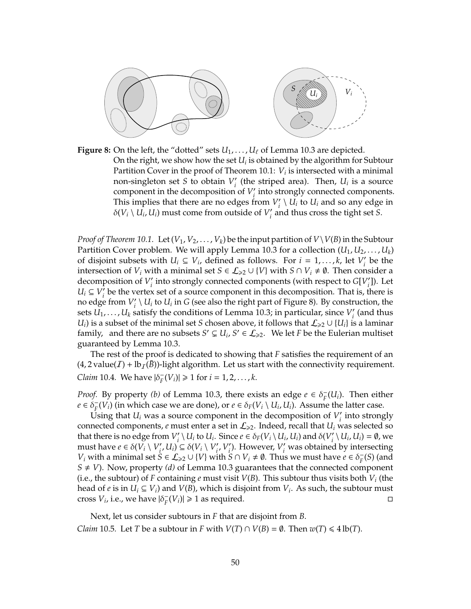

**Figure 8:** On the left, the "dotted" sets  $U_1, \ldots, U_\ell$  of Lemma 10.3 are depicted. On the right, we show how the set  $U_i$  is obtained by the algorithm for Subtour Partition Cover in the proof of Theorem 10.1: *V<sup>i</sup>* is intersected with a minimal non-singleton set *S* to obtain  $V_i'$  $\frac{1}{i}$  (the striped area). Then,  $U_i$  is a source component in the decomposition of  $V_i'$ *i* into strongly connected components. This implies that there are no edges from  $V_i'$  $\mathcal{U}_i' \setminus U_i$  to  $U_i$  and so any edge in  $\delta(V_i \setminus U_i, U_i)$  must come from outside of  $V_i'$ *i* and thus cross the tight set *S*.

*Proof of Theorem 10.1.* Let  $(V_1, V_2, \ldots, V_k)$  be the input partition of  $V\setminus V(B)$  in the Subtour Partition Cover problem. We will apply Lemma 10.3 for a collection (*U*1, *U*2, . . . , *U<sup>k</sup>* ) of disjoint subsets with  $U_i \subseteq V_i$ , defined as follows. For  $i = 1, ..., k$ , let  $V_i'$  $i<sub>i</sub>$  be the intersection of *V<sub>i</sub>* with a minimal set *S*  $\in$   $\mathcal{L}_{\geq 2}$   $\cup$  {*V*} with *S*  $\cap$  *V<sub>i</sub>*  $\neq$   $\emptyset$ . Then consider a decomposition of  $V_i'$  $C_i$ <sup>2</sup> into strongly connected components (with respect to  $G[V_i]$ *i* ]). Let  $U_i \subseteq V_i'$  $i<sub>i</sub>$  be the vertex set of a source component in this decomposition. That is, there is no edge from  $V_i'$  $\mathcal{U}_i \setminus U_i$  to  $U_i$  in *G* (see also the right part of Figure 8). By construction, the sets  $\overline{U_1}, \ldots, \overline{U_k}$  satisfy the conditions of Lemma 10.3; in particular, since  $V_i'$ *i* (and thus *U*<sup>*i*</sup>) is a subset of the minimal set *S* chosen above, it follows that  $\mathcal{L}_{\geq 2} \cup \{U_i\}$  is a laminar family, and there are no subsets  $S' \subsetneq U_i$ ,  $S' \in \mathcal{L}_{\geq 2}$ . We let *F* be the Eulerian multiset guaranteed by Lemma 10.3.

The rest of the proof is dedicated to showing that *F* satisfies the requirement of an  $(4, 2$  value $(I)$  + lb<sub>I</sub>(*B*))-light algorithm. Let us start with the connectivity requirement. *Claim* 10.4. We have  $|\delta_F|$  $\mathcal{F}_F^{-}(V_i) \geq 1$  for  $i = 1, 2, ..., k$ .

*Proof.* By property *(b)* of Lemma 10.3, there exists an edge  $e \in \delta_F^ \overline{F}(U_i)$ . Then either  $e \in \check{\delta}_F^ F_F(V_i)$  (in which case we are done), or  $e \in \delta_F(V_i \setminus U_i, U_i)$ . Assume the latter case.

Using that  $U_i$  was a source component in the decomposition of  $V_i$  $\int_{i}$  into strongly connected components,  $e$  must enter a set in  $\mathcal{L}_{\geq 2}$ . Indeed, recall that  $U_i$  was selected so that there is no edge from  $V_i'$  $\int_{i}^{t} \setminus U_i$  to  $U_i$ . Since  $e \in \delta_F(V_i \setminus U_i, U_i)$  and  $\delta(V_i)$  $\mathcal{U}_i \setminus U_i$ ,  $U_i$ ) = Ø, we must have  $e \in \delta(V_i \setminus V'_i)$  $\left\{V_i, U_i\right\} \subseteq \delta(V_i \setminus V'_i)$  $V_i$ <sup>*v*</sup>  $\mathbf{f}_i'$ ). However,  $V_i'$  was obtained by intersecting *V*<sub>*i*</sub> with a minimal set  $S \in \mathcal{L}_{\geq 2} \cup \{V\}$  with  $S \cap V_i \neq \emptyset$ . Thus we must have  $e \in \delta_F^-$ *F* (*S*) (and  $S \neq V$ ). Now, property *(d)* of Lemma 10.3 guarantees that the connected component (i.e., the subtour) of *F* containing *e* must visit  $V(B)$ . This subtour thus visits both  $V_i$  (the head of  $e$  is in  $U_i \subseteq V_i$ ) and  $V(B)$ , which is disjoint from  $V_i$ . As such, the subtour must cross  $V_i$ , i.e., we have  $|\delta_F^-|$  $\Gamma_F(V_i) \geq 1$  as required.

Next, let us consider subtours in *F* that are disjoint from *B*. *Claim* 10.5*.* Let *T* be a subtour in *F* with  $V(T) \cap V(B) = \emptyset$ . Then  $w(T) \le 4 \text{ lb}(T)$ .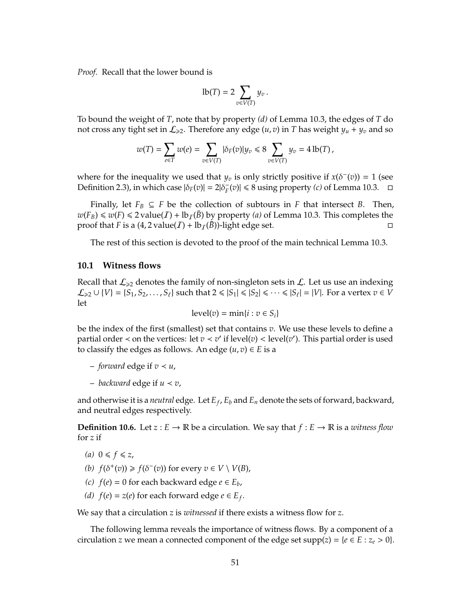*Proof.* Recall that the lower bound is

$$
\mathrm{lb}(T)=2\sum_{v\in V(T)}y_v.
$$

To bound the weight of *T*, note that by property *(d)* of Lemma 10.3, the edges of *T* do not cross any tight set in  $\mathcal{L}_{\geq 2}$ . Therefore any edge  $(u, v)$  in *T* has weight  $y_u + y_v$  and so

$$
w(T) = \sum_{e \in T} w(e) = \sum_{v \in V(T)} |\delta_F(v)| y_v \le 8 \sum_{v \in V(T)} y_v = 4 \operatorname{lb}(T),
$$

where for the inequality we used that  $y_v$  is only strictly positive if  $x(\delta^-(v)) = 1$  (see Definition 2.3), in which case  $|\delta_F(v)| = 2|\delta_F^{\sim}$  $\frac{1}{F}(v) \le 8$  using property *(c)* of Lemma 10.3.  $\Box$ 

Finally, let  $F_B \subseteq F$  be the collection of subtours in *F* that intersect *B*. Then,  $w(F_B) \le w(F) \le 2$  value(*I*) + lb<sub>*I*</sub>( $\bar{B}$ ) by property (*a*) of Lemma 10.3. This completes the proof that *F* is a  $(4, 2 \text{ value}(T) + \text{lb}_T(\bar{B}))$ -light edge set.

The rest of this section is devoted to the proof of the main technical Lemma 10.3.

#### **10.1 Witness flows**

Recall that  $\mathcal{L}_{\geq 2}$  denotes the family of non-singleton sets in  $\mathcal{L}$ . Let us use an indexing  $\mathcal{L}_{\geq 2} \cup \{V\} = \{S_1, S_2, \ldots, S_\ell\}$  such that  $2 \leq |S_1| \leq |S_2| \leq \cdots \leq |S_\ell| = |V|$ . For a vertex  $v \in V$ let

$$
\operatorname{level}(v) = \min\{i : v \in S_i\}
$$

be the index of the first (smallest) set that contains *v*. We use these levels to define a partial order < on the vertices: let  $v \lt v'$  if level(*v*) < level(*v*'). This partial order is used to classify the edges as follows. An edge  $(u, v) \in E$  is a

- $-$  *forward* edge if  $v \lt u$ ,
- *backward* edge if *u* ≺ *v*,

and otherwise it is a *neutral* edge. Let *E<sup>f</sup>* , *E<sup>b</sup>* and *E<sup>n</sup>* denote the sets of forward, backward, and neutral edges respectively.

**Definition 10.6.** Let  $z : E \to \mathbb{R}$  be a circulation. We say that  $f : E \to \mathbb{R}$  is a *witness flow* for *z* if

- $(a)$   $0 \leq f \leq z$ ,
- *(b)*  $f(\delta^+(v)) \ge f(\delta^-(v))$  for every  $v \in V \setminus V(B)$ ,
- *(c)*  $f(e) = 0$  for each backward edge  $e ∈ E_b$ ,
- *(d)*  $f(e) = z(e)$  for each forward edge  $e \in E_f$ .

We say that a circulation *z* is *witnessed* if there exists a witness flow for *z*.

The following lemma reveals the importance of witness flows. By a component of a circulation *z* we mean a connected component of the edge set supp(*z*) = { $e \in E : z_e > 0$  }.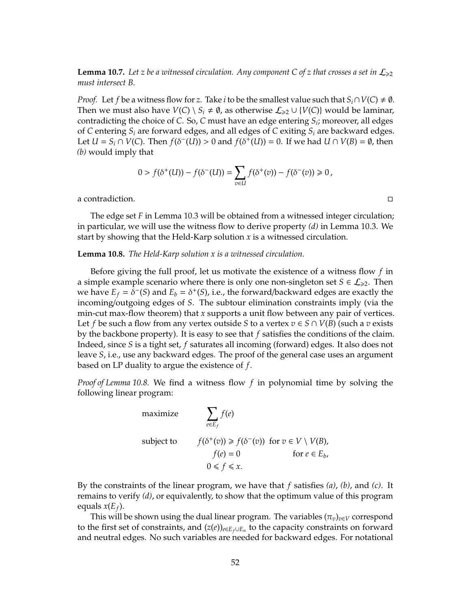**Lemma 10.7.** Let *z* be a witnessed circulation. Any component C of *z* that crosses a set in  $\mathcal{L}_{\geq 2}$ *must intersect B.*

*Proof.* Let *f* be a witness flow for *z*. Take *i* to be the smallest value such that  $S_i \cap V(C) \neq \emptyset$ . Then we must also have  $V(C) \setminus S_i \neq \emptyset$ , as otherwise  $\mathcal{L}_{\geq 2} \cup \{V(C)\}$  would be laminar, contradicting the choice of *C*. So, *C* must have an edge entering *S<sup>i</sup>* ; moreover, all edges of *C* entering *S<sup>i</sup>* are forward edges, and all edges of *C* exiting *S<sup>i</sup>* are backward edges. Let  $U = S_i \cap V(C)$ . Then  $f(\delta^{-}(U)) > 0$  and  $f(\delta^{+}(U)) = 0$ . If we had  $U \cap V(B) = \emptyset$ , then *(b)* would imply that

$$
0 > f(\delta^+(U)) - f(\delta^-(U)) = \sum_{v \in U} f(\delta^+(v)) - f(\delta^-(v)) \ge 0,
$$

a contradiction.

The edge set *F* in Lemma 10.3 will be obtained from a witnessed integer circulation; in particular, we will use the witness flow to derive property *(d)* in Lemma 10.3. We start by showing that the Held-Karp solution *x* is a witnessed circulation.

#### **Lemma 10.8.** *The Held-Karp solution x is a witnessed circulation.*

Before giving the full proof, let us motivate the existence of a witness flow *f* in a simple example scenario where there is only one non-singleton set  $S \in \mathcal{L}_{\geq 2}$ . Then we have  $E_f = \delta^-(S)$  and  $E_b = \delta^+(S)$ , i.e., the forward/backward edges are exactly the incoming/outgoing edges of *S*. The subtour elimination constraints imply (via the min-cut max-flow theorem) that *x* supports a unit flow between any pair of vertices. Let *f* be such a flow from any vertex outside *S* to a vertex  $v \in S \cap V(B)$  (such a *v* exists by the backbone property). It is easy to see that *f* satisfies the conditions of the claim. Indeed, since *S* is a tight set, *f* saturates all incoming (forward) edges. It also does not leave *S*, i.e., use any backward edges. The proof of the general case uses an argument based on LP duality to argue the existence of *f*.

*Proof of Lemma 10.8.* We find a witness flow *f* in polynomial time by solving the following linear program:

maximize 
$$
\sum_{e \in E_f} f(e)
$$
  
subject to 
$$
f(\delta^+(v)) \ge f(\delta^-(v)) \text{ for } v \in V \setminus V(B),
$$

$$
f(e) = 0 \qquad \text{ for } e \in E_b,
$$

$$
0 \le f \le x.
$$

By the constraints of the linear program, we have that *f* satisfies *(a)*, *(b)*, and *(c)*. It remains to verify *(d)*, or equivalently, to show that the optimum value of this program equals *x*(*E<sup>f</sup>* ).

This will be shown using the dual linear program. The variables  $(\pi_v)_{v \in V}$  correspond to the first set of constraints, and (*z*(*e*))*e*∈*Ef*∪*E<sup>n</sup>* to the capacity constraints on forward and neutral edges. No such variables are needed for backward edges. For notational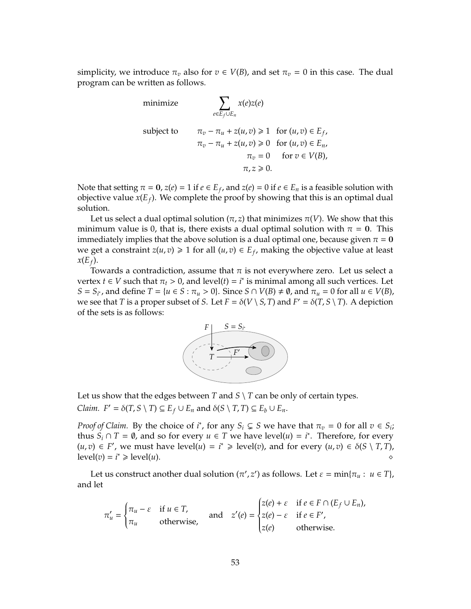simplicity, we introduce  $\pi_v$  also for  $v \in V(B)$ , and set  $\pi_v = 0$  in this case. The dual program can be written as follows.

minimize  
\n
$$
\sum_{e \in E_f \cup E_n} x(e)z(e)
$$
\nsubject to  
\n
$$
\pi_v - \pi_u + z(u, v) \ge 1 \text{ for } (u, v) \in E_f,
$$
\n
$$
\pi_v - \pi_u + z(u, v) \ge 0 \text{ for } (u, v) \in E_n,
$$
\n
$$
\pi_v = 0 \text{ for } v \in V(B),
$$
\n
$$
\pi, z \ge 0.
$$

Note that setting  $\pi = 0$ ,  $z(e) = 1$  if  $e \in E_f$ , and  $z(e) = 0$  if  $e \in E_n$  is a feasible solution with objective value *x*(*E<sup>f</sup>* ). We complete the proof by showing that this is an optimal dual solution.

Let us select a dual optimal solution  $(\pi, z)$  that minimizes  $\pi(V)$ . We show that this minimum value is 0, that is, there exists a dual optimal solution with  $\pi = 0$ . This immediately implies that the above solution is a dual optimal one, because given  $\pi = 0$ we get a constraint  $z(u, v) \ge 1$  for all  $(u, v) \in E_f$ , making the objective value at least  $x(E_f)$ .

Towards a contradiction, assume that  $\pi$  is not everywhere zero. Let us select a vertex *t*  $\in$  *V* such that  $\pi$ <sub>*t*</sub> > 0, and level(*t*) = *i*<sup>\*</sup> is minimal among all such vertices. Let  $S = S_{i^*}$ , and define  $T = \{u \in S : \pi_u > 0\}$ . Since  $S \cap V(B) \neq \emptyset$ , and  $\pi_u = 0$  for all  $u \in V(B)$ , we see that *T* is a proper subset of *S*. Let  $F = \delta(V \setminus S, T)$  and  $F' = \delta(T, S \setminus T)$ . A depiction of the sets is as follows:



Let us show that the edges between *T* and *S*  $\setminus$  *T* can be only of certain types.  $C$ *laim.*  $F' = \delta(T, S \setminus T) \subseteq E_f \cup E_n$  and  $\delta(S \setminus T, T) \subseteq E_b \cup E_n$ .

*Proof of Claim.* By the choice of *i*<sup>\*</sup>, for any  $S_i \subsetneq S$  we have that  $\pi_v = 0$  for all  $v \in S_i$ ; thus  $S_i \cap T = \emptyset$ , and so for every  $u \in T$  we have level(*u*) = *i*<sup>\*</sup>. Therefore, for every  $(u, v)$  ∈ *F'*, we must have level $(u) = i^*$  ≥ level $(v)$ , and for every  $(u, v) \in \delta(S \setminus T, T)$ ,  $\text{level}(v) = i^* \geq \text{level}(u).$ 

Let us construct another dual solution  $(\pi', z')$  as follows. Let  $\varepsilon = \min{\lbrace \pi_u : u \in T \rbrace}$ , and let

$$
\pi'_u = \begin{cases} \pi_u - \varepsilon & \text{if } u \in T, \\ \pi_u & \text{otherwise,} \end{cases} \quad \text{and} \quad z'(e) = \begin{cases} z(e) + \varepsilon & \text{if } e \in F \cap (E_f \cup E_n), \\ z(e) - \varepsilon & \text{if } e \in F', \\ z(e) & \text{otherwise.} \end{cases}
$$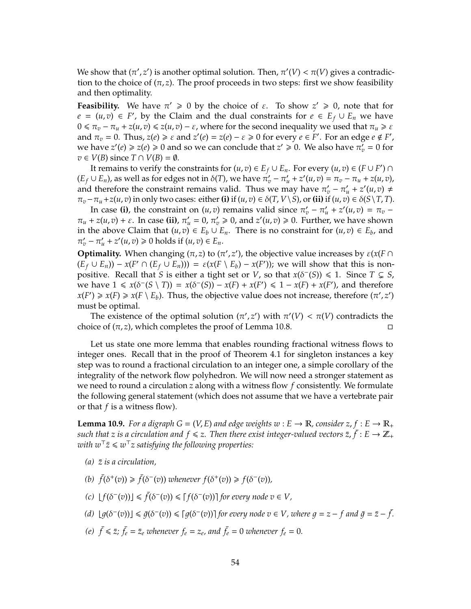We show that  $(\pi', z')$  is another optimal solution. Then,  $\pi'(V) < \pi(V)$  gives a contradiction to the choice of  $(\pi, z)$ . The proof proceeds in two steps: first we show feasibility and then optimality.

**Feasibility.** We have  $\pi' \geq 0$  by the choice of  $\varepsilon$ . To show  $z' \geq 0$ , note that for *e* =  $(u, v)$  ∈ *F*', by the Claim and the dual constraints for *e* ∈ *E<sub>f</sub>* ∪ *E<sub>n</sub>* we have  $0 \le \pi_v - \pi_u + z(u, v) \le z(u, v) - \varepsilon$ , where for the second inequality we used that  $\pi_u \ge \varepsilon$ and  $\pi_v = 0$ . Thus,  $z(e) \ge \varepsilon$  and  $z'(e) = z(e) - \varepsilon \ge 0$  for every  $e \in F'$ . For an edge  $e \notin F'$ , we have  $z'(e) \geq z(e) \geq 0$  and so we can conclude that  $z' \geq 0$ . We also have  $\pi'_v = 0$  for *v* ∈ *V*(*B*) since *T* ∩ *V*(*B*) =  $\emptyset$ .

It remains to verify the constraints for  $(u, v) \in E_f \cup E_n$ . For every  $(u, v) \in (F \cup F') \cap E_n$  $(E_f \cup E_n)$ , as well as for edges not in  $\delta(T)$ , we have  $\pi'_v - \pi'_u + z'(u, v) = \pi_v - \pi_u + z(u, v)$ , and therefore the constraint remains valid. Thus we may have  $\pi'_v - \pi'_u + z'(u, v) \neq$  $\pi_v - \pi_u + z(u, v)$  in only two cases: either (i) if  $(u, v) \in \delta(T, V \setminus S)$ , or (ii) if  $(u, v) \in \delta(S \setminus T, T)$ .

In case (i), the constraint on  $(u, v)$  remains valid since  $\pi'_v - \pi'_u + z'(u, v) = \pi_v \pi_u + z(u, v) + \varepsilon$ . In case (ii),  $\pi'_u = 0$ ,  $\pi'_v \ge 0$ , and  $z'(u, v) \ge 0$ . Further, we have shown in the above Claim that  $(u, v) \in E_b \cup E_n$ . There is no constraint for  $(u, v) \in E_b$ , and  $\pi'_v - \pi'_u + z'(u, v) \ge 0$  holds if  $(u, v) \in E_n$ .

**Optimality.** When changing  $(\pi, z)$  to  $(\pi', z')$ , the objective value increases by  $\varepsilon(x)$  $(E_f \cup E_n) - x(F' \cap (E_f \cup E_n))) = \varepsilon(x(F \setminus E_b) - x(F'))$ ; we will show that this is nonpositive. Recall that *S* is either a tight set or *V*, so that  $x(\delta^-(S)) \le 1$ . Since  $T \subsetneq S$ , we have  $1 \le x(\delta^-(S \setminus T)) = x(\delta^-(S)) - x(F) + x(F') \le 1 - x(F) + x(F')$ , and therefore  $x(F') \ge x(F) \ge x(F \setminus E_b)$ . Thus, the objective value does not increase, therefore  $(\pi', z')$ must be optimal.

The existence of the optimal solution  $(\pi', z')$  with  $\pi'(V) < \pi(V)$  contradicts the choice of  $(\pi, z)$ , which completes the proof of Lemma 10.8.

Let us state one more lemma that enables rounding fractional witness flows to integer ones. Recall that in the proof of Theorem 4.1 for singleton instances a key step was to round a fractional circulation to an integer one, a simple corollary of the integrality of the network flow polyhedron. We will now need a stronger statement as we need to round a circulation *z* along with a witness flow *f* consistently. We formulate the following general statement (which does not assume that we have a vertebrate pair or that *f* is a witness flow).

**Lemma 10.9.** For a digraph  $G = (V, E)$  and edge weights  $w : E \to \mathbb{R}$ , consider  $z, f : E \to \mathbb{R}$ + such that z is a circulation and  $f\leqslant z.$  Then there exist integer-valued vectors  $\bar{z},\bar{f}:E\to \mathbb{Z}_+$  $\overline{w}$ ith  $w^\top \bar{z} \leqslant w^\top z$  satisfying the following properties:

- $(a)$   $\bar{z}$  *is a circulation,*
- (b)  $\bar{f}(\delta^+(v)) \geq \bar{f}(\delta^-(v))$  *whenever*  $f(\delta^+(v)) \geq f(\delta^-(v))$ *,*
- *(c)*  $[f(\delta^-(v))] \leq \bar{f}(\delta^-(v)) \leq [f(\delta^-(v))]$  for every node  $v \in V$ ,
- $(d)$   $[g(\delta^-(v))] \leq \bar{g}(\delta^-(v)) \leq [g(\delta^-(v))]$  for every node  $v \in V$ , where  $g = z f$  and  $\bar{g} = \bar{z} \bar{f}$ .
- (e)  $\bar{f} \leq \bar{z}$ ;  $\bar{f}_e = \bar{z}_e$  whenever  $f_e = z_e$ , and  $\bar{f}_e = 0$  whenever  $f_e = 0$ .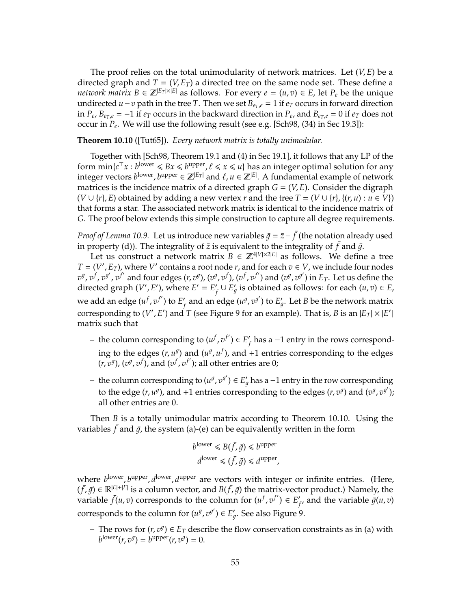The proof relies on the total unimodularity of network matrices. Let (*V*, *E*) be a directed graph and  $T = (V, E_T)$  a directed tree on the same node set. These define a *network matrix*  $B \in \mathbb{Z}^{|E_T| \times |E|}$  as follows. For every  $e = (u, v) \in E$ , let  $P_e$  be the unique undirected *u*−*v* path in the tree *T*. Then we set  $B_{e_T,e} = 1$  if  $e_T$  occurs in forward direction in  $P_e$ ,  $B_{e_T,e} = -1$  if  $e_T$  occurs in the backward direction in  $P_e$ , and  $B_{e_T,e} = 0$  if  $e_T$  does not occur in *P<sup>e</sup>* . We will use the following result (see e.g. [Sch98, (34) in Sec 19.3]):

**Theorem 10.10** ([Tut65])**.** *Every network matrix is totally unimodular.*

Together with [Sch98, Theorem 19.1 and (4) in Sec 19.1], it follows that any LP of the form  $\min\{c^\top x : b^{\text{lower}} \leq Bx \leq b^{\text{upper}}, \ell \leq x \leq u\}$  has an integer optimal solution for any integer vectors  $b^{\text{lower}}$ ,  $b^{\text{upper}} \in \mathbb{Z}^{|E_T|}$  and  $\ell, u \in \mathbb{Z}^{|E|}$ . A fundamental example of network matrices is the incidence matrix of a directed graph  $G = (V, E)$ . Consider the digraph  $(V \cup \{r\}, E)$  obtained by adding a new vertex *r* and the tree  $T = (V \cup \{r\}, \{(r, u) : u \in V\})$ that forms a star. The associated network matrix is identical to the incidence matrix of *G*. The proof below extends this simple construction to capture all degree requirements.

*Proof of Lemma 10.9.* Let us introduce new variables  $\bar{g} = \bar{z} - \bar{f}$  (the notation already used in property (d)). The integrality of  $\bar{z}$  is equivalent to the integrality of  $\bar{f}$  and  $\bar{g}$ .

Let us construct a network matrix  $B \in \mathbb{Z}^{4|V| \times 2|E|}$  as follows. We define a tree  $T = (V', E_T)$ , where *V*<sup> $\prime$ </sup> contains a root node *r*, and for each  $v \in V$ , we include four nodes  $v^g$ ,  $v^f$ ,  $v^{g'}$ ,  $v^{f'}$  and four edges  $(r, v^g)$ ,  $(v^g, v^f)$ ,  $(v^f, v^{f'})$  and  $(v^g, v^{g'})$  in  $E_T$ . Let us define the directed graph (*V'*, *E'*), where  $E' = E'$ *f* ∪  $E'_g$  $\mathcal{L}_q$  is obtained as follows: for each  $(u, v) \in E$ , we add an edge  $(u^f, v^{f'})$  to  $E'$  $f_f$  and an edge  $(u^g,v^{g'})$  to  $E'_g$  $\zeta_g.$  Let  $B$  be the network matrix corresponding to (V', E') and  $T$  (see Figure 9 for an example). That is,  $B$  is an  $|E_T|\times |E'|$ matrix such that

- − the column corresponding to  $(u^f, v^{f'})$  ∈ *E*<sup> $\prime$ </sup> *f* has a −1 entry in the rows corresponding to the edges  $(r, u^g)$  and  $(u^g, u^f)$ , and +1 entries corresponding to the edges  $(r, v^g)$ ,  $(v^g, v^f)$ , and  $(v^f, v^{f'})$ ; all other entries are 0;
- − the column corresponding to  $(u^g, v^{g'}) \in E'_g$  has a −1 entry in the row corresponding to the edge  $(r, u^g)$ , and +1 entries corresponding to the edges  $(r, v^g)$  and  $(v^g, v^{g'})$ ; all other entries are 0.

Then *B* is a totally unimodular matrix according to Theorem 10.10. Using the variables  $\bar{f}$  and  $\bar{g}$ , the system (a)-(e) can be equivalently written in the form

$$
b^{\text{lower}} \leq B(\bar{f}, \bar{g}) \leq b^{\text{upper}}
$$

$$
d^{\text{lower}} \leq (\bar{f}, \bar{g}) \leq d^{\text{upper}},
$$

where  $b^{\text{lower}}$ ,  $b^{\text{upper}}$ ,  $d^{\text{lower}}$ ,  $d^{\text{upper}}$  are vectors with integer or infinite entries. (Here,  $(\bar{f}, \bar{g}) \in \mathbb{R}^{|E|+|E|}$  is a column vector, and  $B(\bar{f}, \bar{g})$  the matrix-vector product.) Namely, the variable  $\bar{f}(u, v)$  corresponds to the column for  $(u^f, v^{f'}) \in E'$  $f'$ , and the variable  $\bar{g}(u, v)$ corresponds to the column for  $(u^g, v^{g'}) \in E'_g$  $\zeta_g$ . See also Figure 9.

 $-$  The rows for  $(r, v^g)$  ∈  $E_T$  describe the flow conservation constraints as in (a) with  $b^{\text{lower}}(r, v^g) = b^{\text{upper}}(r, v^g) = 0.$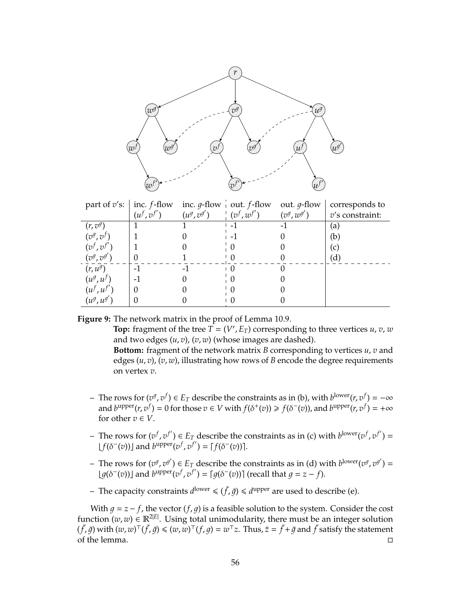

| part of $v's$ :         | inc. $f$ -flow<br>$(u^f, v^{f'})$ | $(u^g, v^{g'})$ | inc. $g$ -flow out. $f$ -flow<br>$(v^f, w^{f'})$ | out. <i>g</i> -flow<br>$(v^g, w^{g'})$ | corresponds to<br>$v$ 's constraint: |
|-------------------------|-----------------------------------|-----------------|--------------------------------------------------|----------------------------------------|--------------------------------------|
| $(r, v^g)$              |                                   |                 | -1                                               |                                        | (a)                                  |
| $(v^g, v^f)$            |                                   |                 | $\overline{\phantom{a}}$                         |                                        | (b)                                  |
| $(v^f, v^f)$            |                                   |                 |                                                  |                                        | (c)                                  |
| $(v^g, v^{g'})$         |                                   |                 |                                                  |                                        | $\left( \mathrm{d}\right)$           |
| $(r, u^g)$              | $-1$                              |                 |                                                  |                                        |                                      |
| $(u^g, u^f)$            |                                   |                 | 0                                                |                                        |                                      |
| $(u^f, u^{f^{\prime}})$ | $\theta$                          |                 | $\theta$                                         |                                        |                                      |
| $(u^g, u^{g'})$         | $\mathcal{O}$                     |                 |                                                  |                                        |                                      |

**Figure 9:** The network matrix in the proof of Lemma 10.9.

**Top:** fragment of the tree  $\overline{T} = (V', E_T)$  corresponding to three vertices *u*, *v*, *w* and two edges (*u*, *v*), (*v*, *w*) (whose images are dashed).

**Bottom:** fragment of the network matrix *B* corresponding to vertices *u*, *v* and edges (*u*, *v*), (*v*, *w*), illustrating how rows of *B* encode the degree requirements on vertex *v*.

- − The rows for  $(v^g, v^f) \in E_T$  describe the constraints as in (b), with  $b^{\text{lower}}(r, v^f) = -\infty$ and  $b^{upper}(r, v^f) = 0$  for those  $v \in V$  with  $f(\delta^+(v)) \ge f(\delta^-(v))$ , and  $b^{upper}(r, v^f) = +\infty$ for other  $v \in V$ .
- − The rows for  $(v^f, v^{f'})$  ∈ *E*<sub>*T*</sub> describe the constraints as in (c) with *b*<sup>lower</sup> $(v^f, v^{f'})$  =  $[f(\delta^-(v))]$  and  $b^{\text{upper}}(v^f, v^{f'}) = [f(\delta^-(v))]$ .
- − The rows for  $(v^g, v^{g'}) \in E_T$  describe the constraints as in (d) with  $b^{\text{lower}}(v^g, v^{g'})$  =  $[g(\delta^-(v))]$  and  $b^{\text{upper}}(v^f, v^{f'}) = [g(\delta^-(v))]$  (recall that  $g = z - f$ ).
- The capacity constraints  $d^{\text{lower}} \leq (\bar{f}, \bar{g}) \leq d^{\text{upper}}$  are used to describe (e).

With  $g = z - f$ , the vector  $(f, g)$  is a feasible solution to the system. Consider the cost function  $(w, w) \in \mathbb{R}^{2|E|}$ . Using total unimodularity, there must be an integer solution  $(f, \bar{g})$  with  $(w, w)^{\top} (f, \bar{g}) \leqslant (w, w)^{\top} (f, g) = w^{\top} z$ . Thus,  $\bar{z} = \bar{f} + \bar{g}$  and  $\bar{f}$  satisfy the statement of the lemma.  $\Box$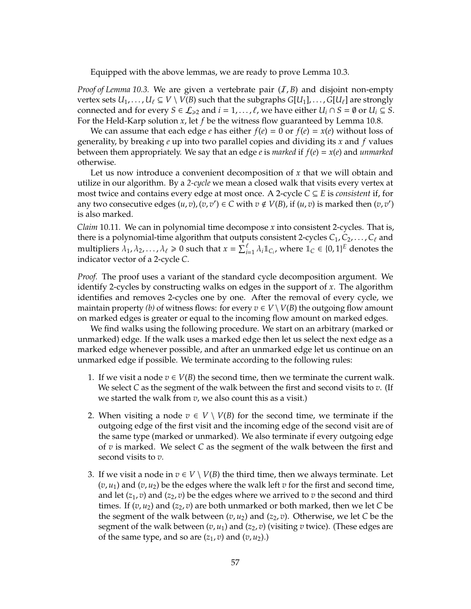Equipped with the above lemmas, we are ready to prove Lemma 10.3.

*Proof of Lemma 10.3.* We are given a vertebrate pair (*I, B*) and disjoint non-empty vertex sets  $U_1, \ldots, U_\ell \subseteq V \setminus V(B)$  such that the subgraphs  $G[U_1], \ldots, G[U_\ell]$  are strongly connected and for every  $S \in \mathcal{L}_{\geq 2}$  and  $i = 1, \ldots, \ell$ , we have either  $U_i \cap S = \emptyset$  or  $U_i \subseteq S$ . For the Held-Karp solution *x*, let *f* be the witness flow guaranteed by Lemma 10.8.

We can assume that each edge *e* has either  $f(e) = 0$  or  $f(e) = x(e)$  without loss of generality, by breaking *e* up into two parallel copies and dividing its *x* and *f* values between them appropriately. We say that an edge *e* is *marked* if  $f(e) = x(e)$  and *unmarked* otherwise.

Let us now introduce a convenient decomposition of *x* that we will obtain and utilize in our algorithm. By a *2-cycle* we mean a closed walk that visits every vertex at most twice and contains every edge at most once. A 2-cycle *C* ⊆ *E* is *consistent* if, for any two consecutive edges  $(u, v), (v, v') \in C$  with  $v \notin V(B)$ , if  $(u, v)$  is marked then  $(v, v')$ is also marked.

*Claim* 10.11*.* We can in polynomial time decompose *x* into consistent 2-cycles. That is, there is a polynomial-time algorithm that outputs consistent 2-cycles  $C_1, C_2, \ldots, C_\ell$  and multipliers  $\lambda_1, \lambda_2, ..., \lambda_\ell \geq 0$  such that  $x = \sum_{i=1}^\ell \lambda_i \mathbb{1}_{C_i}$ , where  $\mathbb{1}_C \in \{0,1\}^E$  denotes the indicator vector of a 2-cycle *C*.

*Proof.* The proof uses a variant of the standard cycle decomposition argument. We identify 2-cycles by constructing walks on edges in the support of *x*. The algorithm identifies and removes 2-cycles one by one. After the removal of every cycle, we maintain property *(b)* of witness flows: for every  $v \in V \setminus V(B)$  the outgoing flow amount on marked edges is greater or equal to the incoming flow amount on marked edges.

We find walks using the following procedure. We start on an arbitrary (marked or unmarked) edge. If the walk uses a marked edge then let us select the next edge as a marked edge whenever possible, and after an unmarked edge let us continue on an unmarked edge if possible. We terminate according to the following rules:

- 1. If we visit a node  $v \in V(B)$  the second time, then we terminate the current walk. We select *C* as the segment of the walk between the first and second visits to *v*. (If we started the walk from *v*, we also count this as a visit.)
- 2. When visiting a node  $v \in V \setminus V(B)$  for the second time, we terminate if the outgoing edge of the first visit and the incoming edge of the second visit are of the same type (marked or unmarked). We also terminate if every outgoing edge of *v* is marked. We select *C* as the segment of the walk between the first and second visits to *v*.
- 3. If we visit a node in  $v \in V \setminus V(B)$  the third time, then we always terminate. Let  $(v, u_1)$  and  $(v, u_2)$  be the edges where the walk left *v* for the first and second time, and let  $(z_1, v)$  and  $(z_2, v)$  be the edges where we arrived to v the second and third times. If  $(v, u_2)$  and  $(z_2, v)$  are both unmarked or both marked, then we let *C* be the segment of the walk between  $(v, u_2)$  and  $(z_2, v)$ . Otherwise, we let C be the segment of the walk between  $(v, u_1)$  and  $(z_2, v)$  (visiting *v* twice). (These edges are of the same type, and so are  $(z_1, v)$  and  $(v, u_2)$ .)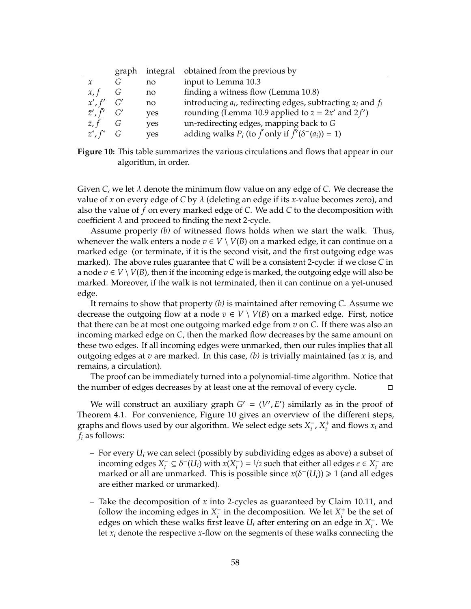|                      | graph | integral | obtained from the previous by                                            |
|----------------------|-------|----------|--------------------------------------------------------------------------|
|                      | G     | no       | input to Lemma 10.3                                                      |
| x, t                 | G     | no       | finding a witness flow (Lemma 10.8)                                      |
| x', f'               | G'    | no       | introducing $a_i$ , redirecting edges, subtracting $x_i$ and $f_i$       |
| $\bar{z}', \bar{f}'$ | G'    | yes      | rounding (Lemma 10.9 applied to $z = 2x'$ and $2f'$ )                    |
| $\bar{z}, \bar{f}$   | G     | yes      | un-redirecting edges, mapping back to G                                  |
| $z^*$ , $f^*$        | G     | ves      | adding walks $P_i$ (to $\bar{f}$ only if $\bar{f}'(\delta^-(a_i)) = 1$ ) |

**Figure 10:** This table summarizes the various circulations and flows that appear in our algorithm, in order.

Given *C*, we let λ denote the minimum flow value on any edge of *C*. We decrease the value of *x* on every edge of *C* by λ (deleting an edge if its *x*-value becomes zero), and also the value of *f* on every marked edge of *C*. We add *C* to the decomposition with coefficient  $\lambda$  and proceed to finding the next 2-cycle.

Assume property *(b)* of witnessed flows holds when we start the walk. Thus, whenever the walk enters a node  $v \in V \setminus V(B)$  on a marked edge, it can continue on a marked edge (or terminate, if it is the second visit, and the first outgoing edge was marked). The above rules guarantee that *C* will be a consistent 2-cycle: if we close *C* in a node  $v \in V \setminus V(B)$ , then if the incoming edge is marked, the outgoing edge will also be marked. Moreover, if the walk is not terminated, then it can continue on a yet-unused edge.

It remains to show that property *(b)* is maintained after removing *C*. Assume we decrease the outgoing flow at a node  $v \in V \setminus V(B)$  on a marked edge. First, notice that there can be at most one outgoing marked edge from *v* on *C*. If there was also an incoming marked edge on *C*, then the marked flow decreases by the same amount on these two edges. If all incoming edges were unmarked, then our rules implies that all outgoing edges at *v* are marked. In this case, *(b)* is trivially maintained (as *x* is, and remains, a circulation).

The proof can be immediately turned into a polynomial-time algorithm. Notice that the number of edges decreases by at least one at the removal of every cycle.

We will construct an auxiliary graph  $G' = (V', E')$  similarly as in the proof of Theorem 4.1. For convenience, Figure 10 gives an overview of the different steps, graphs and flows used by our algorithm. We select edge sets X<sup>-</sup>  $\frac{1}{i}$ ,  $X_i^+$  $\frac{1}{i}$  and flows  $x_i$  and *f<sup>i</sup>* as follows:

- For every *U<sup>i</sup>* we can select (possibly by subdividing edges as above) a subset of incoming edges *X* −  $\overline{f}_i \subseteq \delta^{-1}(U_i)$  with  $x(X_i)$  $\overline{f}_i$ ) = <sup>1</sup>/2 such that either all edges *e* ∈ *X*<sup>-</sup><sub>*i*</sub> *i* are marked or all are unmarked. This is possible since  $x(\delta^-(U_i)) \geq 1$  (and all edges are either marked or unmarked).
- Take the decomposition of *x* into 2-cycles as guaranteed by Claim 10.11, and follow the incoming edges in  $X_i^ \overline{i}$  in the decomposition. We let  $X_i^+$  $\frac{1}{i}$  be the set of edges on which these walks first leave  $U_i$  after entering on an edge in  $X_i^ \frac{1}{i}$ . We let *x<sup>i</sup>* denote the respective *x*-flow on the segments of these walks connecting the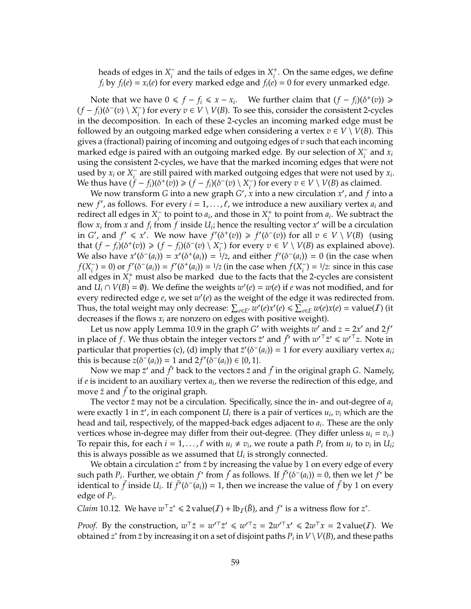heads of edges in *X* −  $\overline{i}$  and the tails of edges in  $X_i^+$ *i* . On the same edges, we define *f*<sub>*i*</sub> by *f*<sub>*i*</sub>(*e*) = *x*<sub>*i*</sub>(*e*) for every marked edge and *f*<sub>*i*</sub>(*e*) = 0 for every unmarked edge.

Note that we have  $0 \le f - f_i \le x - x_i$ . We further claim that  $(f - f_i)(\delta^+(v)) \ge$  $(f - f_i)(\delta^-(v) \setminus X_i^-)$ *i*) for every *v* ∈ *V* \ *V*(*B*). To see this, consider the consistent 2-cycles in the decomposition. In each of these 2-cycles an incoming marked edge must be followed by an outgoing marked edge when considering a vertex  $v \in V \setminus V(B)$ . This gives a (fractional) pairing of incoming and outgoing edges of *v* such that each incoming marked edge is paired with an outgoing marked edge. By our selection of *X* −  $\sum_{i}$  and  $x_i$ using the consistent 2-cycles, we have that the marked incoming edges that were not used by  $x_i$  or  $X_i^$ *i* are still paired with marked outgoing edges that were not used by *x<sup>i</sup>* . We thus have  $(f - f_i)(\delta^+(v)) \ge (f - f_i)(\delta^-(v) \setminus X_i^-)$  $\overline{V}_i$  for every  $v \in V \setminus V(B)$  as claimed.

We now transform *G* into a new graph *G'*, *x* into a new circulation *x'*, and *f* into a new *f'*, as follows. For every  $i = 1, ..., \ell$ , we introduce a new auxiliary vertex  $a_i$  and redirect all edges in *X* −  $\overline{a_i}$  to point to  $a_i$ , and those in  $X_i^+$ <sup> $+$ </sup>
to point from  $a_i$ . We subtract the flow  $x_i$  from  $\overline{x}$  and  $f_i$  from  $\overline{f}$  inside  $U_i$ ; hence the resulting vector  $x'$  will be a circulation in *G'*, and  $f' \le x'$ . We now have  $f'(\delta^+(v)) \ge f'(\delta^-(v))$  for all  $v \in V \setminus V(B)$  (using that  $(f - f_i)(\delta^+(v)) \ge (f - f_i)(\delta^-(v)) \setminus X_i^$ *i*) for every *v* ∈ *V* \ *V*(*B*) as explained above). We also have  $x'(\delta^-(a_i)) = x'(\delta^+(a_i)) = 1/2$ , and either  $f'(\delta^-(a_i)) = 0$  (in the case when *f*(*X* −  $f'(\delta^-(a_i)) = f'(\delta^+(a_i)) = 1/2$  (in the case when  $f(X_i^-)$  $i<sub>i</sub><sup>-</sup>$ ) =  $1/2$ : since in this case all edges in  $X_i^+$  must also be marked due to the facts that the 2-cycles are consistent and  $\overline{U_i} \cap V(B) = \emptyset$ ). We define the weights  $w'(e) = w(e)$  if *e* was not modified, and for every redirected edge *e*, we set  $w'(e)$  as the weight of the edge it was redirected from. Thus, the total weight may only decrease:  $\sum_{e \in E'} w'(e) x'(e) \le \sum_{e \in E} w(e) x(e) = \text{value}(I)$  (it decreases if the flows *x<sup>i</sup>* are nonzero on edges with positive weight).

Let us now apply Lemma 10.9 in the graph *G*' with weights  $w'$  and  $z = 2x'$  and  $2f'$ in place of *f*. We thus obtain the integer vectors  $\bar{z}'$  and  $\bar{f}'$  with  $w'^{\top} \bar{z}' \leq w'^{\top} z$ . Note in particular that properties (c), (d) imply that  $\bar{z}'(\delta^-(a_i)) = 1$  for every auxiliary vertex  $a_i$ ; this is because  $z(\delta^{-}(a_i)) = 1$  and  $2f'(\delta^{-}(a_i)) \in \{0, 1\}.$ 

Now we map  $\bar{z}$  and  $\bar{f}$  back to the vectors  $\bar{z}$  and  $\bar{f}$  in the original graph *G*. Namely, if *e* is incident to an auxiliary vertex *a<sup>i</sup>* , then we reverse the redirection of this edge, and move  $\bar{z}$  and  $\bar{f}$  to the original graph.

The vector  $\bar{z}$  may not be a circulation. Specifically, since the in- and out-degree of  $a_i$ were exactly 1 in  $\bar{z}'$ , in each component  $U_i$  there is a pair of vertices  $u_i$ ,  $v_i$  which are the head and tail, respectively, of the mapped-back edges adjacent to *a<sup>i</sup>* . These are the only vertices whose in-degree may differ from their out-degree. (They differ unless  $u_i = v_i$ .) To repair this, for each  $i = 1, ..., \ell$  with  $u_i \neq v_i$ , we route a path  $P_i$  from  $u_i$  to  $v_i$  in  $U_i$ ; this is always possible as we assumed that  $U_i$  is strongly connected.

We obtain a circulation  $z^*$  from  $\bar{z}$  by increasing the value by 1 on every edge of every such path  $P_i$ . Further, we obtain  $f^*$  from  $\bar{f}$  as follows. If  $\bar{f}'(\delta^-(a_i)) = 0$ , then we let  $f^*$  be identical to  $\bar{f}$  inside  $U_i$ . If  $\bar{f}'(\delta^-(a_i)) = 1$ , then we increase the value of  $\bar{f}$  by 1 on every edge of *P<sup>i</sup>* .

*Claim* 10.12. We have  $w^{\top}z^* \le 2$  value(*I*) + lb<sub>*I*</sub>( $\bar{B}$ ), and  $f^*$  is a witness flow for  $z^*$ .

*Proof.* By the construction,  $w^{\top} \bar{z} = w'^{\top} \bar{z}' \leq w'^{\top} z = 2w'^{\top} x' \leq 2w^{\top} x = 2 \text{ value}(I)$ . We obtained  $z^*$  from  $\bar{z}$  by increasing it on a set of disjoint paths  $P_i$  in  $V\setminus V(B)$ , and these paths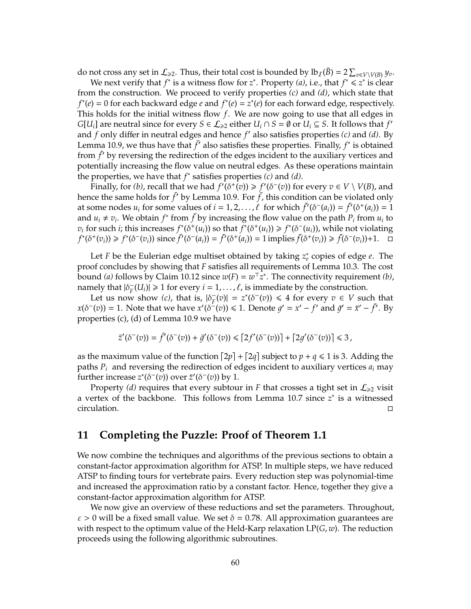do not cross any set in  $\mathcal{L}_{\geq 2}$ . Thus, their total cost is bounded by  $lb_{\mathcal{I}}(\bar{B}) = 2 \sum_{v \in V \setminus V(B)} y_v$ .

We next verify that  $f^*$  is a witness flow for  $z^*$ . Property *(a)*, i.e., that  $f^* \leq z^*$  is clear from the construction. We proceed to verify properties *(c)* and *(d)*, which state that  $f^*(e) = 0$  for each backward edge *e* and  $f^*(e) = z^*(e)$  for each forward edge, respectively. This holds for the initial witness flow *f*. We are now going to use that all edges in *G*[*U<sub>i</sub>*] are neutral since for every  $S \in \mathcal{L}_{\geq 2}$  either  $U_i \cap S = \emptyset$  or  $U_i \subseteq S$ . It follows that  $f'$ and  $f$  only differ in neutral edges and hence  $f'$  also satisfies properties  $(c)$  and  $(d)$ . By Lemma 10.9, we thus have that  $\bar{f}'$  also satisfies these properties. Finally,  $f^*$  is obtained from  $\bar{f}$  by reversing the redirection of the edges incident to the auxiliary vertices and potentially increasing the flow value on neutral edges. As these operations maintain the properties, we have that *f* ∗ satisfies properties *(c)* and *(d)*.

Finally, for *(b)*, recall that we had  $f'(\delta^+(v)) \ge f'(\delta^-(v))$  for every  $v \in V \setminus V(B)$ , and hence the same holds for  $\bar{f}'$  by Lemma 10.9. For  $\bar{f}$ , this condition can be violated only at some nodes  $u_i$  for some values of  $i = 1, 2, ..., \ell$  for which  $\bar{f}'(\delta^-(a_i)) = \bar{f}'(\delta^+(a_i)) = 1$ and  $u_i \neq v_i$ . We obtain  $f^*$  from  $\bar{f}$  by increasing the flow value on the path  $P_i$  from  $u_i$  to  $v_i$  for such *i*; this increases  $f^*(\delta^+(u_i))$  so that  $f^*(\delta^+(u_i)) \geq f^*(\delta^-(u_i))$ , while not violating  $f^*(\delta^+(v_i)) \geq f^*(\delta^-(v_i))$  since  $\bar{f}'(\delta^-(a_i)) = \bar{f}'(\delta^+(a_i)) = 1$  implies  $\bar{f}(\delta^+(v_i)) \geq \bar{f}(\delta^-(v_i)) + 1$ .

Let *F* be the Eulerian edge multiset obtained by taking *z* ∗ *e* copies of edge *e*. The proof concludes by showing that *F* satisfies all requirements of Lemma 10.3. The cost bound *(a)* follows by Claim 10.12 since  $w(F) = w^T z^*$ . The connectivity requirement *(b)*, namely that  $|\delta_F^-|$  $F<sub>F</sub>(U<sub>i</sub>)$   $\geq 1$  for every  $i = 1, ..., \ell$ , is immediate by the construction.

Let us now show *(c)*, that is,  $|\delta_{\vec{r}}$  $\sigma_F^-(v) = z^*(\delta^-(v)) \leq 4$  for every  $v \in V$  such that  $x(\delta^-(v)) = 1$ . Note that we have  $x'(\delta^-(v)) \le 1$ . Denote  $g' = x' - f'$  and  $\bar{g}' = \bar{x}' - \bar{f}'$ . By properties (c), (d) of Lemma 10.9 we have

$$
\bar{z}'(\delta^-(v)) = \bar{f}'(\delta^-(v)) + \bar{g}'(\delta^-(v)) \leq [2f'(\delta^-(v))] + [2g'(\delta^-(v))] \leq 3,
$$

as the maximum value of the function  $[2p] + [2q]$  subject to  $p + q \le 1$  is 3. Adding the paths  $P_i$  and reversing the redirection of edges incident to auxiliary vertices  $a_i$  may further increase  $z^*(\delta^-(v))$  over  $\bar{z}'(\delta^-(v))$  by 1.

Property *(d)* requires that every subtour in *F* that crosses a tight set in  $\mathcal{L}_{\geq 2}$  visit a vertex of the backbone. This follows from Lemma 10.7 since  $z^*$  is a witnessed circulation.

### **11 Completing the Puzzle: Proof of Theorem 1.1**

We now combine the techniques and algorithms of the previous sections to obtain a constant-factor approximation algorithm for ATSP. In multiple steps, we have reduced ATSP to finding tours for vertebrate pairs. Every reduction step was polynomial-time and increased the approximation ratio by a constant factor. Hence, together they give a constant-factor approximation algorithm for ATSP.

We now give an overview of these reductions and set the parameters. Throughout,  $\varepsilon > 0$  will be a fixed small value. We set  $\delta = 0.78$ . All approximation guarantees are with respect to the optimum value of the Held-Karp relaxation LP(*G*, *w*). The reduction proceeds using the following algorithmic subroutines.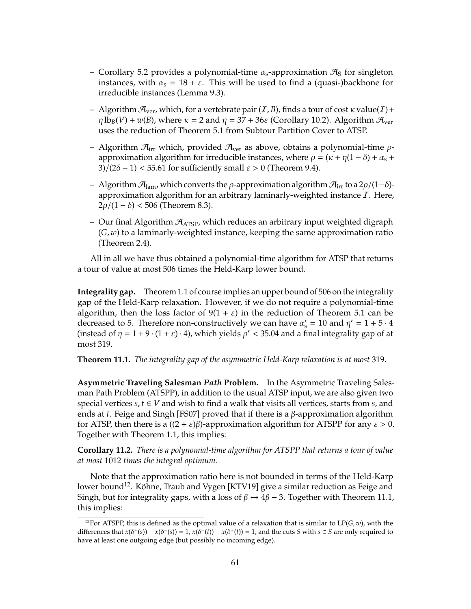- Corollary 5.2 provides a polynomial-time  $\alpha_s$ -approximation  $\mathcal{A}_s$  for singleton instances, with  $\alpha_s = 18 + \varepsilon$ . This will be used to find a (quasi-)backbone for irreducible instances (Lemma 9.3).
- Algorithm  $\mathcal{A}_{\text{ver}}$ , which, for a vertebrate pair  $(I, B)$ , finds a tour of cost  $\kappa$  value $(I)$  +  $\eta \, {\rm lb}_B(V) + w(B)$ , where  $\kappa = 2$  and  $\eta = 37 + 36\varepsilon$  (Corollary 10.2). Algorithm  $\mathcal{H}_{\rm ver}$ uses the reduction of Theorem 5.1 from Subtour Partition Cover to ATSP.
- Algorithm  $\mathcal{A}_{irr}$  which, provided  $\mathcal{A}_{ver}$  as above, obtains a polynomial-time  $\rho$ approximation algorithm for irreducible instances, where  $\rho = (\kappa + \eta(1 - \delta) + \alpha_{s} + \delta)$  $3/(2\delta - 1)$  < 55.61 for sufficiently small  $\varepsilon > 0$  (Theorem 9.4).
- Algorithm  $\mathcal{A}_{\text{lam}}$ , which converts the  $\rho$ -approximation algorithm  $\mathcal{A}_{\text{irr}}$  to a 2 $\rho/(1-\delta)$ approximation algorithm for an arbitrary laminarly-weighted instance  $I$ . Here, 2ρ/(1 – δ) < 506 (Theorem 8.3).
- Our final Algorithm  $\mathcal{A}_{\text{ATSP}}$ , which reduces an arbitrary input weighted digraph (*G*, *w*) to a laminarly-weighted instance, keeping the same approximation ratio (Theorem 2.4).

All in all we have thus obtained a polynomial-time algorithm for ATSP that returns a tour of value at most 506 times the Held-Karp lower bound.

**Integrality gap.** Theorem 1.1 of course implies an upper bound of 506 on the integrality gap of the Held-Karp relaxation. However, if we do not require a polynomial-time algorithm, then the loss factor of  $9(1 + \varepsilon)$  in the reduction of Theorem 5.1 can be decreased to 5. Therefore non-constructively we can have  $\alpha'_{s} = 10$  and  $\eta' = 1 + 5 \cdot 4$ (instead of  $\eta = 1 + 9 \cdot (1 + \varepsilon) \cdot 4$ ), which yields  $\rho' < 35.04$  and a final integrality gap of at most 319.

**Theorem 11.1.** *The integrality gap of the asymmetric Held-Karp relaxation is at most* 319*.*

**Asymmetric Traveling Salesman** *Path* **Problem.** In the Asymmetric Traveling Salesman Path Problem (ATSPP), in addition to the usual ATSP input, we are also given two special vertices  $s, t \in V$  and wish to find a walk that visits all vertices, starts from  $s$ , and ends at *t*. Feige and Singh [FS07] proved that if there is a β-approximation algorithm for ATSP, then there is a  $((2 + \varepsilon)\beta)$ -approximation algorithm for ATSPP for any  $\varepsilon > 0$ . Together with Theorem 1.1, this implies:

**Corollary 11.2.** *There is a polynomial-time algorithm for ATSPP that returns a tour of value at most* 1012 *times the integral optimum.*

Note that the approximation ratio here is not bounded in terms of the Held-Karp lower bound<sup>12</sup>. Köhne, Traub and Vygen [KTV19] give a similar reduction as Feige and Singh, but for integrality gaps, with a loss of  $\beta \mapsto 4\beta - 3$ . Together with Theorem 11.1, this implies:

<sup>&</sup>lt;sup>12</sup>For ATSPP, this is defined as the optimal value of a relaxation that is similar to  $LP(G, w)$ , with the differences that  $x(\delta^+(s)) - x(\delta^-(s)) = 1$ ,  $x(\delta^-(t)) - x(\delta^+(t)) = 1$ , and the cuts *S* with  $s \in S$  are only required to have at least one outgoing edge (but possibly no incoming edge).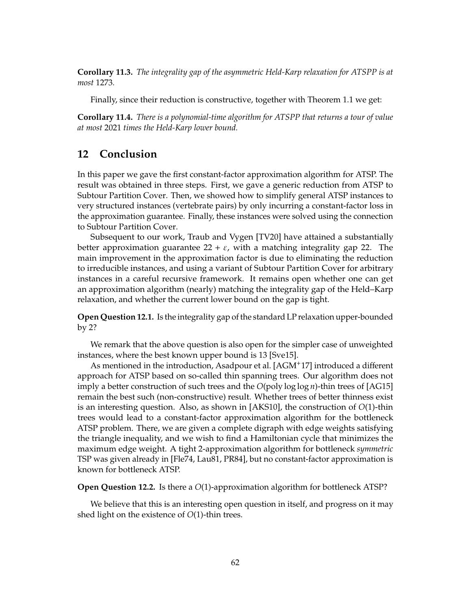**Corollary 11.3.** *The integrality gap of the asymmetric Held-Karp relaxation for ATSPP is at most* 1273*.*

Finally, since their reduction is constructive, together with Theorem 1.1 we get:

**Corollary 11.4.** *There is a polynomial-time algorithm for ATSPP that returns a tour of value at most* 2021 *times the Held-Karp lower bound.*

### **12 Conclusion**

In this paper we gave the first constant-factor approximation algorithm for ATSP. The result was obtained in three steps. First, we gave a generic reduction from ATSP to Subtour Partition Cover. Then, we showed how to simplify general ATSP instances to very structured instances (vertebrate pairs) by only incurring a constant-factor loss in the approximation guarantee. Finally, these instances were solved using the connection to Subtour Partition Cover.

Subsequent to our work, Traub and Vygen [TV20] have attained a substantially better approximation guarantee 22 +  $\varepsilon$ , with a matching integrality gap 22. The main improvement in the approximation factor is due to eliminating the reduction to irreducible instances, and using a variant of Subtour Partition Cover for arbitrary instances in a careful recursive framework. It remains open whether one can get an approximation algorithm (nearly) matching the integrality gap of the Held–Karp relaxation, and whether the current lower bound on the gap is tight.

**Open Question 12.1.** Is the integrality gap of the standard LP relaxation upper-bounded by 2?

We remark that the above question is also open for the simpler case of unweighted instances, where the best known upper bound is 13 [Sve15].

As mentioned in the introduction, Asadpour et al. [AGM+17] introduced a different approach for ATSP based on so-called thin spanning trees. Our algorithm does not imply a better construction of such trees and the *O*(poly log log *n*)-thin trees of [AG15] remain the best such (non-constructive) result. Whether trees of better thinness exist is an interesting question. Also, as shown in [AKS10], the construction of *O*(1)-thin trees would lead to a constant-factor approximation algorithm for the bottleneck ATSP problem. There, we are given a complete digraph with edge weights satisfying the triangle inequality, and we wish to find a Hamiltonian cycle that minimizes the maximum edge weight. A tight 2-approximation algorithm for bottleneck *symmetric* TSP was given already in [Fle74, Lau81, PR84], but no constant-factor approximation is known for bottleneck ATSP.

**Open Question 12.2.** Is there a *O*(1)-approximation algorithm for bottleneck ATSP?

We believe that this is an interesting open question in itself, and progress on it may shed light on the existence of *O*(1)-thin trees.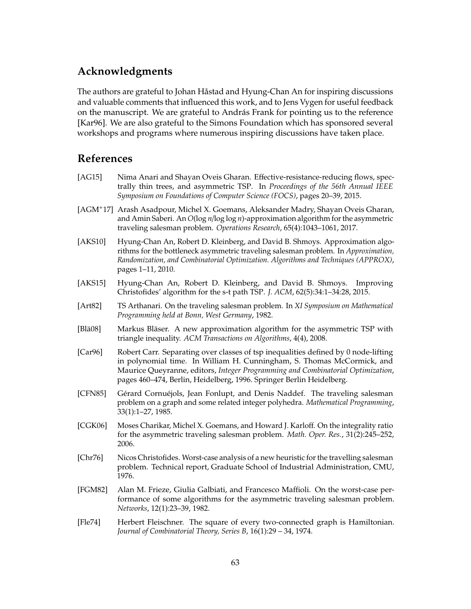## **Acknowledgments**

The authors are grateful to Johan Håstad and Hyung-Chan An for inspiring discussions and valuable comments that influenced this work, and to Jens Vygen for useful feedback on the manuscript. We are grateful to András Frank for pointing us to the reference [Kar96]. We are also grateful to the Simons Foundation which has sponsored several workshops and programs where numerous inspiring discussions have taken place.

## **References**

- [AG15] Nima Anari and Shayan Oveis Gharan. Effective-resistance-reducing flows, spectrally thin trees, and asymmetric TSP. In *Proceedings of the 56th Annual IEEE Symposium on Foundations of Computer Science (FOCS)*, pages 20–39, 2015.
- [AGM<sup>+</sup>17] Arash Asadpour, Michel X. Goemans, Aleksander Madry, Shayan Oveis Gharan, and Amin Saberi. An *O*(log *n*/log log *n*)-approximation algorithm for the asymmetric traveling salesman problem. *Operations Research*, 65(4):1043–1061, 2017.
- [AKS10] Hyung-Chan An, Robert D. Kleinberg, and David B. Shmoys. Approximation algorithms for the bottleneck asymmetric traveling salesman problem. In *Approximation, Randomization, and Combinatorial Optimization. Algorithms and Techniques (APPROX)*, pages 1–11, 2010.
- [AKS15] Hyung-Chan An, Robert D. Kleinberg, and David B. Shmoys. Improving Christofides' algorithm for the s-t path TSP. *J. ACM*, 62(5):34:1–34:28, 2015.
- [Art82] TS Arthanari. On the traveling salesman problem. In *XI Symposium on Mathematical Programming held at Bonn, West Germany*, 1982.
- [Blä08] Markus Bläser. A new approximation algorithm for the asymmetric TSP with triangle inequality. *ACM Transactions on Algorithms*, 4(4), 2008.
- [Car96] Robert Carr. Separating over classes of tsp inequalities defined by 0 node-lifting in polynomial time. In William H. Cunningham, S. Thomas McCormick, and Maurice Queyranne, editors, *Integer Programming and Combinatorial Optimization*, pages 460–474, Berlin, Heidelberg, 1996. Springer Berlin Heidelberg.
- [CFN85] Gérard Cornuéjols, Jean Fonlupt, and Denis Naddef. The traveling salesman problem on a graph and some related integer polyhedra. *Mathematical Programming*, 33(1):1–27, 1985.
- [CGK06] Moses Charikar, Michel X. Goemans, and Howard J. Karloff. On the integrality ratio for the asymmetric traveling salesman problem. *Math. Oper. Res.*, 31(2):245–252, 2006.
- [Chr76] Nicos Christofides. Worst-case analysis of a new heuristic for the travelling salesman problem. Technical report, Graduate School of Industrial Administration, CMU, 1976.
- [FGM82] Alan M. Frieze, Giulia Galbiati, and Francesco Maffioli. On the worst-case performance of some algorithms for the asymmetric traveling salesman problem. *Networks*, 12(1):23–39, 1982.
- [Fle74] Herbert Fleischner. The square of every two-connected graph is Hamiltonian. *Journal of Combinatorial Theory, Series B*, 16(1):29 – 34, 1974.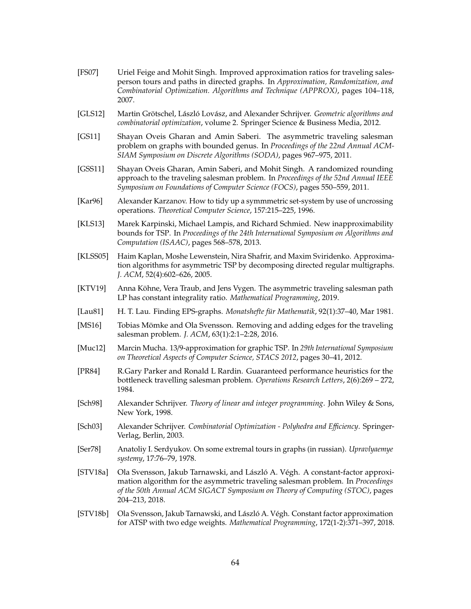- [FS07] Uriel Feige and Mohit Singh. Improved approximation ratios for traveling salesperson tours and paths in directed graphs. In *Approximation, Randomization, and Combinatorial Optimization. Algorithms and Technique (APPROX)*, pages 104–118, 2007.
- [GLS12] Martin Grötschel, László Lovász, and Alexander Schrijver. *Geometric algorithms and combinatorial optimization*, volume 2. Springer Science & Business Media, 2012.
- [GS11] Shayan Oveis Gharan and Amin Saberi. The asymmetric traveling salesman problem on graphs with bounded genus. In *Proceedings of the 22nd Annual ACM-SIAM Symposium on Discrete Algorithms (SODA)*, pages 967–975, 2011.
- [GSS11] Shayan Oveis Gharan, Amin Saberi, and Mohit Singh. A randomized rounding approach to the traveling salesman problem. In *Proceedings of the 52nd Annual IEEE Symposium on Foundations of Computer Science (FOCS)*, pages 550–559, 2011.
- [Kar96] Alexander Karzanov. How to tidy up a symmmetric set-system by use of uncrossing operations. *Theoretical Computer Science*, 157:215–225, 1996.
- [KLS13] Marek Karpinski, Michael Lampis, and Richard Schmied. New inapproximability bounds for TSP. In *Proceedings of the 24th International Symposium on Algorithms and Computation (ISAAC)*, pages 568–578, 2013.
- [KLSS05] Haim Kaplan, Moshe Lewenstein, Nira Shafrir, and Maxim Sviridenko. Approximation algorithms for asymmetric TSP by decomposing directed regular multigraphs. *J. ACM*, 52(4):602–626, 2005.
- [KTV19] Anna Köhne, Vera Traub, and Jens Vygen. The asymmetric traveling salesman path LP has constant integrality ratio. *Mathematical Programming*, 2019.
- [Lau81] H. T. Lau. Finding EPS-graphs. *Monatshefte für Mathematik*, 92(1):37–40, Mar 1981.
- [MS16] Tobias Mömke and Ola Svensson. Removing and adding edges for the traveling salesman problem. *J. ACM*, 63(1):2:1–2:28, 2016.
- [Muc12] Marcin Mucha. 13/9-approximation for graphic TSP. In *29th International Symposium on Theoretical Aspects of Computer Science, STACS 2012*, pages 30–41, 2012.
- [PR84] R.Gary Parker and Ronald L Rardin. Guaranteed performance heuristics for the bottleneck travelling salesman problem. *Operations Research Letters*, 2(6):269 – 272, 1984.
- [Sch98] Alexander Schrijver. *Theory of linear and integer programming*. John Wiley & Sons, New York, 1998.
- [Sch03] Alexander Schrijver. *Combinatorial Optimization Polyhedra and E*ffi*ciency*. Springer-Verlag, Berlin, 2003.
- [Ser78] Anatoliy I. Serdyukov. On some extremal tours in graphs (in russian). *Upravlyaemye systemy*, 17:76–79, 1978.
- [STV18a] Ola Svensson, Jakub Tarnawski, and László A. Végh. A constant-factor approximation algorithm for the asymmetric traveling salesman problem. In *Proceedings of the 50th Annual ACM SIGACT Symposium on Theory of Computing (STOC)*, pages 204–213, 2018.
- [STV18b] Ola Svensson, Jakub Tarnawski, and László A. Végh. Constant factor approximation for ATSP with two edge weights. *Mathematical Programming*, 172(1-2):371–397, 2018.